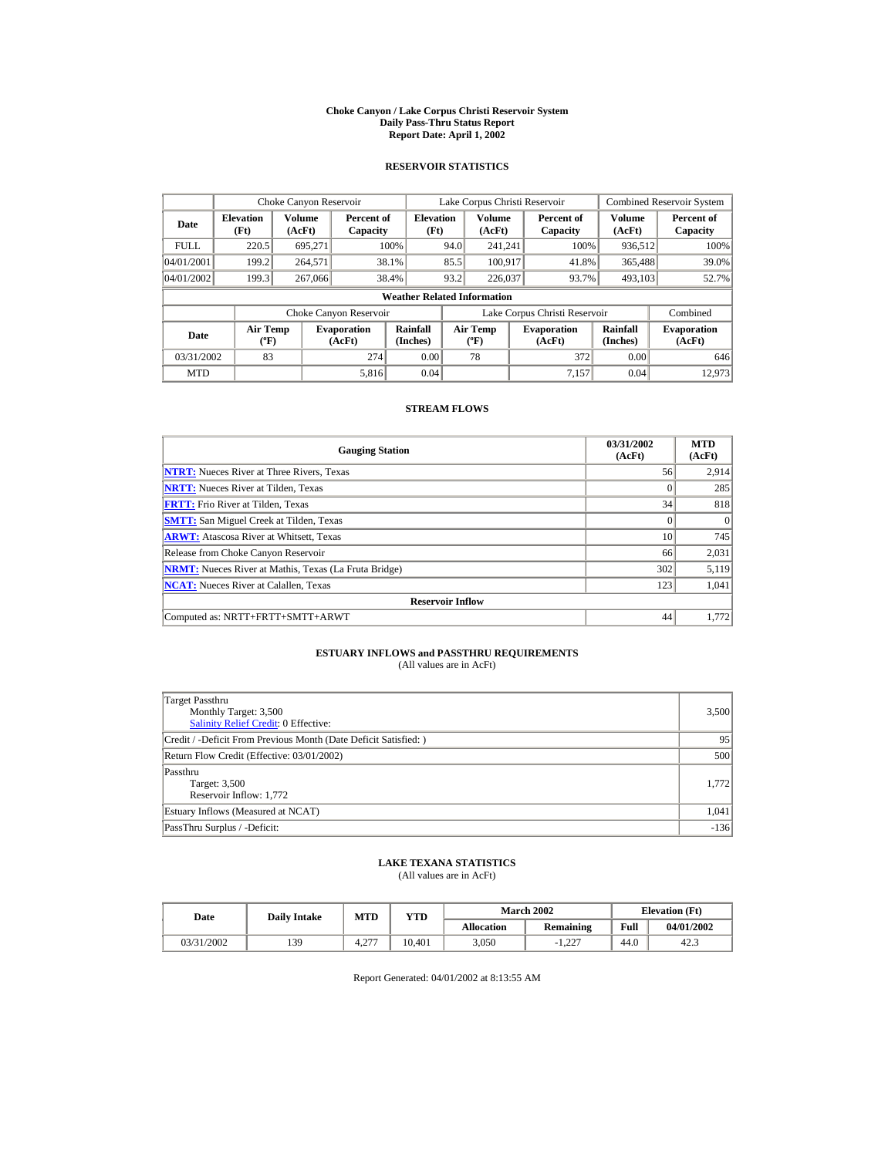#### **Choke Canyon / Lake Corpus Christi Reservoir System Daily Pass-Thru Status Report Report Date: April 1, 2002**

### **RESERVOIR STATISTICS**

|             | Choke Canyon Reservoir                      |                  |                              |                          | Lake Corpus Christi Reservoir |                                  |  |                               |                      | Combined Reservoir System    |  |  |
|-------------|---------------------------------------------|------------------|------------------------------|--------------------------|-------------------------------|----------------------------------|--|-------------------------------|----------------------|------------------------------|--|--|
| Date        | <b>Elevation</b><br>(Ft)                    | Volume<br>(AcFt) | Percent of<br>Capacity       | <b>Elevation</b><br>(Ft) |                               | <b>Volume</b><br>(AcFt)          |  | Percent of<br>Capacity        | Volume<br>(AcFt)     | Percent of<br>Capacity       |  |  |
| <b>FULL</b> | 220.5                                       | 695.271          |                              | 100%                     | 94.0                          | 241.241                          |  | 100%                          | 936,512              | 100%                         |  |  |
| 04/01/2001  | 199.2                                       | 264,571          |                              | 38.1%                    | 85.5                          | 100.917                          |  | 41.8%                         | 365,488              | 39.0%                        |  |  |
| 04/01/2002  | 199.3                                       | 267,066          |                              | 38.4%                    | 93.2                          | 226,037                          |  | 93.7%                         | 493.103              | 52.7%                        |  |  |
|             | <b>Weather Related Information</b>          |                  |                              |                          |                               |                                  |  |                               |                      |                              |  |  |
|             |                                             |                  | Choke Canyon Reservoir       |                          |                               |                                  |  | Lake Corpus Christi Reservoir |                      | Combined                     |  |  |
| Date        | <b>Air Temp</b><br>$({}^{\circ}\mathrm{F})$ |                  | <b>Evaporation</b><br>(AcFt) | Rainfall<br>(Inches)     |                               | <b>Air Temp</b><br>$(^{\circ}F)$ |  | <b>Evaporation</b><br>(AcFt)  | Rainfall<br>(Inches) | <b>Evaporation</b><br>(AcFt) |  |  |
| 03/31/2002  | 83                                          |                  | 274                          | 0.00                     |                               | 78                               |  | 372                           | 0.00                 | 646                          |  |  |
| <b>MTD</b>  |                                             |                  | 5.816                        | 0.04                     |                               |                                  |  | 7.157                         | 0.04                 | 12,973                       |  |  |

### **STREAM FLOWS**

| <b>Gauging Station</b>                                       | 03/31/2002<br>(AcFt) | <b>MTD</b><br>(AcFt) |
|--------------------------------------------------------------|----------------------|----------------------|
| <b>NTRT:</b> Nueces River at Three Rivers, Texas             | 56                   | 2,914                |
| <b>NRTT:</b> Nueces River at Tilden, Texas                   | $\Omega$             | 285                  |
| <b>FRTT:</b> Frio River at Tilden, Texas                     | 34                   | 818                  |
| <b>SMTT:</b> San Miguel Creek at Tilden, Texas               | $\Omega$             | $\Omega$             |
| <b>ARWT:</b> Atascosa River at Whitsett, Texas               | 10                   | 745                  |
| Release from Choke Canyon Reservoir                          | 66                   | 2,031                |
| <b>NRMT:</b> Nueces River at Mathis, Texas (La Fruta Bridge) | 302                  | 5,119                |
| <b>NCAT:</b> Nueces River at Calallen, Texas                 | 123                  | 1,041                |
| <b>Reservoir Inflow</b>                                      |                      |                      |
| Computed as: NRTT+FRTT+SMTT+ARWT                             | 44                   | 1.772                |

# **ESTUARY INFLOWS and PASSTHRU REQUIREMENTS**<br>(All values are in AcFt)

| <b>Target Passthru</b><br>Monthly Target: 3,500<br><b>Salinity Relief Credit: 0 Effective:</b> | 3,500  |
|------------------------------------------------------------------------------------------------|--------|
| Credit / -Deficit From Previous Month (Date Deficit Satisfied:)                                | 95     |
| Return Flow Credit (Effective: 03/01/2002)                                                     | 500    |
| Passthru<br>Target: 3,500<br>Reservoir Inflow: 1,772                                           | 1.772  |
| Estuary Inflows (Measured at NCAT)                                                             | 1,041  |
| PassThru Surplus / -Deficit:                                                                   | $-136$ |

## **LAKE TEXANA STATISTICS**

(All values are in AcFt)

| Date       | <b>Daily Intake</b> | <b>MTD</b>    | YTD    |                   | <b>March 2002</b> |      | <b>Elevation</b> (Ft) |
|------------|---------------------|---------------|--------|-------------------|-------------------|------|-----------------------|
|            |                     |               |        | <b>Allocation</b> | Remaining         | Full | 04/01/2002            |
| 03/31/2002 | 139                 | 4.277<br>، ے۔ | 10.401 | 3.050             | 1.227             | 44.0 | 42.3                  |

Report Generated: 04/01/2002 at 8:13:55 AM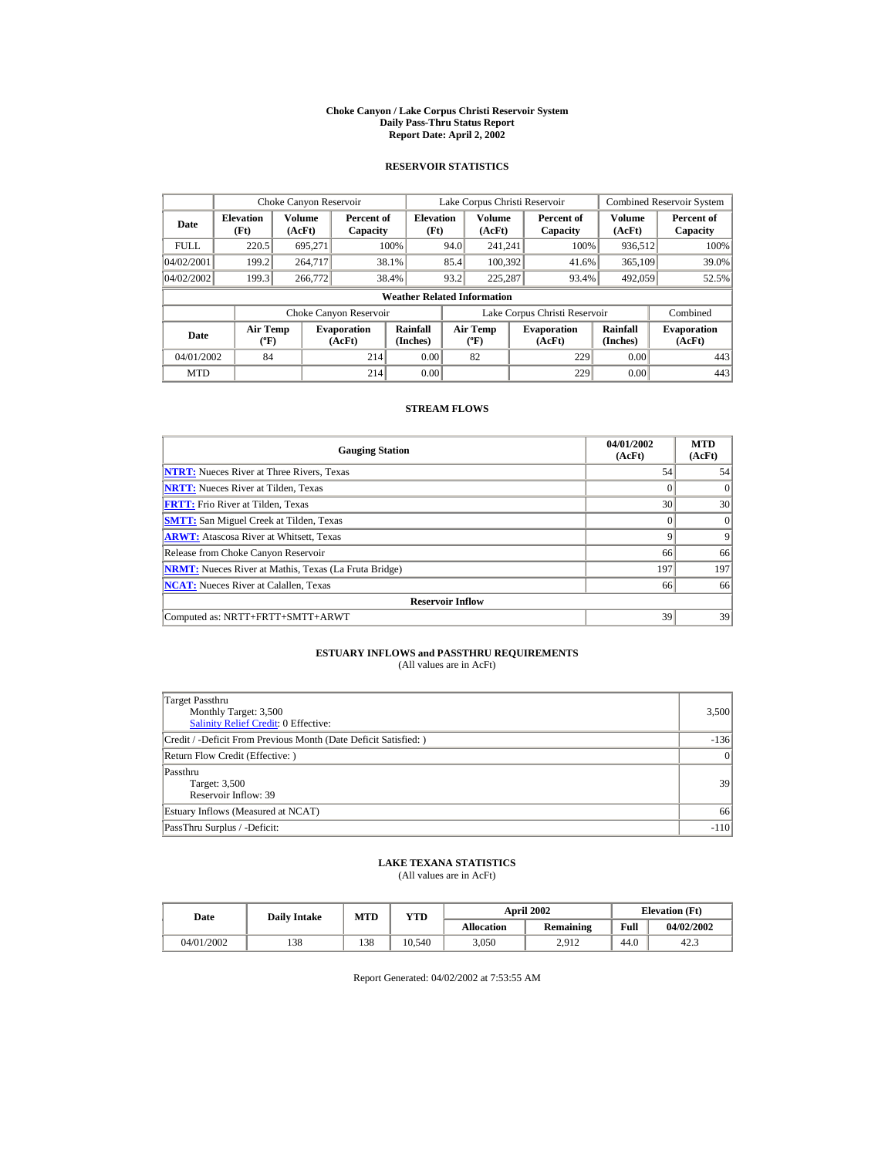#### **Choke Canyon / Lake Corpus Christi Reservoir System Daily Pass-Thru Status Report Report Date: April 2, 2002**

### **RESERVOIR STATISTICS**

|             | Choke Canyon Reservoir                      |                  |                              |                          |      | Lake Corpus Christi Reservoir             |  |                               |                      | <b>Combined Reservoir System</b> |  |  |
|-------------|---------------------------------------------|------------------|------------------------------|--------------------------|------|-------------------------------------------|--|-------------------------------|----------------------|----------------------------------|--|--|
| Date        | <b>Elevation</b><br>(Ft)                    | Volume<br>(AcFt) | Percent of<br>Capacity       | <b>Elevation</b><br>(Ft) |      | Volume<br>(AcFt)                          |  | Percent of<br>Capacity        | Volume<br>(AcFt)     | Percent of<br>Capacity           |  |  |
| <b>FULL</b> | 220.5                                       | 695.271          |                              | 100%                     | 94.0 | 241.241                                   |  | 100%                          | 936,512              | 100%                             |  |  |
| 04/02/2001  | 199.2                                       | 264,717          |                              | 38.1%                    | 85.4 | 100.392                                   |  | 41.6%                         | 365,109              | 39.0%                            |  |  |
| 04/02/2002  | 199.3                                       | 266,772          |                              | 38.4%                    | 93.2 | 225,287                                   |  | 93.4%                         | 492,059              | 52.5%                            |  |  |
|             | <b>Weather Related Information</b>          |                  |                              |                          |      |                                           |  |                               |                      |                                  |  |  |
|             |                                             |                  | Choke Canyon Reservoir       |                          |      |                                           |  | Lake Corpus Christi Reservoir |                      | Combined                         |  |  |
| Date        | <b>Air Temp</b><br>$({}^{\circ}\mathrm{F})$ |                  | <b>Evaporation</b><br>(AcFt) | Rainfall<br>(Inches)     |      | <b>Air Temp</b><br>$({}^{\circ}\text{F})$ |  | <b>Evaporation</b><br>(AcFt)  | Rainfall<br>(Inches) | <b>Evaporation</b><br>(AcFt)     |  |  |
| 04/01/2002  | 84                                          |                  | 214                          | 0.00                     |      | 82                                        |  | 229                           | 0.00                 | 443                              |  |  |
| <b>MTD</b>  |                                             |                  | 214                          | 0.00                     |      |                                           |  | 229                           | 0.00                 | 443                              |  |  |

### **STREAM FLOWS**

| <b>Gauging Station</b>                                       | 04/01/2002<br>(AcFt) | <b>MTD</b><br>(AcFt) |
|--------------------------------------------------------------|----------------------|----------------------|
| <b>NTRT:</b> Nueces River at Three Rivers, Texas             | 54                   | 54                   |
| <b>NRTT:</b> Nueces River at Tilden, Texas                   | $\Omega$             | $\Omega$             |
| <b>FRTT:</b> Frio River at Tilden, Texas                     | 30                   | 30                   |
| <b>SMTT:</b> San Miguel Creek at Tilden, Texas               | $\Omega$             | $\Omega$             |
| <b>ARWT:</b> Atascosa River at Whitsett, Texas               | 9                    | 9                    |
| Release from Choke Canyon Reservoir                          | 66                   | 66                   |
| <b>NRMT:</b> Nueces River at Mathis, Texas (La Fruta Bridge) | 197                  | 197                  |
| <b>NCAT:</b> Nueces River at Calallen, Texas                 | 66                   | 66                   |
| <b>Reservoir Inflow</b>                                      |                      |                      |
| Computed as: NRTT+FRTT+SMTT+ARWT                             | 39                   | 39                   |

# **ESTUARY INFLOWS and PASSTHRU REQUIREMENTS**<br>(All values are in AcFt)

| Target Passthru<br>Monthly Target: 3,500<br><b>Salinity Relief Credit: 0 Effective:</b> | 3,500     |
|-----------------------------------------------------------------------------------------|-----------|
| Credit / -Deficit From Previous Month (Date Deficit Satisfied:)                         | $-136$    |
| Return Flow Credit (Effective: )                                                        | $\vert$ 0 |
| Passthru<br>Target: 3,500<br>Reservoir Inflow: 39                                       | 39        |
| Estuary Inflows (Measured at NCAT)                                                      | 66        |
| PassThru Surplus / -Deficit:                                                            | $-110$    |

## **LAKE TEXANA STATISTICS**

(All values are in AcFt)

| Date       | <b>Daily Intake</b> | MTD | <b>VTD</b> |                   | <b>April 2002</b> |      | <b>Elevation</b> (Ft) |
|------------|---------------------|-----|------------|-------------------|-------------------|------|-----------------------|
|            |                     |     |            | <b>Allocation</b> | Remaining         | Full | 04/02/2002            |
| 04/01/2002 | 138                 | 138 | 10.540     | 3.050             | 2.912             | 44.0 | 42.3                  |

Report Generated: 04/02/2002 at 7:53:55 AM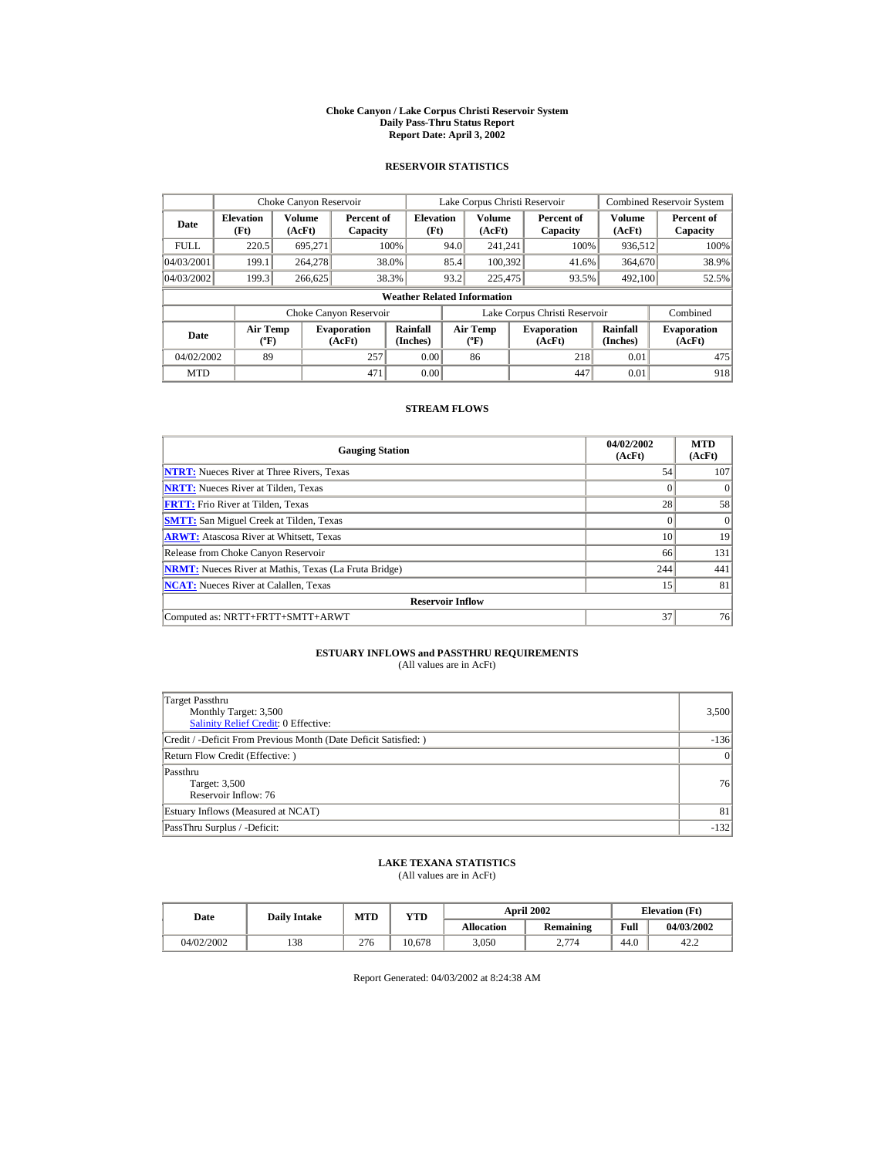#### **Choke Canyon / Lake Corpus Christi Reservoir System Daily Pass-Thru Status Report Report Date: April 3, 2002**

### **RESERVOIR STATISTICS**

|             | Choke Canyon Reservoir                      |                  |                              |                          | Lake Corpus Christi Reservoir |                                  |  |                               |                      | <b>Combined Reservoir System</b> |  |  |
|-------------|---------------------------------------------|------------------|------------------------------|--------------------------|-------------------------------|----------------------------------|--|-------------------------------|----------------------|----------------------------------|--|--|
| Date        | <b>Elevation</b><br>(Ft)                    | Volume<br>(AcFt) | Percent of<br>Capacity       | <b>Elevation</b><br>(Ft) |                               | Volume<br>(AcFt)                 |  | Percent of<br>Capacity        | Volume<br>(AcFt)     | Percent of<br>Capacity           |  |  |
| <b>FULL</b> | 220.5                                       | 695.271          |                              | 100%                     | 94.0                          | 241.241                          |  | 100%                          | 936,512              | 100%                             |  |  |
| 04/03/2001  | 199.1                                       | 264,278          |                              | 38.0%                    | 85.4                          | 100.392                          |  | 41.6%                         | 364,670              | 38.9%                            |  |  |
| 04/03/2002  | 199.3                                       | 266,625          |                              | 38.3%                    | 93.2                          | 225,475                          |  | 93.5%                         | 492,100              | 52.5%                            |  |  |
|             | <b>Weather Related Information</b>          |                  |                              |                          |                               |                                  |  |                               |                      |                                  |  |  |
|             |                                             |                  | Choke Canyon Reservoir       |                          |                               |                                  |  | Lake Corpus Christi Reservoir |                      | Combined                         |  |  |
| Date        | <b>Air Temp</b><br>$({}^{\circ}\mathrm{F})$ |                  | <b>Evaporation</b><br>(AcFt) | Rainfall<br>(Inches)     |                               | <b>Air Temp</b><br>$(^{\circ}F)$ |  | <b>Evaporation</b><br>(AcFt)  | Rainfall<br>(Inches) | <b>Evaporation</b><br>(AcFt)     |  |  |
| 04/02/2002  | 89                                          |                  | 257                          | 0.00                     |                               | 86                               |  | 218                           | 0.01                 | 475                              |  |  |
| <b>MTD</b>  |                                             |                  | 471                          | 0.00                     |                               |                                  |  | 447                           | 0.01                 | 918                              |  |  |

### **STREAM FLOWS**

| <b>Gauging Station</b>                                       | 04/02/2002<br>(AcFt) | <b>MTD</b><br>(AcFt) |
|--------------------------------------------------------------|----------------------|----------------------|
| <b>NTRT:</b> Nueces River at Three Rivers, Texas             | 54                   | 107                  |
| <b>NRTT:</b> Nueces River at Tilden, Texas                   |                      |                      |
| <b>FRTT:</b> Frio River at Tilden, Texas                     | 28                   | 58                   |
| <b>SMTT:</b> San Miguel Creek at Tilden, Texas               |                      | $\Omega$             |
| <b>ARWT:</b> Atascosa River at Whitsett, Texas               | 10                   | 19                   |
| Release from Choke Canyon Reservoir                          | 66                   | 131                  |
| <b>NRMT:</b> Nueces River at Mathis, Texas (La Fruta Bridge) | 244                  | 441                  |
| <b>NCAT:</b> Nueces River at Calallen, Texas                 | 15                   | 81                   |
| <b>Reservoir Inflow</b>                                      |                      |                      |
| Computed as: NRTT+FRTT+SMTT+ARWT                             | 37                   | 76                   |

# **ESTUARY INFLOWS and PASSTHRU REQUIREMENTS**<br>(All values are in AcFt)

| Target Passthru<br>Monthly Target: 3,500<br><b>Salinity Relief Credit: 0 Effective:</b> | 3,500     |
|-----------------------------------------------------------------------------------------|-----------|
| Credit / -Deficit From Previous Month (Date Deficit Satisfied:)                         | $-136$    |
| Return Flow Credit (Effective: )                                                        | $\vert$ 0 |
| Passthru<br>Target: 3,500<br>Reservoir Inflow: 76                                       | 76        |
| Estuary Inflows (Measured at NCAT)                                                      | 81        |
| PassThru Surplus / -Deficit:                                                            | $-132$    |

## **LAKE TEXANA STATISTICS**

(All values are in AcFt)

| Date       | <b>Daily Intake</b> | <b>MTD</b> | YTD    |                   | <b>April 2002</b> | <b>Elevation</b> (Ft) |            |
|------------|---------------------|------------|--------|-------------------|-------------------|-----------------------|------------|
|            |                     |            |        | <b>Allocation</b> | Remaining         | Full                  | 04/03/2002 |
| 04/02/2002 | 138                 | 276        | 10.678 | 3.050             | 2.774<br>، ،      | 44.0                  | 42.2       |

Report Generated: 04/03/2002 at 8:24:38 AM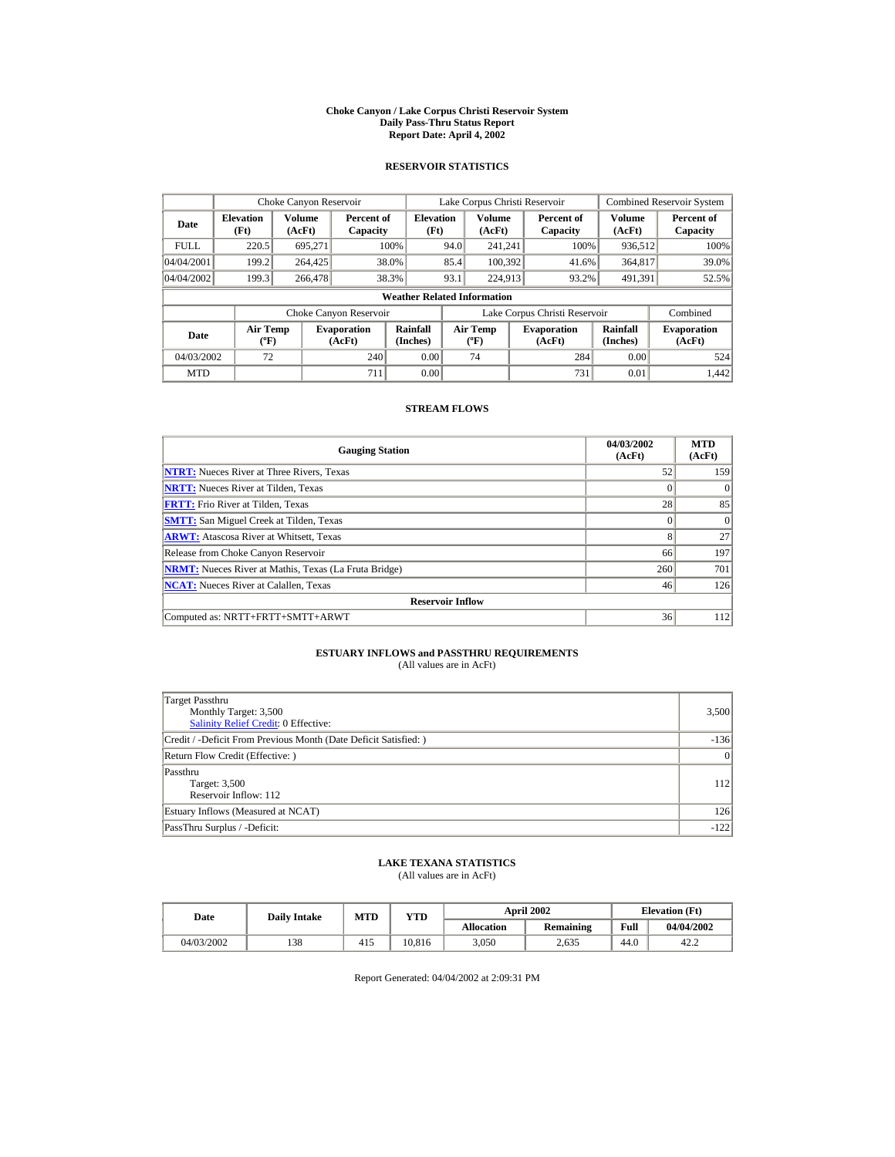#### **Choke Canyon / Lake Corpus Christi Reservoir System Daily Pass-Thru Status Report Report Date: April 4, 2002**

### **RESERVOIR STATISTICS**

|                                  | Choke Canyon Reservoir                      |                  |                              |                                    |                               | Lake Corpus Christi Reservoir    |  |                              |                      | <b>Combined Reservoir System</b> |
|----------------------------------|---------------------------------------------|------------------|------------------------------|------------------------------------|-------------------------------|----------------------------------|--|------------------------------|----------------------|----------------------------------|
| <b>Elevation</b><br>Date<br>(Ft) |                                             | Volume<br>(AcFt) | Percent of<br>Capacity       | <b>Elevation</b><br>(Ft)           |                               | Volume<br>(AcFt)                 |  | Percent of<br>Capacity       | Volume<br>(AcFt)     | Percent of<br>Capacity           |
| <b>FULL</b>                      | 220.5                                       | 695.271          |                              | 100%                               | 94.0                          | 241.241                          |  | 100%                         | 936,512              | 100%                             |
| 04/04/2001                       | 199.2                                       | 264,425          |                              | 38.0%                              | 85.4                          | 100.392                          |  | 41.6%                        | 364,817              | 39.0%                            |
| 04/04/2002                       | 199.3                                       | 266,478          |                              | 38.3%                              | 93.1                          | 224,913                          |  | 93.2%                        | 491.391              | 52.5%                            |
|                                  |                                             |                  |                              | <b>Weather Related Information</b> |                               |                                  |  |                              |                      |                                  |
|                                  |                                             |                  | Choke Canyon Reservoir       |                                    | Lake Corpus Christi Reservoir |                                  |  |                              | Combined             |                                  |
| Date                             | <b>Air Temp</b><br>$({}^{\circ}\mathrm{F})$ |                  | <b>Evaporation</b><br>(AcFt) | Rainfall<br>(Inches)               |                               | <b>Air Temp</b><br>$(^{\circ}F)$ |  | <b>Evaporation</b><br>(AcFt) | Rainfall<br>(Inches) | <b>Evaporation</b><br>(AcFt)     |
| 04/03/2002                       | 72                                          |                  | 240                          | 0.00                               |                               | 74                               |  | 284                          | 0.00                 | 524                              |
| <b>MTD</b>                       |                                             |                  | 711                          | 0.00                               |                               |                                  |  | 731                          | 0.01                 | 1.442                            |

### **STREAM FLOWS**

| <b>Gauging Station</b>                                       | 04/03/2002<br>(AcFt) | <b>MTD</b><br>(AcFt) |
|--------------------------------------------------------------|----------------------|----------------------|
| <b>NTRT:</b> Nueces River at Three Rivers, Texas             | 52                   | 159                  |
| <b>NRTT:</b> Nueces River at Tilden, Texas                   |                      | $\Omega$             |
| <b>FRTT:</b> Frio River at Tilden, Texas                     | 28                   | 85                   |
| <b>SMTT:</b> San Miguel Creek at Tilden, Texas               |                      | $\Omega$             |
| <b>ARWT:</b> Atascosa River at Whitsett, Texas               | 8                    | 27                   |
| Release from Choke Canyon Reservoir                          | 66                   | 197                  |
| <b>NRMT:</b> Nueces River at Mathis, Texas (La Fruta Bridge) | 260                  | 701                  |
| <b>NCAT:</b> Nueces River at Calallen, Texas                 | 46                   | 126                  |
| <b>Reservoir Inflow</b>                                      |                      |                      |
| Computed as: NRTT+FRTT+SMTT+ARWT                             | 36                   | 112                  |

# **ESTUARY INFLOWS and PASSTHRU REQUIREMENTS**<br>(All values are in AcFt)

| Target Passthru<br>Monthly Target: 3,500<br><b>Salinity Relief Credit: 0 Effective:</b> | 3,500     |
|-----------------------------------------------------------------------------------------|-----------|
| Credit / -Deficit From Previous Month (Date Deficit Satisfied:)                         | $-136$    |
| Return Flow Credit (Effective: )                                                        | $\vert$ 0 |
| Passthru<br>Target: 3,500<br>Reservoir Inflow: 112                                      | 112       |
| Estuary Inflows (Measured at NCAT)                                                      | 126       |
| PassThru Surplus / -Deficit:                                                            | $-122$    |

## **LAKE TEXANA STATISTICS**

(All values are in AcFt)

| Date       | <b>Daily Intake</b> | MTD | <b>VTD</b> |                   | <b>April 2002</b> |      | <b>Elevation</b> (Ft) |
|------------|---------------------|-----|------------|-------------------|-------------------|------|-----------------------|
|            |                     |     |            | <b>Allocation</b> | Remaining         | Full | 04/04/2002            |
| 04/03/2002 | 138                 | 415 | 10.816     | 3.050             | 2.635             | 44.0 | 42.2                  |

Report Generated: 04/04/2002 at 2:09:31 PM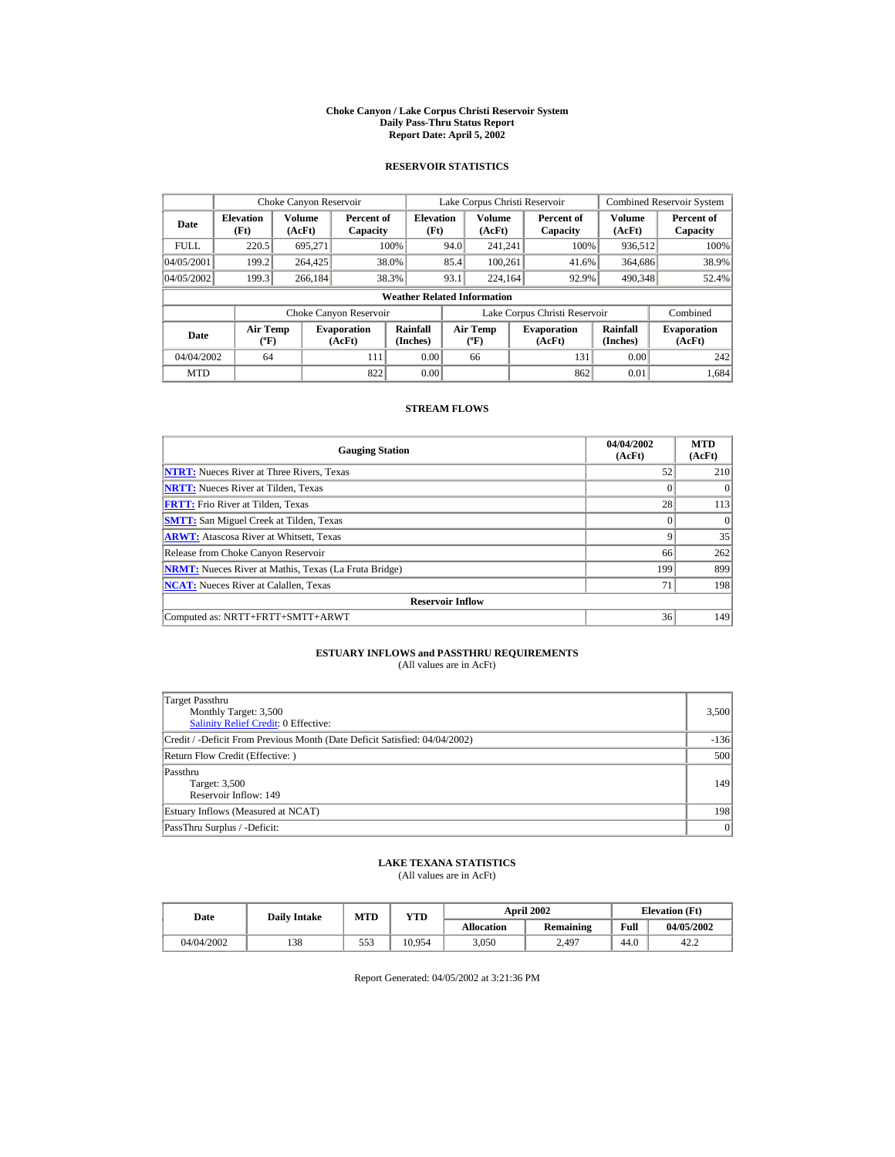#### **Choke Canyon / Lake Corpus Christi Reservoir System Daily Pass-Thru Status Report Report Date: April 5, 2002**

### **RESERVOIR STATISTICS**

|                                                     | Choke Canyon Reservoir |                              |                        |                                    |                                  | Lake Corpus Christi Reservoir |                              |                        |                              | <b>Combined Reservoir System</b> |
|-----------------------------------------------------|------------------------|------------------------------|------------------------|------------------------------------|----------------------------------|-------------------------------|------------------------------|------------------------|------------------------------|----------------------------------|
| <b>Elevation</b><br>Date<br>(Ft)                    |                        | Volume<br>(AcFt)             | Percent of<br>Capacity | <b>Elevation</b><br>(Ft)           |                                  | Volume<br>(AcFt)              |                              | Percent of<br>Capacity | Volume<br>(AcFt)             | Percent of<br>Capacity           |
| <b>FULL</b>                                         | 220.5                  | 695.271                      |                        | 100%                               | 94.0                             | 241.241                       |                              | 100%                   | 936,512                      | 100%                             |
| 04/05/2001                                          | 199.2                  | 264,425                      | 38.0%                  |                                    | 85.4                             | 100.261                       |                              | 41.6%                  | 364,686                      | 38.9%                            |
| 04/05/2002                                          | 199.3                  | 266.184                      | 38.3%                  |                                    | 93.1                             | 224,164                       |                              | 92.9%                  | 490.348                      | 52.4%                            |
|                                                     |                        |                              |                        | <b>Weather Related Information</b> |                                  |                               |                              |                        |                              |                                  |
|                                                     |                        |                              | Choke Canyon Reservoir |                                    | Lake Corpus Christi Reservoir    |                               |                              |                        | Combined                     |                                  |
| <b>Air Temp</b><br>Date<br>$({}^{\circ}\mathrm{F})$ |                        | <b>Evaporation</b><br>(AcFt) | Rainfall<br>(Inches)   |                                    | <b>Air Temp</b><br>$(^{\circ}F)$ |                               | <b>Evaporation</b><br>(AcFt) | Rainfall<br>(Inches)   | <b>Evaporation</b><br>(AcFt) |                                  |
| 04/04/2002                                          | 64                     |                              | 111                    | 0.00                               |                                  | 66                            |                              | 131                    | 0.00                         | 242                              |
| <b>MTD</b>                                          |                        |                              | 822                    | 0.00                               |                                  |                               |                              | 862                    | 0.01                         | 1.684                            |

### **STREAM FLOWS**

| <b>Gauging Station</b>                                       | 04/04/2002<br>(AcFt) | <b>MTD</b><br>(AcFt) |
|--------------------------------------------------------------|----------------------|----------------------|
| <b>NTRT:</b> Nueces River at Three Rivers, Texas             | 52                   | 210                  |
| <b>NRTT:</b> Nueces River at Tilden, Texas                   | $\Omega$             | $\Omega$             |
| <b>FRTT:</b> Frio River at Tilden, Texas                     | 28                   | 113                  |
| <b>SMTT:</b> San Miguel Creek at Tilden, Texas               | $\Omega$             | $\Omega$             |
| <b>ARWT:</b> Atascosa River at Whitsett, Texas               | 9                    | 35                   |
| Release from Choke Canyon Reservoir                          | 66                   | 262                  |
| <b>NRMT:</b> Nueces River at Mathis, Texas (La Fruta Bridge) | 199                  | 899                  |
| <b>NCAT:</b> Nueces River at Calallen, Texas                 | 71                   | 198                  |
| <b>Reservoir Inflow</b>                                      |                      |                      |
| Computed as: NRTT+FRTT+SMTT+ARWT                             | 36                   | 149                  |

# **ESTUARY INFLOWS and PASSTHRU REQUIREMENTS**<br>(All values are in AcFt)

| Target Passthru<br>Monthly Target: 3,500<br><b>Salinity Relief Credit: 0 Effective:</b> | 3,500  |
|-----------------------------------------------------------------------------------------|--------|
| Credit / -Deficit From Previous Month (Date Deficit Satisfied: 04/04/2002)              | $-136$ |
| Return Flow Credit (Effective: )                                                        | 500    |
| Passthru<br>Target: 3,500<br>Reservoir Inflow: 149                                      | 149    |
| Estuary Inflows (Measured at NCAT)                                                      | 198    |
| PassThru Surplus / -Deficit:                                                            | 0      |

## **LAKE TEXANA STATISTICS**

(All values are in AcFt)

| Date       | <b>Daily Intake</b> | MTD | YTD    | <b>April 2002</b> |                  |      | <b>Elevation</b> (Ft) |
|------------|---------------------|-----|--------|-------------------|------------------|------|-----------------------|
|            |                     |     |        | <b>Allocation</b> | <b>Remaining</b> | Full | 04/05/2002            |
| 04/04/2002 | 138                 | 553 | 10.954 | 3.050             | 2.497            | 44.0 | 42.2                  |

Report Generated: 04/05/2002 at 3:21:36 PM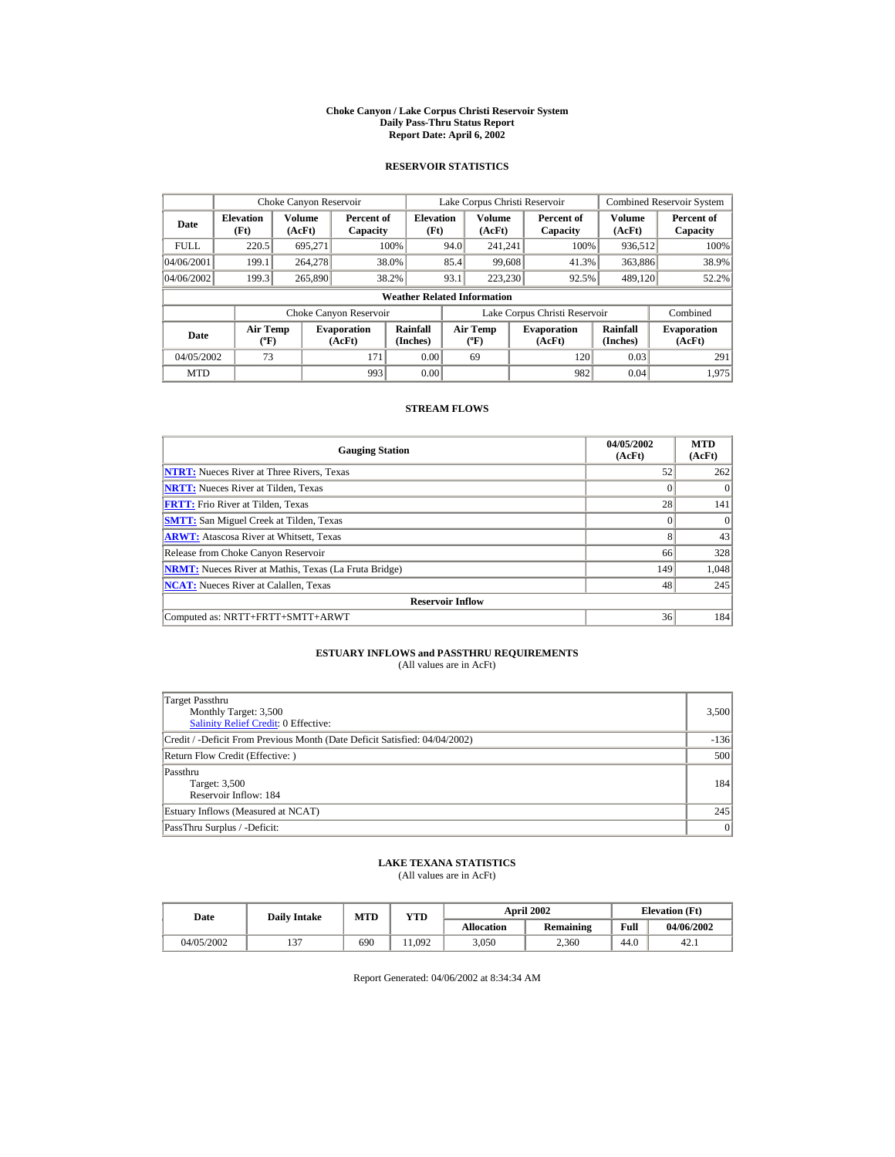#### **Choke Canyon / Lake Corpus Christi Reservoir System Daily Pass-Thru Status Report Report Date: April 6, 2002**

### **RESERVOIR STATISTICS**

|                                            | Choke Canyon Reservoir                      |         |                              |                                    |      | Lake Corpus Christi Reservoir    |                               |                      | <b>Combined Reservoir System</b> |
|--------------------------------------------|---------------------------------------------|---------|------------------------------|------------------------------------|------|----------------------------------|-------------------------------|----------------------|----------------------------------|
| <b>Elevation</b><br>Date<br>(Ft)<br>(AcFt) |                                             | Volume  | Percent of<br>Capacity       | <b>Elevation</b><br>(Ft)           |      | Volume<br>(AcFt)                 | Percent of<br>Capacity        | Volume<br>(AcFt)     | Percent of<br>Capacity           |
| <b>FULL</b>                                | 220.5                                       | 695.271 |                              | 100%                               | 94.0 | 241.241                          | 100%                          | 936,512              | 100%                             |
| 04/06/2001                                 | 199.1                                       | 264,278 |                              | 38.0%                              | 85.4 | 99,608                           | 41.3%                         | 363,886              | 38.9%                            |
| 04/06/2002                                 | 199.3                                       | 265,890 |                              | 38.2%                              | 93.1 | 223,230                          | 92.5%                         | 489.120              | 52.2%                            |
|                                            |                                             |         |                              | <b>Weather Related Information</b> |      |                                  |                               |                      |                                  |
|                                            |                                             |         | Choke Canyon Reservoir       |                                    |      |                                  | Lake Corpus Christi Reservoir |                      | Combined                         |
| Date                                       | <b>Air Temp</b><br>$({}^{\circ}\mathrm{F})$ |         | <b>Evaporation</b><br>(AcFt) | Rainfall<br>(Inches)               |      | <b>Air Temp</b><br>$(^{\circ}F)$ | <b>Evaporation</b><br>(AcFt)  | Rainfall<br>(Inches) | <b>Evaporation</b><br>(AcFt)     |
| 04/05/2002                                 | 73                                          |         | 171                          | 0.00                               |      | 69                               | 120                           | 0.03                 | 291                              |
| <b>MTD</b>                                 |                                             |         | 993                          | 0.00                               |      |                                  | 982                           | 0.04                 | 1.975                            |

### **STREAM FLOWS**

| <b>Gauging Station</b>                                       | 04/05/2002<br>(AcFt) | <b>MTD</b><br>(AcFt) |
|--------------------------------------------------------------|----------------------|----------------------|
| <b>NTRT:</b> Nueces River at Three Rivers, Texas             | 52                   | 262                  |
| <b>NRTT:</b> Nueces River at Tilden, Texas                   | $\Omega$             | $\Omega$             |
| <b>FRTT:</b> Frio River at Tilden, Texas                     | 28                   | 141                  |
| <b>SMTT:</b> San Miguel Creek at Tilden, Texas               | $\Omega$             | $\Omega$             |
| <b>ARWT:</b> Atascosa River at Whitsett, Texas               | 8                    | 43                   |
| Release from Choke Canyon Reservoir                          | 66                   | 328                  |
| <b>NRMT:</b> Nueces River at Mathis, Texas (La Fruta Bridge) | 149                  | 1,048                |
| <b>NCAT:</b> Nueces River at Calallen, Texas                 | 48                   | 245                  |
| <b>Reservoir Inflow</b>                                      |                      |                      |
| Computed as: NRTT+FRTT+SMTT+ARWT                             | 36                   | 184                  |

# **ESTUARY INFLOWS and PASSTHRU REQUIREMENTS**<br>(All values are in AcFt)

| Target Passthru<br>Monthly Target: 3,500<br><b>Salinity Relief Credit: 0 Effective:</b> | 3,500  |
|-----------------------------------------------------------------------------------------|--------|
| Credit / -Deficit From Previous Month (Date Deficit Satisfied: 04/04/2002)              | $-136$ |
| Return Flow Credit (Effective: )                                                        | 500    |
| Passthru<br>Target: 3,500<br>Reservoir Inflow: 184                                      | 184    |
| Estuary Inflows (Measured at NCAT)                                                      | 245    |
| PassThru Surplus / -Deficit:                                                            | 0      |

## **LAKE TEXANA STATISTICS**

(All values are in AcFt)

| Date       | <b>Daily Intake</b> | MTD | YTD   | <b>April 2002</b> |                  |      | <b>Elevation</b> (Ft) |
|------------|---------------------|-----|-------|-------------------|------------------|------|-----------------------|
|            |                     |     |       | <b>Allocation</b> | <b>Remaining</b> | Full | 04/06/2002            |
| 04/05/2002 | $\sim$              | 690 | 1.092 | 3.050             | 2.360            | 44.0 | 42.1                  |

Report Generated: 04/06/2002 at 8:34:34 AM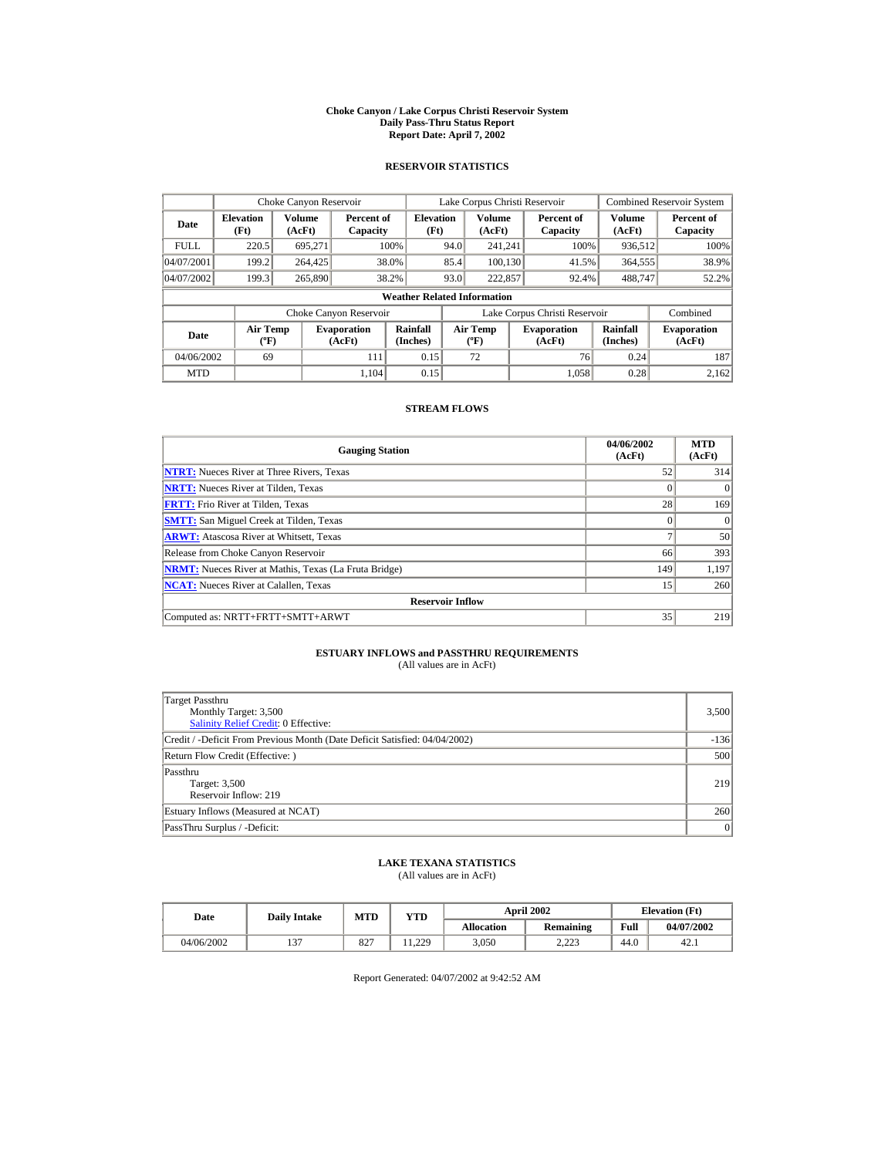#### **Choke Canyon / Lake Corpus Christi Reservoir System Daily Pass-Thru Status Report Report Date: April 7, 2002**

### **RESERVOIR STATISTICS**

|             | Choke Canyon Reservoir                      |                  |                              |                                    |      | Lake Corpus Christi Reservoir           |                               |                      | <b>Combined Reservoir System</b> |
|-------------|---------------------------------------------|------------------|------------------------------|------------------------------------|------|-----------------------------------------|-------------------------------|----------------------|----------------------------------|
| Date        | <b>Elevation</b><br>(Ft)                    | Volume<br>(AcFt) | Percent of<br>Capacity       | <b>Elevation</b><br>(Ft)           |      | <b>Volume</b><br>(AcFt)                 | Percent of<br>Capacity        | Volume<br>(AcFt)     | Percent of<br>Capacity           |
| <b>FULL</b> | 220.5                                       | 695.271          |                              | 100%                               | 94.0 | 241.241                                 | 100%                          | 936,512              | 100%                             |
| 04/07/2001  | 199.2                                       | 264,425          |                              | 38.0%                              | 85.4 | 100.130                                 | 41.5%                         | 364,555              | 38.9%                            |
| 04/07/2002  | 199.3                                       | 265,890          |                              | 38.2%                              | 93.0 | 222,857                                 | 92.4%                         | 488,747              | 52.2%                            |
|             |                                             |                  |                              | <b>Weather Related Information</b> |      |                                         |                               |                      |                                  |
|             |                                             |                  | Choke Canyon Reservoir       |                                    |      |                                         | Lake Corpus Christi Reservoir |                      | Combined                         |
| Date        | <b>Air Temp</b><br>$({}^{\circ}\mathrm{F})$ |                  | <b>Evaporation</b><br>(AcFt) | Rainfall<br>(Inches)               |      | <b>Air Temp</b><br>$(^{\circ}\text{F})$ | <b>Evaporation</b><br>(AcFt)  | Rainfall<br>(Inches) | <b>Evaporation</b><br>(AcFt)     |
| 04/06/2002  | 69                                          |                  | 111                          | 0.15                               |      | 72                                      | 76                            | 0.24                 | 187                              |
| <b>MTD</b>  |                                             |                  | 1.104                        | 0.15                               |      |                                         | 1.058                         | 0.28                 | 2.162                            |

### **STREAM FLOWS**

| <b>Gauging Station</b>                                       | 04/06/2002<br>(AcFt) | <b>MTD</b><br>(AcFt) |
|--------------------------------------------------------------|----------------------|----------------------|
| <b>NTRT:</b> Nueces River at Three Rivers, Texas             | 52                   | 314                  |
| <b>NRTT:</b> Nueces River at Tilden, Texas                   | $\Omega$             | $\Omega$             |
| <b>FRTT:</b> Frio River at Tilden, Texas                     | 28                   | 169                  |
| <b>SMTT:</b> San Miguel Creek at Tilden, Texas               | $\Omega$             | $\Omega$             |
| <b>ARWT:</b> Atascosa River at Whitsett, Texas               | a                    | 50                   |
| Release from Choke Canyon Reservoir                          | 66                   | 393                  |
| <b>NRMT:</b> Nueces River at Mathis, Texas (La Fruta Bridge) | 149                  | 1,197                |
| <b>NCAT:</b> Nueces River at Calallen, Texas                 | 15                   | 260                  |
| <b>Reservoir Inflow</b>                                      |                      |                      |
| Computed as: NRTT+FRTT+SMTT+ARWT                             | 35                   | 219                  |

# **ESTUARY INFLOWS and PASSTHRU REQUIREMENTS**<br>(All values are in AcFt)

| Target Passthru<br>Monthly Target: 3,500<br><b>Salinity Relief Credit: 0 Effective:</b> | 3,500  |
|-----------------------------------------------------------------------------------------|--------|
| Credit / -Deficit From Previous Month (Date Deficit Satisfied: 04/04/2002)              | $-136$ |
| Return Flow Credit (Effective: )                                                        | 500    |
| Passthru<br>Target: 3,500<br>Reservoir Inflow: 219                                      | 219    |
| Estuary Inflows (Measured at NCAT)                                                      | 260    |
| PassThru Surplus / -Deficit:                                                            | 0      |

## **LAKE TEXANA STATISTICS**

(All values are in AcFt)

| Date       | <b>Daily Intake</b> | <b>MTD</b> | YTD   |                   | <b>April 2002</b> |      | <b>Elevation</b> (Ft) |
|------------|---------------------|------------|-------|-------------------|-------------------|------|-----------------------|
|            |                     |            |       | <b>Allocation</b> | <b>Remaining</b>  | Full | 04/07/2002            |
| 04/06/2002 | $\sim$              | 827        | 1.229 | 3.050             | າ າາາ<br>د ے۔۔    | 44.0 | 42.1                  |

Report Generated: 04/07/2002 at 9:42:52 AM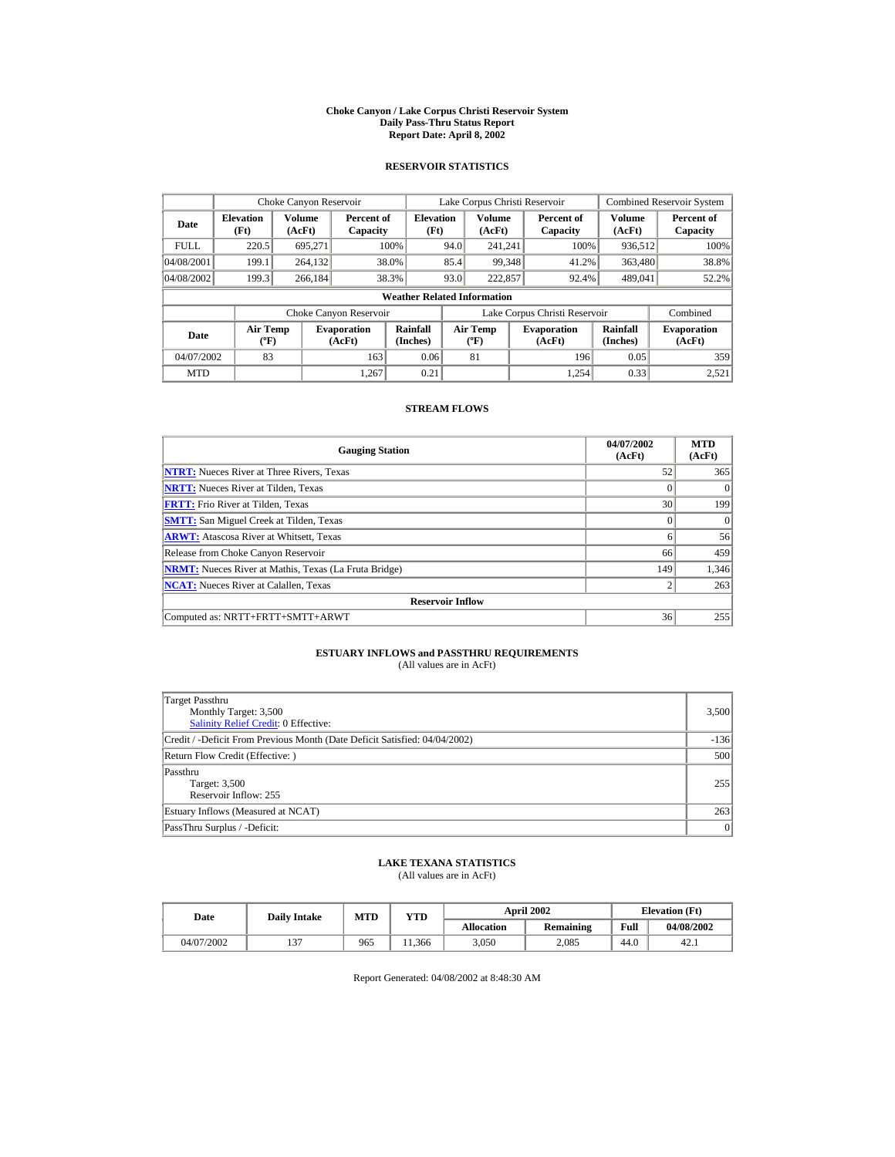#### **Choke Canyon / Lake Corpus Christi Reservoir System Daily Pass-Thru Status Report Report Date: April 8, 2002**

### **RESERVOIR STATISTICS**

|             | Choke Canyon Reservoir                      |                  |                              |                                    |      | Lake Corpus Christi Reservoir    |                               |                      | <b>Combined Reservoir System</b> |
|-------------|---------------------------------------------|------------------|------------------------------|------------------------------------|------|----------------------------------|-------------------------------|----------------------|----------------------------------|
| Date        | <b>Elevation</b><br>(Ft)                    | Volume<br>(AcFt) | Percent of<br>Capacity       | <b>Elevation</b><br>(Ft)           |      | Volume<br>(AcFt)                 | Percent of<br>Capacity        | Volume<br>(AcFt)     | Percent of<br>Capacity           |
| <b>FULL</b> | 220.5                                       | 695.271          |                              | 100%                               | 94.0 | 241.241                          | 100%                          | 936,512              | 100%                             |
| 04/08/2001  | 199.1                                       | 264,132          |                              | 38.0%                              | 85.4 | 99.348                           | 41.2%                         | 363,480              | 38.8%                            |
| 04/08/2002  | 199.3                                       | 266.184          |                              | 38.3%                              | 93.0 | 222,857                          | 92.4%                         | 489,041              | 52.2%                            |
|             |                                             |                  |                              | <b>Weather Related Information</b> |      |                                  |                               |                      |                                  |
|             |                                             |                  | Choke Canyon Reservoir       |                                    |      |                                  | Lake Corpus Christi Reservoir |                      | Combined                         |
| Date        | <b>Air Temp</b><br>$({}^{\circ}\mathrm{F})$ |                  | <b>Evaporation</b><br>(AcFt) | Rainfall<br>(Inches)               |      | <b>Air Temp</b><br>$(^{\circ}F)$ | <b>Evaporation</b><br>(AcFt)  | Rainfall<br>(Inches) | <b>Evaporation</b><br>(AcFt)     |
| 04/07/2002  | 83                                          |                  | 163                          | 0.06                               |      | 81                               | 196                           | 0.05                 | 359                              |
| <b>MTD</b>  |                                             |                  | 1.267                        | 0.21                               |      |                                  | 1.254                         | 0.33                 | 2,521                            |

### **STREAM FLOWS**

| <b>Gauging Station</b>                                       | 04/07/2002<br>(AcFt) | <b>MTD</b><br>(AcFt) |
|--------------------------------------------------------------|----------------------|----------------------|
| <b>NTRT:</b> Nueces River at Three Rivers, Texas             | 52                   | 365                  |
| <b>NRTT:</b> Nueces River at Tilden, Texas                   | $\Omega$             | $\Omega$             |
| <b>FRTT:</b> Frio River at Tilden, Texas                     | 30                   | 199                  |
| <b>SMTT:</b> San Miguel Creek at Tilden, Texas               | $\Omega$             | $\Omega$             |
| <b>ARWT:</b> Atascosa River at Whitsett, Texas               | 6                    | 56                   |
| Release from Choke Canyon Reservoir                          | 66                   | 459                  |
| <b>NRMT:</b> Nueces River at Mathis, Texas (La Fruta Bridge) | 149                  | 1,346                |
| <b>NCAT:</b> Nueces River at Calallen, Texas                 | $\overline{2}$       | 263                  |
| <b>Reservoir Inflow</b>                                      |                      |                      |
| Computed as: NRTT+FRTT+SMTT+ARWT                             | 36                   | 255                  |

# **ESTUARY INFLOWS and PASSTHRU REQUIREMENTS**<br>(All values are in AcFt)

| Target Passthru<br>Monthly Target: 3,500<br><b>Salinity Relief Credit: 0 Effective:</b> | 3,500  |
|-----------------------------------------------------------------------------------------|--------|
| Credit / -Deficit From Previous Month (Date Deficit Satisfied: 04/04/2002)              | $-136$ |
| Return Flow Credit (Effective: )                                                        | 500    |
| Passthru<br>Target: 3,500<br>Reservoir Inflow: 255                                      | 255    |
| Estuary Inflows (Measured at NCAT)                                                      | 263    |
| PassThru Surplus / -Deficit:                                                            | 0      |

## **LAKE TEXANA STATISTICS**

(All values are in AcFt)

| Date       | <b>Daily Intake</b> | MTD | YTD    |                   | <b>April 2002</b> |      | <b>Elevation</b> (Ft) |
|------------|---------------------|-----|--------|-------------------|-------------------|------|-----------------------|
|            |                     |     |        | <b>Allocation</b> | <b>Remaining</b>  | Full | 04/08/2002            |
| 04/07/2002 | $\sim$              | 965 | .1.366 | 3.050             | 2.085             | 44.0 | 42.1                  |

Report Generated: 04/08/2002 at 8:48:30 AM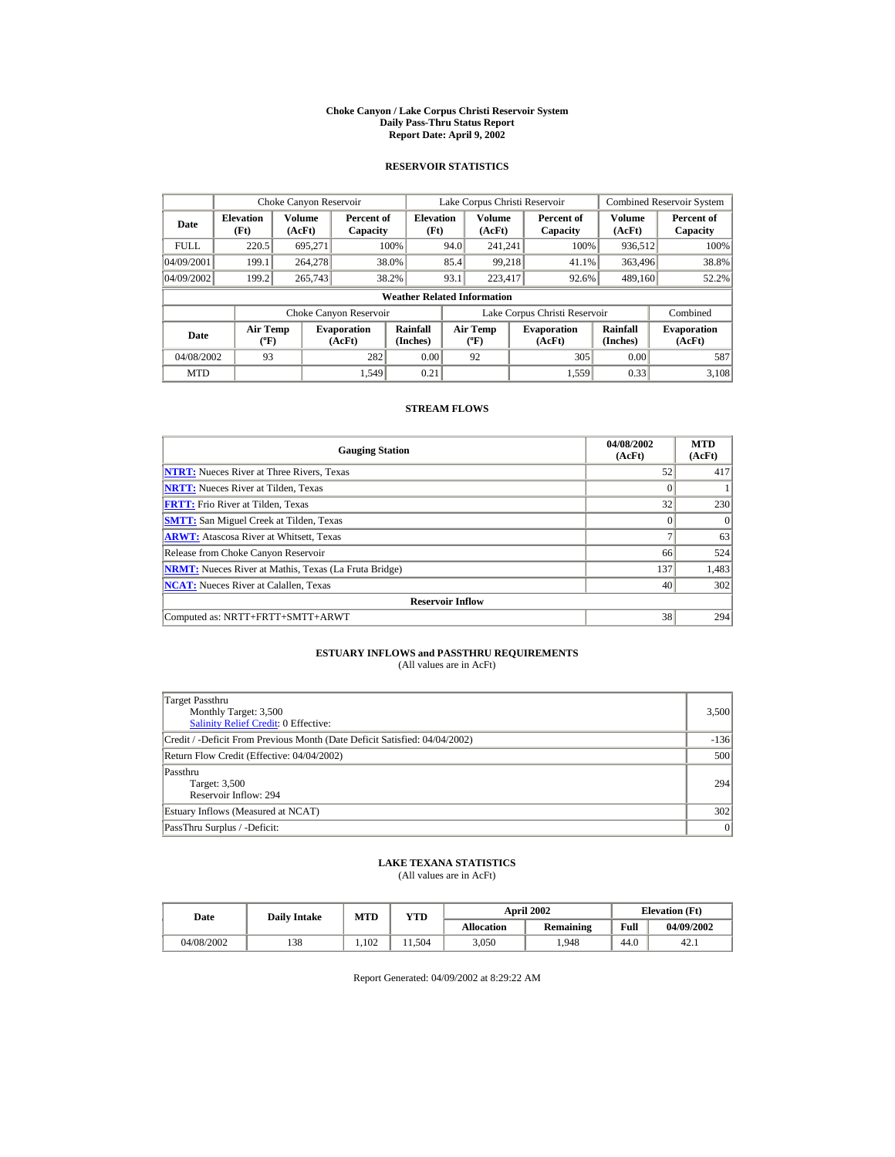#### **Choke Canyon / Lake Corpus Christi Reservoir System Daily Pass-Thru Status Report Report Date: April 9, 2002**

### **RESERVOIR STATISTICS**

| Choke Canyon Reservoir |                                             |                  |                              |                                    |      | Lake Corpus Christi Reservoir    |                               |                      | Combined Reservoir System    |
|------------------------|---------------------------------------------|------------------|------------------------------|------------------------------------|------|----------------------------------|-------------------------------|----------------------|------------------------------|
| Date                   | <b>Elevation</b><br>(Ft)                    | Volume<br>(AcFt) | Percent of<br>Capacity       | <b>Elevation</b><br>(Ft)           |      | Volume<br>(AcFt)                 | Percent of<br>Capacity        | Volume<br>(AcFt)     | Percent of<br>Capacity       |
| <b>FULL</b>            | 220.5                                       | 695.271          |                              | 100%                               | 94.0 | 241.241                          | 100%                          | 936,512              | 100%                         |
| 04/09/2001             | 199.1                                       | 264,278          |                              | 38.0%                              | 85.4 | 99.218                           | 41.1%                         | 363,496              | 38.8%                        |
| 04/09/2002             | 199.2                                       | 265,743          |                              | 38.2%                              | 93.1 | 223,417                          | 92.6%                         | 489,160              | 52.2%                        |
|                        |                                             |                  |                              | <b>Weather Related Information</b> |      |                                  |                               |                      |                              |
|                        |                                             |                  | Choke Canyon Reservoir       |                                    |      |                                  | Lake Corpus Christi Reservoir |                      | Combined                     |
| Date                   | <b>Air Temp</b><br>$({}^{\circ}\mathrm{F})$ |                  | <b>Evaporation</b><br>(AcFt) | Rainfall<br>(Inches)               |      | <b>Air Temp</b><br>$(^{\circ}F)$ | <b>Evaporation</b><br>(AcFt)  | Rainfall<br>(Inches) | <b>Evaporation</b><br>(AcFt) |
| 04/08/2002             | 93                                          |                  | 282                          | 0.00                               |      | 92                               | 305                           | 0.00                 | 587                          |
| <b>MTD</b>             |                                             |                  | 1.549                        | 0.21                               |      |                                  | 1,559                         | 0.33                 | 3.108                        |

### **STREAM FLOWS**

| <b>Gauging Station</b>                                       | 04/08/2002<br>(AcFt) | <b>MTD</b><br>(AcFt) |
|--------------------------------------------------------------|----------------------|----------------------|
| <b>NTRT:</b> Nueces River at Three Rivers, Texas             | 52                   | 417                  |
| <b>NRTT:</b> Nueces River at Tilden, Texas                   |                      |                      |
| <b>FRTT:</b> Frio River at Tilden, Texas                     | 32                   | 230                  |
| <b>SMTT:</b> San Miguel Creek at Tilden, Texas               |                      | $\Omega$             |
| <b>ARWT:</b> Atascosa River at Whitsett, Texas               |                      | 63                   |
| Release from Choke Canyon Reservoir                          | 66                   | 524                  |
| <b>NRMT:</b> Nueces River at Mathis, Texas (La Fruta Bridge) | 137                  | 1,483                |
| <b>NCAT:</b> Nueces River at Calallen, Texas                 | 40                   | 302                  |
| <b>Reservoir Inflow</b>                                      |                      |                      |
| Computed as: NRTT+FRTT+SMTT+ARWT                             | 38                   | 294                  |

# **ESTUARY INFLOWS and PASSTHRU REQUIREMENTS**<br>(All values are in AcFt)

| Target Passthru<br>Monthly Target: 3,500<br><b>Salinity Relief Credit: 0 Effective:</b> | 3,500  |
|-----------------------------------------------------------------------------------------|--------|
| Credit / -Deficit From Previous Month (Date Deficit Satisfied: 04/04/2002)              | $-136$ |
| Return Flow Credit (Effective: 04/04/2002)                                              | 500    |
| Passthru<br>Target: 3,500<br>Reservoir Inflow: 294                                      | 294    |
| Estuary Inflows (Measured at NCAT)                                                      | 302    |
| PassThru Surplus / -Deficit:                                                            | 0      |

## **LAKE TEXANA STATISTICS**

(All values are in AcFt)

| Date       | <b>Daily Intake</b> | MTD  | YTD   | <b>April 2002</b> |                  |      | <b>Elevation</b> (Ft) |
|------------|---------------------|------|-------|-------------------|------------------|------|-----------------------|
|            |                     |      |       | <b>Allocation</b> | <b>Remaining</b> | Full | 04/09/2002            |
| 04/08/2002 | 138                 | .102 | 1.504 | 3.050             | .948             | 44.0 | 42.1                  |

Report Generated: 04/09/2002 at 8:29:22 AM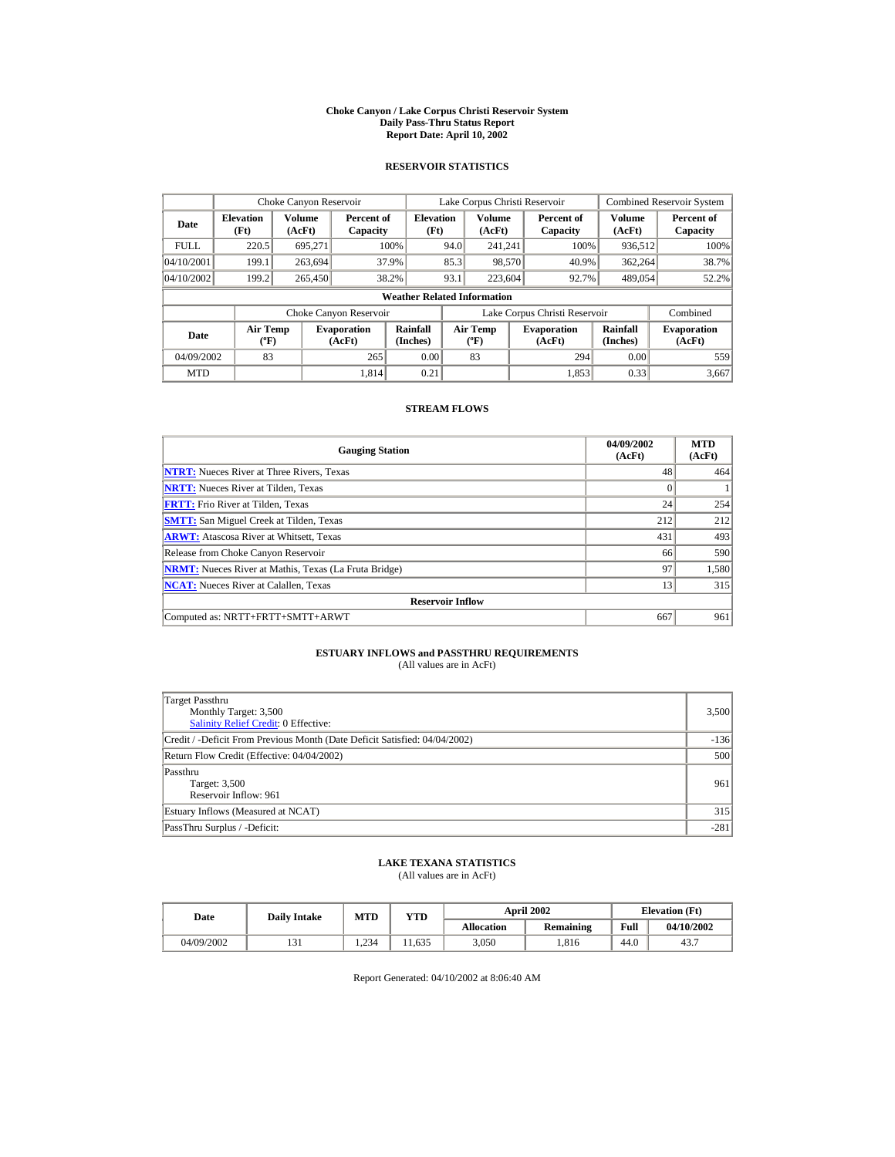#### **Choke Canyon / Lake Corpus Christi Reservoir System Daily Pass-Thru Status Report Report Date: April 10, 2002**

### **RESERVOIR STATISTICS**

|                                  | Choke Canyon Reservoir                      |                        |                              |                                                    | Lake Corpus Christi Reservoir |                                          |  |                              |                      | <b>Combined Reservoir System</b> |
|----------------------------------|---------------------------------------------|------------------------|------------------------------|----------------------------------------------------|-------------------------------|------------------------------------------|--|------------------------------|----------------------|----------------------------------|
| <b>Elevation</b><br>Date<br>(Ft) |                                             | Volume<br>(AcFt)       |                              | <b>Elevation</b><br>Percent of<br>(Ft)<br>Capacity |                               | <b>Volume</b><br>(AcFt)                  |  | Percent of<br>Capacity       | Volume<br>(AcFt)     | Percent of<br>Capacity           |
| <b>FULL</b>                      | 220.5                                       | 695.271                |                              | 100%                                               | 94.0                          | 241.241                                  |  | 100%                         | 936,512              | 100%                             |
| 04/10/2001                       | 199.1                                       | 263,694                |                              | 37.9%                                              | 85.3                          | 98,570                                   |  | 40.9%                        | 362,264              | 38.7%                            |
| 04/10/2002                       | 199.2                                       | 265,450                |                              | 38.2%                                              | 93.1                          | 223,604                                  |  | 92.7%                        | 489,054              | 52.2%                            |
|                                  |                                             |                        |                              | <b>Weather Related Information</b>                 |                               |                                          |  |                              |                      |                                  |
|                                  |                                             | Choke Canyon Reservoir |                              |                                                    |                               | Lake Corpus Christi Reservoir            |  | Combined                     |                      |                                  |
| Date                             | <b>Air Temp</b><br>$({}^{\circ}\mathrm{F})$ |                        | <b>Evaporation</b><br>(AcFt) | Rainfall<br>(Inches)                               |                               | <b>Air Temp</b><br>$({}^{\circ}{\rm F})$ |  | <b>Evaporation</b><br>(AcFt) | Rainfall<br>(Inches) | <b>Evaporation</b><br>(AcFt)     |
| 04/09/2002                       | 83                                          |                        | 265                          | 0.00                                               |                               | 83                                       |  | 294                          | 0.00                 | 559                              |
| <b>MTD</b>                       |                                             |                        | 1.814                        | 0.21                                               |                               |                                          |  | 1.853                        | 0.33                 | 3.667                            |

### **STREAM FLOWS**

| <b>Gauging Station</b>                                       | 04/09/2002<br>(AcFt) | <b>MTD</b><br>(AcFt) |
|--------------------------------------------------------------|----------------------|----------------------|
| <b>NTRT:</b> Nueces River at Three Rivers, Texas             | 48                   | 464                  |
| <b>NRTT:</b> Nueces River at Tilden, Texas                   | $\Omega$             |                      |
| <b>FRTT:</b> Frio River at Tilden. Texas                     | 24                   | 254                  |
| <b>SMTT:</b> San Miguel Creek at Tilden, Texas               | 212                  | 212                  |
| <b>ARWT:</b> Atascosa River at Whitsett, Texas               | 431                  | 493                  |
| Release from Choke Canyon Reservoir                          | 66                   | 590                  |
| <b>NRMT:</b> Nueces River at Mathis, Texas (La Fruta Bridge) | 97                   | 1,580                |
| <b>NCAT:</b> Nueces River at Calallen, Texas                 | 13                   | 315                  |
| <b>Reservoir Inflow</b>                                      |                      |                      |
| Computed as: NRTT+FRTT+SMTT+ARWT                             | 667                  | 961                  |

# **ESTUARY INFLOWS and PASSTHRU REQUIREMENTS**<br>(All values are in AcFt)

| Target Passthru<br>Monthly Target: 3,500<br><b>Salinity Relief Credit: 0 Effective:</b> | 3,500  |
|-----------------------------------------------------------------------------------------|--------|
| Credit / -Deficit From Previous Month (Date Deficit Satisfied: 04/04/2002)              | $-136$ |
| Return Flow Credit (Effective: 04/04/2002)                                              | 500    |
| Passthru<br>Target: 3,500<br>Reservoir Inflow: 961                                      | 961    |
| Estuary Inflows (Measured at NCAT)                                                      | 315    |
| PassThru Surplus / -Deficit:                                                            | $-281$ |

## **LAKE TEXANA STATISTICS**

(All values are in AcFt)

| Date       |                 | <b>April 2002</b><br><b>MTD</b><br>YTD<br><b>Daily Intake</b> |       |                   | <b>Elevation</b> (Ft) |      |            |
|------------|-----------------|---------------------------------------------------------------|-------|-------------------|-----------------------|------|------------|
|            |                 |                                                               |       | <b>Allocation</b> | Remaining             | Full | 04/10/2002 |
| 04/09/2002 | $\sim$<br>1 J 1 | 1.234                                                         | 1.635 | 3.050             | .816                  | 44.0 | 43.7       |

Report Generated: 04/10/2002 at 8:06:40 AM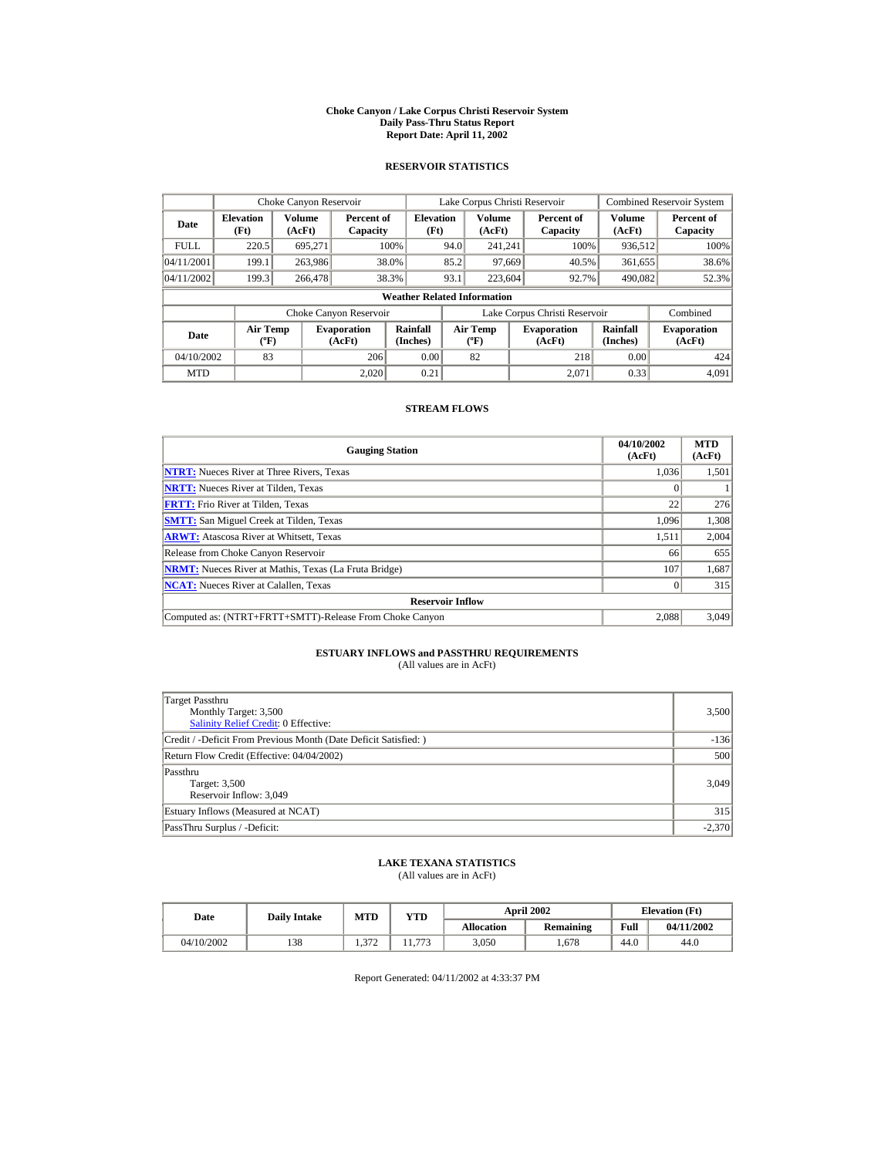#### **Choke Canyon / Lake Corpus Christi Reservoir System Daily Pass-Thru Status Report Report Date: April 11, 2002**

### **RESERVOIR STATISTICS**

|                                  | Choke Canyon Reservoir                      |                         |                              |                                    |      | Lake Corpus Christi Reservoir                    |                               |                         | <b>Combined Reservoir System</b> |
|----------------------------------|---------------------------------------------|-------------------------|------------------------------|------------------------------------|------|--------------------------------------------------|-------------------------------|-------------------------|----------------------------------|
| <b>Elevation</b><br>Date<br>(Ft) |                                             | <b>Volume</b><br>(AcFt) | Percent of<br>Capacity       | <b>Elevation</b><br>(Ft)           |      | <b>Volume</b><br>(AcFt)                          | Percent of<br>Capacity        | <b>Volume</b><br>(AcFt) | Percent of<br>Capacity           |
| <b>FULL</b>                      | 220.5                                       | 695.271                 |                              | 100%                               | 94.0 | 241.241                                          | 100%                          | 936,512                 | 100%                             |
| 04/11/2001                       | 199.1                                       | 263,986                 |                              | 38.0%                              | 85.2 | 97.669                                           | 40.5%                         | 361,655                 | 38.6%                            |
| 04/11/2002                       | 199.3                                       | 266,478                 |                              | 38.3%                              | 93.1 | 223,604                                          | 92.7%                         | 490,082                 | 52.3%                            |
|                                  |                                             |                         |                              | <b>Weather Related Information</b> |      |                                                  |                               |                         |                                  |
|                                  |                                             |                         | Choke Canyon Reservoir       |                                    |      |                                                  | Lake Corpus Christi Reservoir |                         | Combined                         |
| Date                             | <b>Air Temp</b><br>$({}^{\circ}\mathrm{F})$ |                         | <b>Evaporation</b><br>(AcFt) | Rainfall<br>(Inches)               |      | <b>Air Temp</b><br>$({}^{\mathrm{o}}\mathrm{F})$ | <b>Evaporation</b><br>(AcFt)  | Rainfall<br>(Inches)    | <b>Evaporation</b><br>(AcFt)     |
| 04/10/2002                       | 83                                          |                         | 206                          | 0.00                               |      | 82                                               | 218                           | 0.00                    | 424                              |
| <b>MTD</b>                       |                                             |                         | 2.020                        | 0.21                               |      |                                                  | 2.071                         | 0.33                    | 4,091                            |

### **STREAM FLOWS**

| <b>Gauging Station</b>                                       | 04/10/2002<br>(AcFt) | <b>MTD</b><br>(AcFt) |
|--------------------------------------------------------------|----------------------|----------------------|
| <b>NTRT:</b> Nueces River at Three Rivers, Texas             | 1.036                | 1,501                |
| <b>NRTT:</b> Nueces River at Tilden, Texas                   |                      |                      |
| <b>FRTT:</b> Frio River at Tilden, Texas                     | 22                   | 276                  |
| <b>SMTT:</b> San Miguel Creek at Tilden, Texas               | 1,096                | 1,308                |
| <b>ARWT:</b> Atascosa River at Whitsett, Texas               | 1,511                | 2,004                |
| Release from Choke Canyon Reservoir                          | 66                   | 655                  |
| <b>NRMT:</b> Nueces River at Mathis, Texas (La Fruta Bridge) | 107                  | 1,687                |
| <b>NCAT:</b> Nueces River at Calallen, Texas                 |                      | 315                  |
| <b>Reservoir Inflow</b>                                      |                      |                      |
| Computed as: (NTRT+FRTT+SMTT)-Release From Choke Canyon      | 2.088                | 3,049                |

# **ESTUARY INFLOWS and PASSTHRU REQUIREMENTS**<br>(All values are in AcFt)

| Target Passthru<br>Monthly Target: 3,500<br><b>Salinity Relief Credit: 0 Effective:</b> | 3,500    |
|-----------------------------------------------------------------------------------------|----------|
| Credit / -Deficit From Previous Month (Date Deficit Satisfied:)                         | $-136$   |
| Return Flow Credit (Effective: 04/04/2002)                                              | 500      |
| Passthru<br>Target: 3,500<br>Reservoir Inflow: 3.049                                    | 3,049    |
| Estuary Inflows (Measured at NCAT)                                                      | 315      |
| PassThru Surplus / -Deficit:                                                            | $-2,370$ |

## **LAKE TEXANA STATISTICS**

(All values are in AcFt)

| Date       | <b>Daily Intake</b> | MTD          | <b>VTD</b> |                   | <b>April 2002</b> |      | <b>Elevation</b> (Ft) |
|------------|---------------------|--------------|------------|-------------------|-------------------|------|-----------------------|
|            |                     |              |            | <b>Allocation</b> | Remaining         | Full | 04/11/2002            |
| 04/10/2002 | 138                 | 372<br>1.714 | 772        | 3,050             | 678               | 44.0 | 44.0                  |

Report Generated: 04/11/2002 at 4:33:37 PM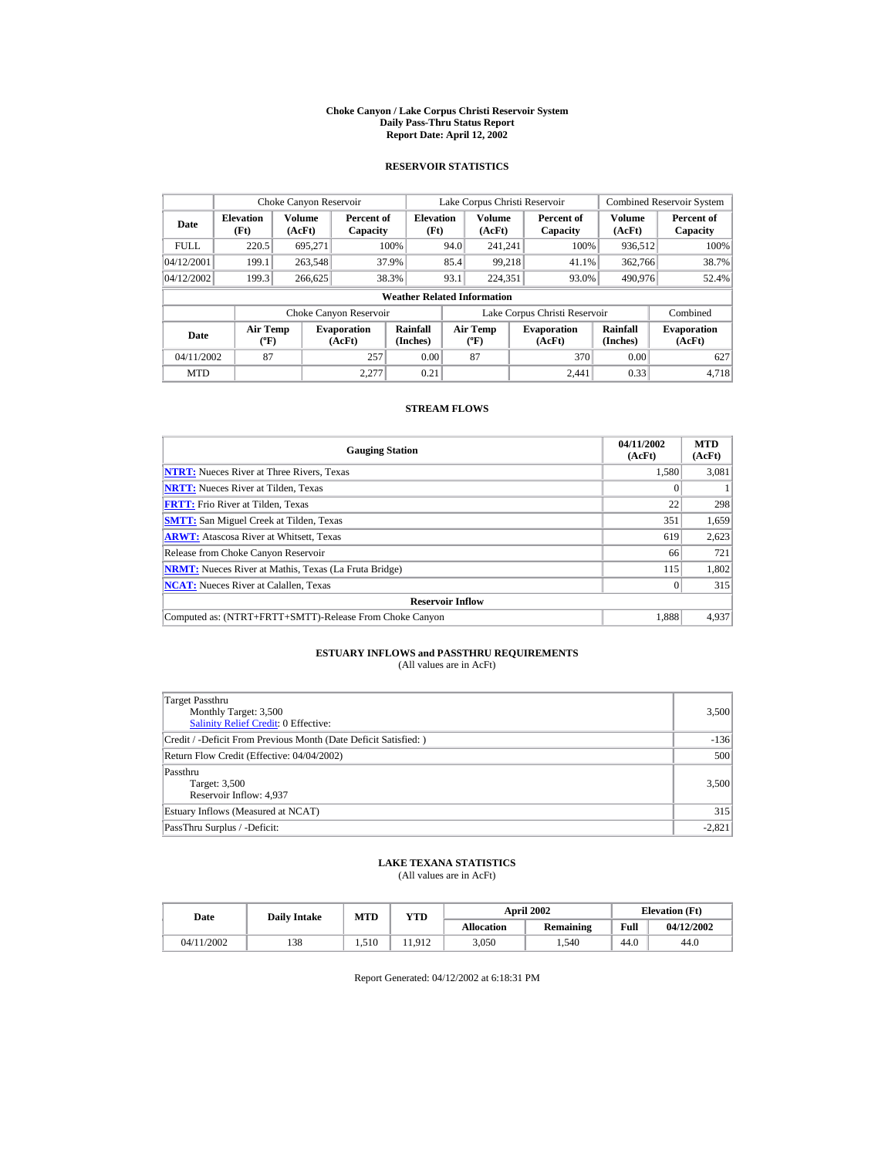#### **Choke Canyon / Lake Corpus Christi Reservoir System Daily Pass-Thru Status Report Report Date: April 12, 2002**

### **RESERVOIR STATISTICS**

|                                            | Choke Canyon Reservoir               |         |                              |                                    |      | Lake Corpus Christi Reservoir                    |                               |                         | <b>Combined Reservoir System</b> |
|--------------------------------------------|--------------------------------------|---------|------------------------------|------------------------------------|------|--------------------------------------------------|-------------------------------|-------------------------|----------------------------------|
| <b>Elevation</b><br>Date<br>(Ft)<br>(AcFt) |                                      | Volume  | Percent of<br>Capacity       | <b>Elevation</b><br>(Ft)           |      | <b>Volume</b><br>(AcFt)                          | Percent of<br>Capacity        | <b>Volume</b><br>(AcFt) | Percent of<br>Capacity           |
| <b>FULL</b>                                | 220.5                                | 695.271 |                              | 100%                               | 94.0 | 241.241                                          | 100%                          | 936.512                 | 100%                             |
| 04/12/2001                                 | 199.1                                | 263,548 |                              | 37.9%                              | 85.4 | 99.218                                           | 41.1%                         | 362,766                 | 38.7%                            |
| 04/12/2002                                 | 199.3                                | 266,625 |                              | 38.3%                              | 93.1 | 224.351                                          | 93.0%                         | 490,976                 | 52.4%                            |
|                                            |                                      |         |                              | <b>Weather Related Information</b> |      |                                                  |                               |                         |                                  |
|                                            |                                      |         | Choke Canyon Reservoir       |                                    |      |                                                  | Lake Corpus Christi Reservoir |                         | Combined                         |
| Date                                       | Air Temp<br>$({}^{\circ}\mathrm{F})$ |         | <b>Evaporation</b><br>(AcFt) | Rainfall<br>(Inches)               |      | <b>Air Temp</b><br>$({}^{\mathrm{o}}\mathrm{F})$ | <b>Evaporation</b><br>(AcFt)  | Rainfall<br>(Inches)    | <b>Evaporation</b><br>(AcFt)     |
| 87<br>257<br>04/11/2002                    |                                      | 0.00    |                              | 87                                 | 370  | 0.00                                             | 627                           |                         |                                  |
| <b>MTD</b>                                 |                                      |         | 2.277                        | 0.21                               |      |                                                  | 2.441                         | 0.33                    | 4.718                            |

### **STREAM FLOWS**

| <b>Gauging Station</b>                                       | 04/11/2002<br>(AcFt) | <b>MTD</b><br>(AcFt) |
|--------------------------------------------------------------|----------------------|----------------------|
| <b>NTRT:</b> Nueces River at Three Rivers, Texas             | 1,580                | 3,081                |
| <b>NRTT:</b> Nueces River at Tilden, Texas                   |                      |                      |
| <b>FRTT:</b> Frio River at Tilden, Texas                     | 22                   | 298                  |
| <b>SMTT:</b> San Miguel Creek at Tilden, Texas               | 351                  | 1,659                |
| <b>ARWT:</b> Atascosa River at Whitsett, Texas               | 619                  | 2,623                |
| Release from Choke Canyon Reservoir                          | 66                   | 721                  |
| <b>NRMT:</b> Nueces River at Mathis, Texas (La Fruta Bridge) | 115                  | 1,802                |
| <b>NCAT:</b> Nueces River at Calallen, Texas                 |                      | 315                  |
| <b>Reservoir Inflow</b>                                      |                      |                      |
| Computed as: (NTRT+FRTT+SMTT)-Release From Choke Canyon      | 1.888                | 4.937                |

# **ESTUARY INFLOWS and PASSTHRU REQUIREMENTS**<br>(All values are in AcFt)

| Target Passthru<br>Monthly Target: 3,500<br>Salinity Relief Credit: 0 Effective: | 3,500    |
|----------------------------------------------------------------------------------|----------|
| Credit / -Deficit From Previous Month (Date Deficit Satisfied: )                 | $-136$   |
| Return Flow Credit (Effective: 04/04/2002)                                       | 500      |
| Passthru<br>Target: 3,500<br>Reservoir Inflow: 4,937                             | 3,500    |
| Estuary Inflows (Measured at NCAT)                                               | 315      |
| PassThru Surplus / -Deficit:                                                     | $-2,821$ |

## **LAKE TEXANA STATISTICS**

(All values are in AcFt)

| Date       | <b>Daily Intake</b> |       | <b>April 2002</b><br>MTD |                   | $_{\rm VTD}$ |      | <b>Elevation</b> (Ft) |
|------------|---------------------|-------|--------------------------|-------------------|--------------|------|-----------------------|
|            |                     |       |                          | <b>Allocation</b> | Remaining    | Full | 04/12/2002            |
| 04/11/2002 | 138                 | 1.510 | 1.912                    | 3.050             | .540         | 44.0 | 44.0                  |

Report Generated: 04/12/2002 at 6:18:31 PM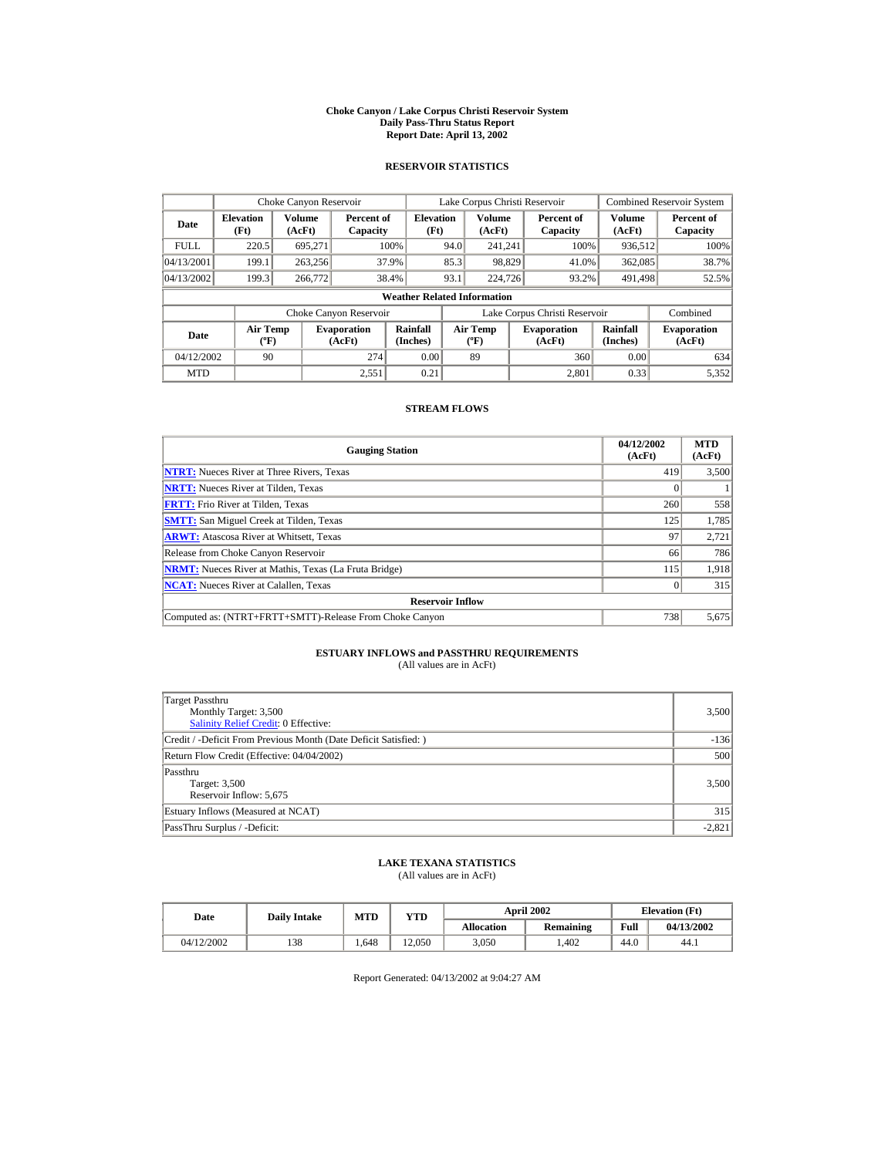#### **Choke Canyon / Lake Corpus Christi Reservoir System Daily Pass-Thru Status Report Report Date: April 13, 2002**

### **RESERVOIR STATISTICS**

|             | Choke Canyon Reservoir                      |                  |                              |                          | Lake Corpus Christi Reservoir |                                         |  |                               |                      | <b>Combined Reservoir System</b> |  |  |
|-------------|---------------------------------------------|------------------|------------------------------|--------------------------|-------------------------------|-----------------------------------------|--|-------------------------------|----------------------|----------------------------------|--|--|
| Date        | <b>Elevation</b><br>(Ft)                    | Volume<br>(AcFt) | Percent of<br>Capacity       | <b>Elevation</b><br>(Ft) |                               | <b>Volume</b><br>(AcFt)                 |  | Percent of<br>Capacity        | Volume<br>(AcFt)     | Percent of<br>Capacity           |  |  |
| <b>FULL</b> | 220.5                                       | 695.271          |                              | 100%                     | 94.0                          | 241.241                                 |  | 100%                          | 936,512              | 100%                             |  |  |
| 04/13/2001  | 199.1                                       | 263,256          |                              | 37.9%                    | 85.3                          | 98,829                                  |  | 41.0%                         | 362,085              | 38.7%                            |  |  |
| 04/13/2002  | 199.3                                       | 266,772          |                              | 38.4%                    | 93.1                          | 224,726                                 |  | 93.2%                         | 491,498              | 52.5%                            |  |  |
|             | <b>Weather Related Information</b>          |                  |                              |                          |                               |                                         |  |                               |                      |                                  |  |  |
|             |                                             |                  | Choke Canyon Reservoir       |                          |                               |                                         |  | Lake Corpus Christi Reservoir |                      | Combined                         |  |  |
| Date        | <b>Air Temp</b><br>$({}^{\circ}\mathrm{F})$ |                  | <b>Evaporation</b><br>(AcFt) | Rainfall<br>(Inches)     |                               | <b>Air Temp</b><br>$(^{\circ}\text{F})$ |  | <b>Evaporation</b><br>(AcFt)  | Rainfall<br>(Inches) | <b>Evaporation</b><br>(AcFt)     |  |  |
| 04/12/2002  | 90                                          |                  | 274                          | 0.00                     |                               | 89                                      |  | 360                           | 0.00                 | 634                              |  |  |
| <b>MTD</b>  |                                             |                  | 2.551                        | 0.21                     |                               |                                         |  | 2.801                         | 0.33                 | 5.352                            |  |  |

### **STREAM FLOWS**

| <b>Gauging Station</b>                                       | 04/12/2002<br>(AcFt) | <b>MTD</b><br>(AcFt) |
|--------------------------------------------------------------|----------------------|----------------------|
| <b>NTRT:</b> Nueces River at Three Rivers, Texas             | 419                  | 3,500                |
| <b>NRTT:</b> Nueces River at Tilden. Texas                   |                      |                      |
| <b>FRTT:</b> Frio River at Tilden, Texas                     | 260                  | 558                  |
| <b>SMTT:</b> San Miguel Creek at Tilden, Texas               | 125                  | 1,785                |
| <b>ARWT:</b> Atascosa River at Whitsett, Texas               | 97                   | 2,721                |
| Release from Choke Canyon Reservoir                          | 66                   | 786                  |
| <b>NRMT:</b> Nueces River at Mathis, Texas (La Fruta Bridge) | 115                  | 1.918                |
| <b>NCAT:</b> Nueces River at Calallen, Texas                 |                      | 315                  |
| <b>Reservoir Inflow</b>                                      |                      |                      |
| Computed as: (NTRT+FRTT+SMTT)-Release From Choke Canyon      | 738                  | 5,675                |

# **ESTUARY INFLOWS and PASSTHRU REQUIREMENTS**<br>(All values are in AcFt)

| Target Passthru<br>Monthly Target: 3,500<br><b>Salinity Relief Credit: 0 Effective:</b> | 3,500    |
|-----------------------------------------------------------------------------------------|----------|
| Credit / -Deficit From Previous Month (Date Deficit Satisfied:)                         | $-136$   |
| Return Flow Credit (Effective: 04/04/2002)                                              | 500      |
| Passthru<br>Target: 3,500<br>Reservoir Inflow: 5,675                                    | 3,500    |
| Estuary Inflows (Measured at NCAT)                                                      | 315      |
| PassThru Surplus / -Deficit:                                                            | $-2,821$ |

## **LAKE TEXANA STATISTICS**

(All values are in AcFt)

| Date       | <b>Daily Intake</b> | <b>MTD</b> | YTD    |                   | <b>April 2002</b> | <b>Elevation</b> (Ft) |            |
|------------|---------------------|------------|--------|-------------------|-------------------|-----------------------|------------|
|            |                     |            |        | <b>Allocation</b> | Remaining         | Full                  | 04/13/2002 |
| 04/12/2002 | 138                 | . 648      | 12.050 | 3.050             | .402              | 44.0                  | 44.1       |

Report Generated: 04/13/2002 at 9:04:27 AM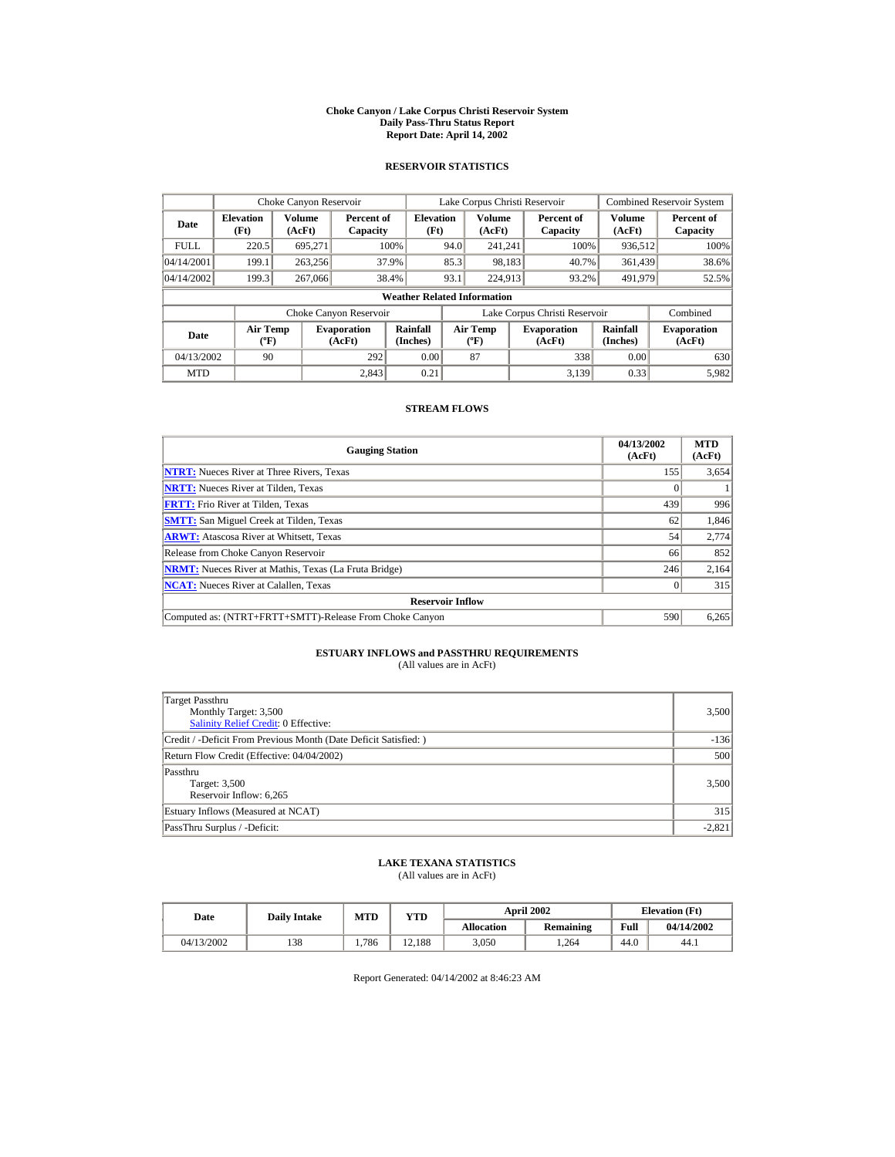#### **Choke Canyon / Lake Corpus Christi Reservoir System Daily Pass-Thru Status Report Report Date: April 14, 2002**

### **RESERVOIR STATISTICS**

|             | Choke Canyon Reservoir                      |                         |                              |                          | Lake Corpus Christi Reservoir |                                          |  |                               |                      | <b>Combined Reservoir System</b> |  |  |
|-------------|---------------------------------------------|-------------------------|------------------------------|--------------------------|-------------------------------|------------------------------------------|--|-------------------------------|----------------------|----------------------------------|--|--|
| Date        | <b>Elevation</b><br>(Ft)                    | <b>Volume</b><br>(AcFt) | Percent of<br>Capacity       | <b>Elevation</b><br>(Ft) |                               | <b>Volume</b><br>(AcFt)                  |  | Percent of<br>Capacity        | Volume<br>(AcFt)     | Percent of<br>Capacity           |  |  |
| <b>FULL</b> | 220.5                                       | 695.271                 |                              | 100%                     | 94.0                          | 241.241                                  |  | 100%                          | 936,512              | 100%                             |  |  |
| 04/14/2001  | 199.1                                       | 263,256                 |                              | 37.9%                    | 85.3                          | 98,183                                   |  | 40.7%                         | 361,439              | 38.6%                            |  |  |
| 04/14/2002  | 199.3                                       | 267,066                 |                              | 38.4%                    | 93.1                          | 224,913                                  |  | 93.2%                         | 491,979              | 52.5%                            |  |  |
|             | <b>Weather Related Information</b>          |                         |                              |                          |                               |                                          |  |                               |                      |                                  |  |  |
|             |                                             |                         | Choke Canyon Reservoir       |                          |                               |                                          |  | Lake Corpus Christi Reservoir |                      | Combined                         |  |  |
| Date        | <b>Air Temp</b><br>$({}^{\circ}\mathrm{F})$ |                         | <b>Evaporation</b><br>(AcFt) | Rainfall<br>(Inches)     |                               | <b>Air Temp</b><br>$({}^{\circ}{\rm F})$ |  | <b>Evaporation</b><br>(AcFt)  | Rainfall<br>(Inches) | <b>Evaporation</b><br>(AcFt)     |  |  |
| 04/13/2002  | 90                                          |                         | 292                          | 0.00                     |                               | 87                                       |  | 338                           | 0.00                 | 630                              |  |  |
| <b>MTD</b>  |                                             |                         | 2.843                        | 0.21                     |                               |                                          |  | 3.139                         | 0.33                 | 5.982                            |  |  |

### **STREAM FLOWS**

| <b>Gauging Station</b>                                       | 04/13/2002<br>(AcFt) | <b>MTD</b><br>(AcFt) |
|--------------------------------------------------------------|----------------------|----------------------|
| <b>NTRT:</b> Nueces River at Three Rivers, Texas             | 155                  | 3,654                |
| <b>NRTT:</b> Nueces River at Tilden, Texas                   |                      |                      |
| <b>FRTT:</b> Frio River at Tilden, Texas                     | 439                  | 996                  |
| <b>SMTT:</b> San Miguel Creek at Tilden, Texas               | 62                   | 1,846                |
| <b>ARWT:</b> Atascosa River at Whitsett, Texas               | 54                   | 2,774                |
| Release from Choke Canyon Reservoir                          | 66                   | 852                  |
| <b>NRMT:</b> Nueces River at Mathis, Texas (La Fruta Bridge) | 246                  | 2,164                |
| <b>NCAT:</b> Nueces River at Calallen, Texas                 |                      | 315                  |
| <b>Reservoir Inflow</b>                                      |                      |                      |
| Computed as: (NTRT+FRTT+SMTT)-Release From Choke Canyon      | 590                  | 6,265                |

# **ESTUARY INFLOWS and PASSTHRU REQUIREMENTS**<br>(All values are in AcFt)

| Target Passthru<br>Monthly Target: 3,500<br><b>Salinity Relief Credit: 0 Effective:</b> | 3,500    |
|-----------------------------------------------------------------------------------------|----------|
| Credit / -Deficit From Previous Month (Date Deficit Satisfied:)                         | $-136$   |
| Return Flow Credit (Effective: 04/04/2002)                                              | 500      |
| Passthru<br>Target: 3,500<br>Reservoir Inflow: 6,265                                    | 3,500    |
| Estuary Inflows (Measured at NCAT)                                                      | 315      |
| PassThru Surplus / -Deficit:                                                            | $-2,821$ |

## **LAKE TEXANA STATISTICS**

(All values are in AcFt)

| Date       | <b>Daily Intake</b> | <b>MTD</b><br>YTD |        |                   | <b>April 2002</b> | <b>Elevation</b> (Ft) |            |
|------------|---------------------|-------------------|--------|-------------------|-------------------|-----------------------|------------|
|            |                     |                   |        | <b>Allocation</b> | Remaining         | Full                  | 04/14/2002 |
| 04/13/2002 | 138                 | 1.786             | 12.188 | 3.050             | 1.264             | 44.0                  | 44.1       |

Report Generated: 04/14/2002 at 8:46:23 AM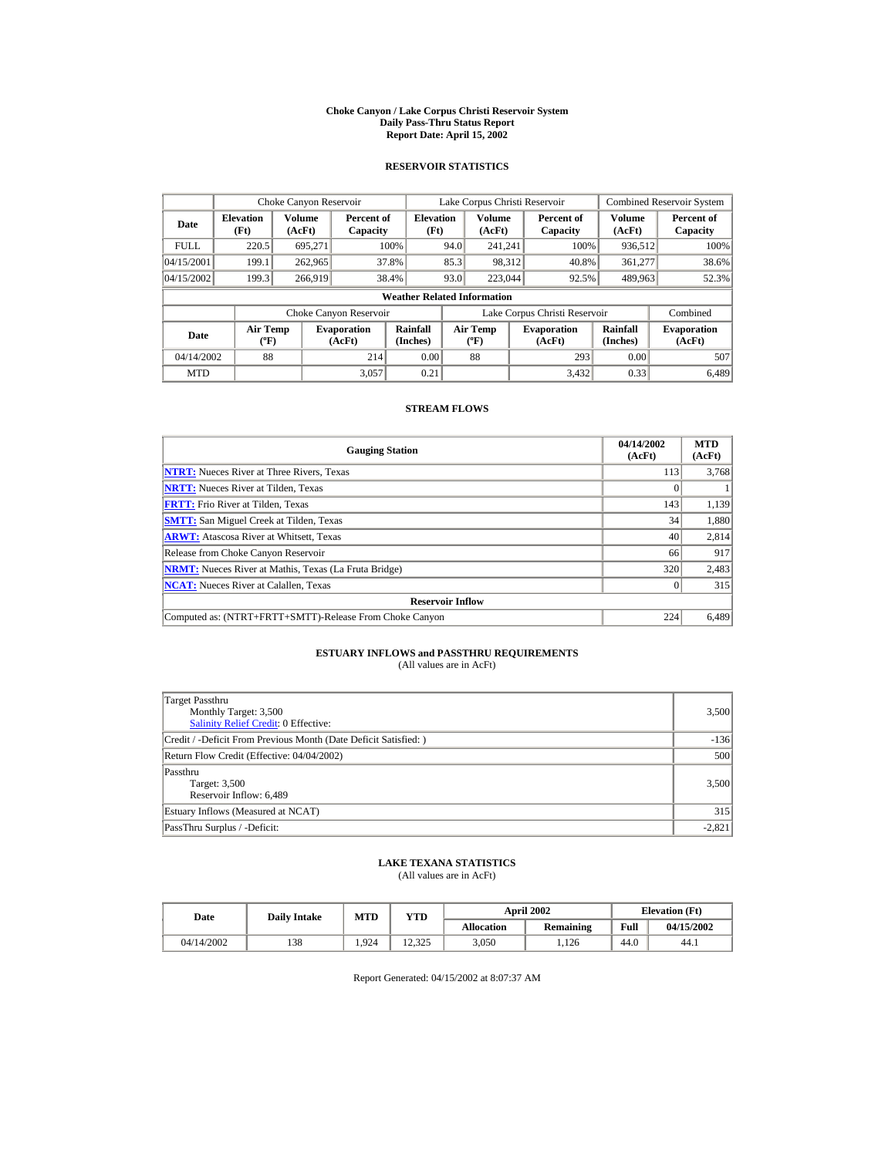#### **Choke Canyon / Lake Corpus Christi Reservoir System Daily Pass-Thru Status Report Report Date: April 15, 2002**

### **RESERVOIR STATISTICS**

|             | Choke Canyon Reservoir                |                  |                              |                          | Lake Corpus Christi Reservoir |                                   |  |                               |                         | <b>Combined Reservoir System</b> |  |  |
|-------------|---------------------------------------|------------------|------------------------------|--------------------------|-------------------------------|-----------------------------------|--|-------------------------------|-------------------------|----------------------------------|--|--|
| Date        | <b>Elevation</b><br>(Ft)              | Volume<br>(AcFt) | Percent of<br>Capacity       | <b>Elevation</b><br>(Ft) |                               | <b>Volume</b><br>(AcFt)           |  | Percent of<br>Capacity        | <b>Volume</b><br>(AcFt) | Percent of<br>Capacity           |  |  |
| <b>FULL</b> | 220.5                                 | 695,271          |                              | 100%                     | 94.0                          | 241.241                           |  | 100%                          | 936,512                 | 100%                             |  |  |
| 04/15/2001  | 199.1                                 | 262,965          |                              | 37.8%                    | 85.3                          | 98,312                            |  | 40.8%                         | 361,277                 | 38.6%                            |  |  |
| 04/15/2002  | 199.3                                 | 266.919          |                              | 38.4%                    | 93.0                          | 223,044                           |  | 92.5%                         | 489,963                 | 52.3%                            |  |  |
|             | <b>Weather Related Information</b>    |                  |                              |                          |                               |                                   |  |                               |                         |                                  |  |  |
|             |                                       |                  | Choke Canyon Reservoir       |                          |                               |                                   |  | Lake Corpus Christi Reservoir |                         | Combined                         |  |  |
| Date        | <b>Air Temp</b><br>$({}^o\mathrm{F})$ |                  | <b>Evaporation</b><br>(AcFt) | Rainfall<br>(Inches)     |                               | Air Temp<br>$({}^{\circ}{\rm F})$ |  | <b>Evaporation</b><br>(AcFt)  | Rainfall<br>(Inches)    | <b>Evaporation</b><br>(AcFt)     |  |  |
| 04/14/2002  | 88                                    |                  | 214                          | 0.00                     |                               | 88                                |  | 293                           | 0.00                    | 507                              |  |  |
| <b>MTD</b>  |                                       |                  | 3,057                        | 0.21                     |                               |                                   |  | 3.432                         | 0.33                    | 6.489                            |  |  |

### **STREAM FLOWS**

| <b>Gauging Station</b>                                       | 04/14/2002<br>(AcFt) | <b>MTD</b><br>(AcFt) |
|--------------------------------------------------------------|----------------------|----------------------|
| <b>NTRT:</b> Nueces River at Three Rivers, Texas             | 113                  | 3,768                |
| <b>NRTT:</b> Nueces River at Tilden, Texas                   |                      |                      |
| <b>FRTT:</b> Frio River at Tilden, Texas                     | 143                  | 1,139                |
| <b>SMTT:</b> San Miguel Creek at Tilden, Texas               | 34                   | 1,880                |
| <b>ARWT:</b> Atascosa River at Whitsett, Texas               | 40                   | 2,814                |
| Release from Choke Canyon Reservoir                          | 66                   | 917                  |
| <b>NRMT:</b> Nueces River at Mathis, Texas (La Fruta Bridge) | 320                  | 2,483                |
| <b>NCAT:</b> Nueces River at Calallen, Texas                 |                      | 315                  |
| <b>Reservoir Inflow</b>                                      |                      |                      |
| Computed as: (NTRT+FRTT+SMTT)-Release From Choke Canyon      | 224                  | 6,489                |

# **ESTUARY INFLOWS and PASSTHRU REQUIREMENTS**<br>(All values are in AcFt)

| Target Passthru<br>Monthly Target: 3,500<br><b>Salinity Relief Credit: 0 Effective:</b> | 3,500    |
|-----------------------------------------------------------------------------------------|----------|
| Credit / -Deficit From Previous Month (Date Deficit Satisfied:)                         | $-136$   |
| Return Flow Credit (Effective: 04/04/2002)                                              | 500      |
| Passthru<br>Target: 3,500<br>Reservoir Inflow: 6,489                                    | 3,500    |
| Estuary Inflows (Measured at NCAT)                                                      | 315      |
| PassThru Surplus / -Deficit:                                                            | $-2,821$ |

## **LAKE TEXANA STATISTICS**

(All values are in AcFt)

| Date       | <b>Daily Intake</b> | MTD  | $_{\rm VTD}$ |            | <b>April 2002</b> | <b>Elevation</b> (Ft) |            |
|------------|---------------------|------|--------------|------------|-------------------|-----------------------|------------|
|            |                     |      |              | Allocation | Remaining         | Full                  | 04/15/2002 |
| 04/14/2002 | 138                 | .924 | 12.325       | 3.050      | .126              | 44.0                  | 44.1       |

Report Generated: 04/15/2002 at 8:07:37 AM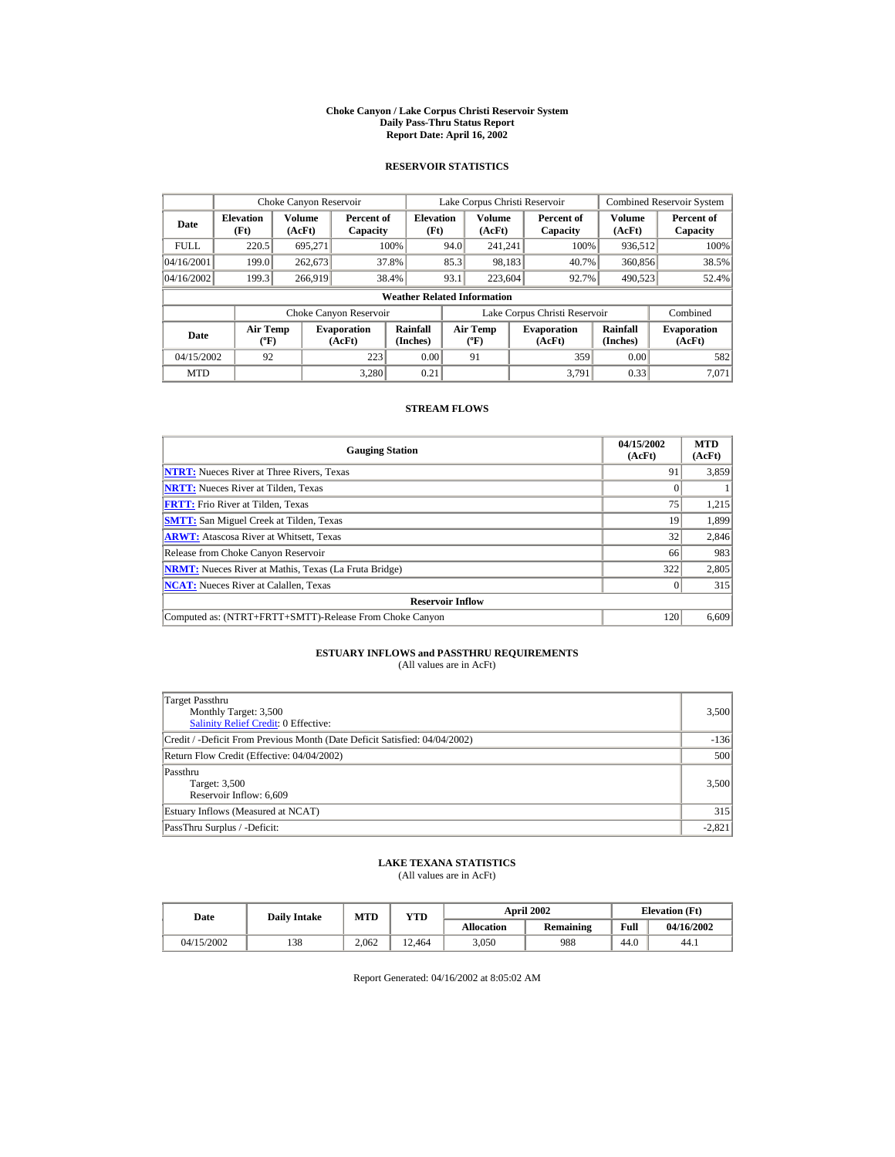#### **Choke Canyon / Lake Corpus Christi Reservoir System Daily Pass-Thru Status Report Report Date: April 16, 2002**

### **RESERVOIR STATISTICS**

|             | Choke Canyon Reservoir                      |                         |                              |                          | Lake Corpus Christi Reservoir |                                         |  |                               |                      | <b>Combined Reservoir System</b> |  |  |
|-------------|---------------------------------------------|-------------------------|------------------------------|--------------------------|-------------------------------|-----------------------------------------|--|-------------------------------|----------------------|----------------------------------|--|--|
| Date        | <b>Elevation</b><br>(Ft)                    | <b>Volume</b><br>(AcFt) | Percent of<br>Capacity       | <b>Elevation</b><br>(Ft) |                               | Volume<br>(AcFt)                        |  | Percent of<br>Capacity        | Volume<br>(AcFt)     | Percent of<br>Capacity           |  |  |
| <b>FULL</b> | 220.5                                       | 695.271                 |                              | 100%                     | 94.0                          | 241.241                                 |  | 100%                          | 936,512              | 100%                             |  |  |
| 04/16/2001  | 199.0                                       | 262,673                 |                              | 37.8%                    | 85.3                          | 98,183                                  |  | 40.7%                         | 360,856              | 38.5%                            |  |  |
| 04/16/2002  | 199.3                                       | 266,919                 |                              | 38.4%                    | 93.1                          | 223,604                                 |  | 92.7%                         | 490,523              | 52.4%                            |  |  |
|             | <b>Weather Related Information</b>          |                         |                              |                          |                               |                                         |  |                               |                      |                                  |  |  |
|             |                                             |                         | Choke Canyon Reservoir       |                          |                               |                                         |  | Lake Corpus Christi Reservoir |                      | Combined                         |  |  |
| Date        | <b>Air Temp</b><br>$({}^{\circ}\mathrm{F})$ |                         | <b>Evaporation</b><br>(AcFt) | Rainfall<br>(Inches)     |                               | <b>Air Temp</b><br>$(^{\circ}\text{F})$ |  | <b>Evaporation</b><br>(AcFt)  | Rainfall<br>(Inches) | <b>Evaporation</b><br>(AcFt)     |  |  |
| 04/15/2002  | 92                                          |                         | 223                          | 0.00                     |                               | 91                                      |  | 359                           | 0.00                 | 582                              |  |  |
| <b>MTD</b>  |                                             |                         | 3.280                        | 0.21                     |                               |                                         |  | 3.791                         | 0.33                 | 7.071                            |  |  |

### **STREAM FLOWS**

| <b>Gauging Station</b>                                       | 04/15/2002<br>(AcFt) | <b>MTD</b><br>(AcFt) |
|--------------------------------------------------------------|----------------------|----------------------|
| <b>NTRT:</b> Nueces River at Three Rivers, Texas             | 91                   | 3,859                |
| <b>NRTT:</b> Nueces River at Tilden. Texas                   |                      |                      |
| <b>FRTT:</b> Frio River at Tilden, Texas                     | 75                   | 1,215                |
| <b>SMTT:</b> San Miguel Creek at Tilden, Texas               | 19                   | 1,899                |
| <b>ARWT:</b> Atascosa River at Whitsett, Texas               | 32                   | 2,846                |
| Release from Choke Canyon Reservoir                          | 66                   | 983                  |
| <b>NRMT:</b> Nueces River at Mathis, Texas (La Fruta Bridge) | 322                  | 2,805                |
| <b>NCAT:</b> Nueces River at Calallen, Texas                 |                      | 315                  |
| <b>Reservoir Inflow</b>                                      |                      |                      |
| Computed as: (NTRT+FRTT+SMTT)-Release From Choke Canyon      | 120                  | 6,609                |

# **ESTUARY INFLOWS and PASSTHRU REQUIREMENTS**<br>(All values are in AcFt)

| Target Passthru<br>Monthly Target: 3,500<br><b>Salinity Relief Credit: 0 Effective:</b> | 3,500    |
|-----------------------------------------------------------------------------------------|----------|
| Credit / -Deficit From Previous Month (Date Deficit Satisfied: 04/04/2002)              | $-136$   |
| Return Flow Credit (Effective: 04/04/2002)                                              | 500      |
| Passthru<br>Target: 3,500<br>Reservoir Inflow: 6,609                                    | 3,500    |
| Estuary Inflows (Measured at NCAT)                                                      | 315      |
| PassThru Surplus / -Deficit:                                                            | $-2,821$ |

## **LAKE TEXANA STATISTICS**

(All values are in AcFt)

| Date       | <b>Daily Intake</b> | <b>MTD</b> | YTD    |                   | <b>April 2002</b> | <b>Elevation</b> (Ft) |            |
|------------|---------------------|------------|--------|-------------------|-------------------|-----------------------|------------|
|            |                     |            |        | <b>Allocation</b> | Remaining         | Full                  | 04/16/2002 |
| 04/15/2002 | 138                 | 2.062      | 12.464 | 3.050             | 988               | 44.0                  | 44.1       |

Report Generated: 04/16/2002 at 8:05:02 AM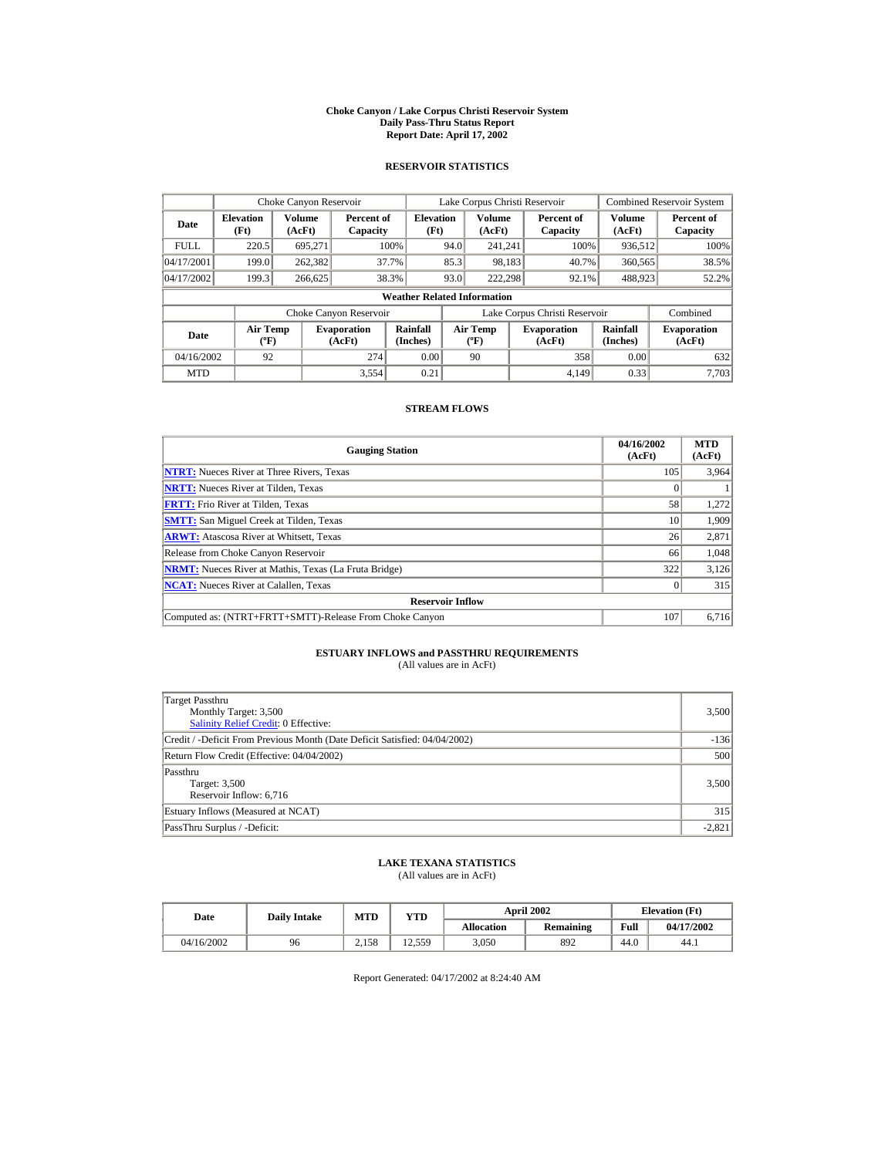#### **Choke Canyon / Lake Corpus Christi Reservoir System Daily Pass-Thru Status Report Report Date: April 17, 2002**

### **RESERVOIR STATISTICS**

|             | Choke Canyon Reservoir                      |                  |                              |                          | Lake Corpus Christi Reservoir |                                                  |  |                               |                         | <b>Combined Reservoir System</b> |  |  |
|-------------|---------------------------------------------|------------------|------------------------------|--------------------------|-------------------------------|--------------------------------------------------|--|-------------------------------|-------------------------|----------------------------------|--|--|
| Date        | <b>Elevation</b><br>(Ft)                    | Volume<br>(AcFt) | Percent of<br>Capacity       | <b>Elevation</b><br>(Ft) |                               | <b>Volume</b><br>(AcFt)                          |  | Percent of<br>Capacity        | <b>Volume</b><br>(AcFt) | Percent of<br>Capacity           |  |  |
| <b>FULL</b> | 220.5                                       | 695.271          |                              | 100%                     | 94.0                          | 241.241                                          |  | 100%                          | 936,512                 | 100%                             |  |  |
| 04/17/2001  | 199.0                                       | 262,382          |                              | 37.7%                    | 85.3                          | 98,183                                           |  | 40.7%                         | 360,565                 | 38.5%                            |  |  |
| 04/17/2002  | 199.3                                       | 266,625          |                              | 38.3%                    | 93.0                          | 222.298                                          |  | 92.1%                         | 488,923                 | 52.2%                            |  |  |
|             | <b>Weather Related Information</b>          |                  |                              |                          |                               |                                                  |  |                               |                         |                                  |  |  |
|             |                                             |                  | Choke Canyon Reservoir       |                          |                               |                                                  |  | Lake Corpus Christi Reservoir |                         | Combined                         |  |  |
| Date        | <b>Air Temp</b><br>$({}^{\circ}\mathrm{F})$ |                  | <b>Evaporation</b><br>(AcFt) | Rainfall<br>(Inches)     |                               | <b>Air Temp</b><br>$({}^{\mathrm{o}}\mathrm{F})$ |  | <b>Evaporation</b><br>(AcFt)  | Rainfall<br>(Inches)    | <b>Evaporation</b><br>(AcFt)     |  |  |
| 04/16/2002  | 92                                          |                  | 274                          | 0.00                     |                               | 90                                               |  | 358                           | 0.00                    | 632                              |  |  |
| <b>MTD</b>  |                                             |                  | 3.554                        | 0.21                     |                               |                                                  |  | 4.149                         | 0.33                    | 7.703                            |  |  |

### **STREAM FLOWS**

| <b>Gauging Station</b>                                       | 04/16/2002<br>(AcFt) | <b>MTD</b><br>(AcFt) |
|--------------------------------------------------------------|----------------------|----------------------|
| <b>NTRT:</b> Nueces River at Three Rivers, Texas             | 105                  | 3,964                |
| <b>NRTT:</b> Nueces River at Tilden, Texas                   |                      |                      |
| <b>FRTT:</b> Frio River at Tilden, Texas                     | 58                   | 1.272                |
| <b>SMTT:</b> San Miguel Creek at Tilden, Texas               | 10                   | 1,909                |
| <b>ARWT:</b> Atascosa River at Whitsett, Texas               | 26                   | 2,871                |
| Release from Choke Canyon Reservoir                          | 66                   | 1,048                |
| <b>NRMT:</b> Nueces River at Mathis, Texas (La Fruta Bridge) | 322                  | 3,126                |
| <b>NCAT:</b> Nueces River at Calallen, Texas                 |                      | 315                  |
| <b>Reservoir Inflow</b>                                      |                      |                      |
| Computed as: (NTRT+FRTT+SMTT)-Release From Choke Canyon      | 107                  | 6,716                |

# **ESTUARY INFLOWS and PASSTHRU REQUIREMENTS**<br>(All values are in AcFt)

| Target Passthru<br>Monthly Target: 3,500<br>Salinity Relief Credit: 0 Effective: | 3,500    |
|----------------------------------------------------------------------------------|----------|
| Credit / -Deficit From Previous Month (Date Deficit Satisfied: 04/04/2002)       | $-136$   |
| Return Flow Credit (Effective: 04/04/2002)                                       | 500      |
| Passthru<br>Target: 3,500<br>Reservoir Inflow: 6,716                             | 3,500    |
| Estuary Inflows (Measured at NCAT)                                               | 315      |
| PassThru Surplus / -Deficit:                                                     | $-2,821$ |

## **LAKE TEXANA STATISTICS**

(All values are in AcFt)

| Date       | <b>Daily Intake</b> | <b>MTD</b> | YTD    |                   | <b>April 2002</b> | <b>Elevation</b> (Ft) |            |
|------------|---------------------|------------|--------|-------------------|-------------------|-----------------------|------------|
|            |                     |            |        | <b>Allocation</b> | Remaining         | Full                  | 04/17/2002 |
| 04/16/2002 | 96                  | 2.158      | 12.559 | 3.050             | 892               | 44.0                  | 44.1       |

Report Generated: 04/17/2002 at 8:24:40 AM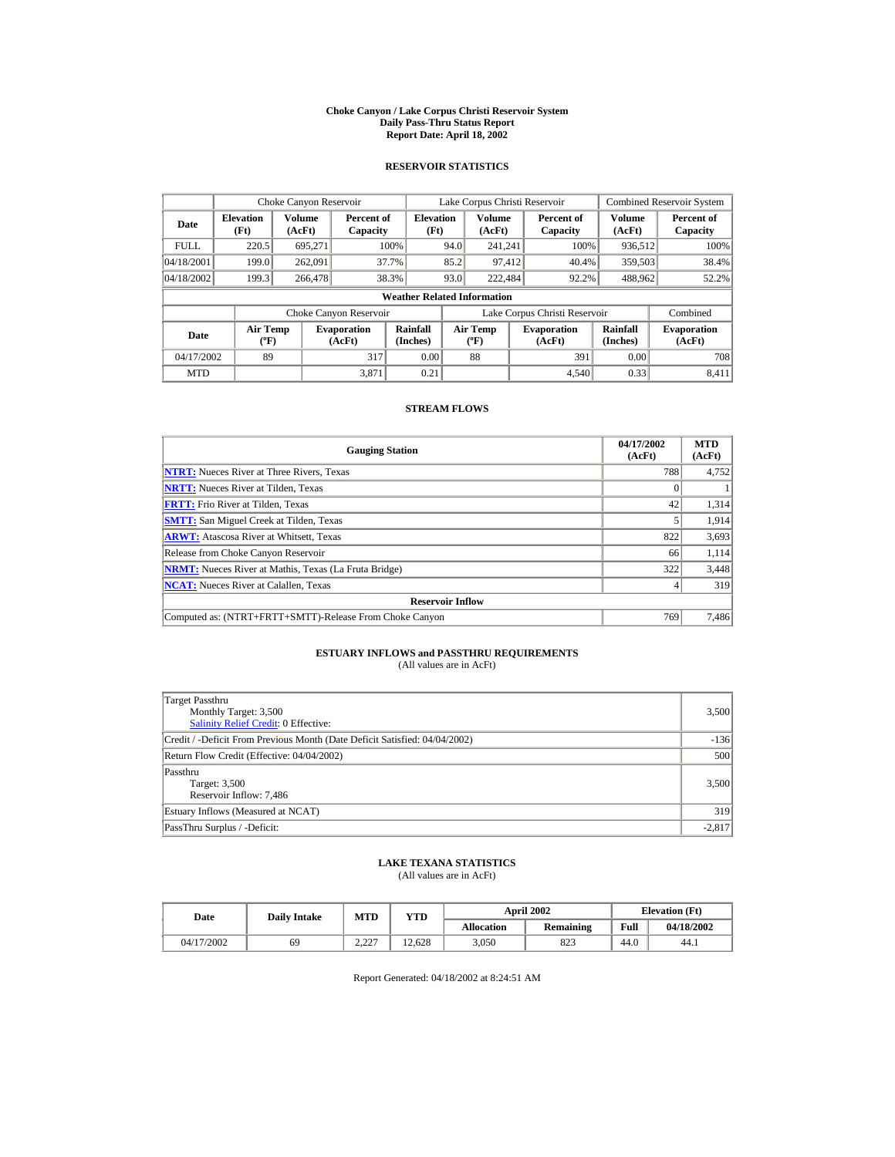#### **Choke Canyon / Lake Corpus Christi Reservoir System Daily Pass-Thru Status Report Report Date: April 18, 2002**

### **RESERVOIR STATISTICS**

|             | Choke Canyon Reservoir                      |                  |                              |                          | Lake Corpus Christi Reservoir |                                           |  |                               |                      | <b>Combined Reservoir System</b> |  |  |
|-------------|---------------------------------------------|------------------|------------------------------|--------------------------|-------------------------------|-------------------------------------------|--|-------------------------------|----------------------|----------------------------------|--|--|
| Date        | <b>Elevation</b><br>(Ft)                    | Volume<br>(AcFt) | Percent of<br>Capacity       | <b>Elevation</b><br>(Ft) |                               | Volume<br>(AcFt)                          |  | Percent of<br>Capacity        | Volume<br>(AcFt)     | Percent of<br>Capacity           |  |  |
| <b>FULL</b> | 220.5                                       | 695.271          |                              | 100%                     | 94.0                          | 241.241                                   |  | 100%                          | 936,512              | 100%                             |  |  |
| 04/18/2001  | 199.0                                       | 262,091          |                              | 37.7%                    | 85.2                          | 97,412                                    |  | 40.4%                         | 359,503              | 38.4%                            |  |  |
| 04/18/2002  | 199.3                                       | 266,478          |                              | 38.3%                    | 93.0                          | 222,484                                   |  | 92.2%                         | 488,962              | 52.2%                            |  |  |
|             | <b>Weather Related Information</b>          |                  |                              |                          |                               |                                           |  |                               |                      |                                  |  |  |
|             |                                             |                  | Choke Canyon Reservoir       |                          |                               |                                           |  | Lake Corpus Christi Reservoir |                      | Combined                         |  |  |
| Date        | <b>Air Temp</b><br>$({}^{\circ}\mathrm{F})$ |                  | <b>Evaporation</b><br>(AcFt) | Rainfall<br>(Inches)     |                               | <b>Air Temp</b><br>$({}^{\circ}\text{F})$ |  | <b>Evaporation</b><br>(AcFt)  | Rainfall<br>(Inches) | <b>Evaporation</b><br>(AcFt)     |  |  |
| 04/17/2002  | 89                                          |                  | 317                          | 0.00                     |                               | 88                                        |  | 391                           | 0.00                 | 708                              |  |  |
| <b>MTD</b>  |                                             |                  | 3.871                        | 0.21                     |                               |                                           |  | 4.540                         | 0.33                 | 8.411                            |  |  |

### **STREAM FLOWS**

| <b>Gauging Station</b>                                       | 04/17/2002<br>(AcFt) | <b>MTD</b><br>(AcFt) |
|--------------------------------------------------------------|----------------------|----------------------|
| <b>NTRT:</b> Nueces River at Three Rivers, Texas             | 788                  | 4,752                |
| <b>NRTT:</b> Nueces River at Tilden, Texas                   |                      |                      |
| <b>FRTT:</b> Frio River at Tilden, Texas                     | 42                   | 1,314                |
| <b>SMTT:</b> San Miguel Creek at Tilden, Texas               |                      | 1,914                |
| <b>ARWT:</b> Atascosa River at Whitsett, Texas               | 822                  | 3,693                |
| Release from Choke Canyon Reservoir                          | 66                   | 1,114                |
| <b>NRMT:</b> Nueces River at Mathis, Texas (La Fruta Bridge) | 322                  | 3,448                |
| <b>NCAT:</b> Nueces River at Calallen, Texas                 |                      | 319                  |
| <b>Reservoir Inflow</b>                                      |                      |                      |
| Computed as: (NTRT+FRTT+SMTT)-Release From Choke Canyon      | 769                  | 7,486                |

# **ESTUARY INFLOWS and PASSTHRU REQUIREMENTS**<br>(All values are in AcFt)

| Target Passthru<br>Monthly Target: 3,500<br>Salinity Relief Credit: 0 Effective: | 3,500    |
|----------------------------------------------------------------------------------|----------|
| Credit / -Deficit From Previous Month (Date Deficit Satisfied: 04/04/2002)       | $-136$   |
| Return Flow Credit (Effective: 04/04/2002)                                       | 500      |
| Passthru<br>Target: 3,500<br>Reservoir Inflow: 7,486                             | 3,500    |
| Estuary Inflows (Measured at NCAT)                                               | 319      |
| PassThru Surplus / -Deficit:                                                     | $-2.817$ |

### **LAKE TEXANA STATISTICS**

(All values are in AcFt)

| Date       | <b>Daily Intake</b> | <b>MTD</b>           | YTD    |                   | <b>April 2002</b> | <b>Elevation</b> (Ft) |            |
|------------|---------------------|----------------------|--------|-------------------|-------------------|-----------------------|------------|
|            |                     |                      |        | <b>Allocation</b> | Remaining         | Full                  | 04/18/2002 |
| 04/17/2002 | 69                  | דרר ר<br><u>L.LL</u> | 12.628 | 3.050             | 823               | 44.0                  | 44.1       |

Report Generated: 04/18/2002 at 8:24:51 AM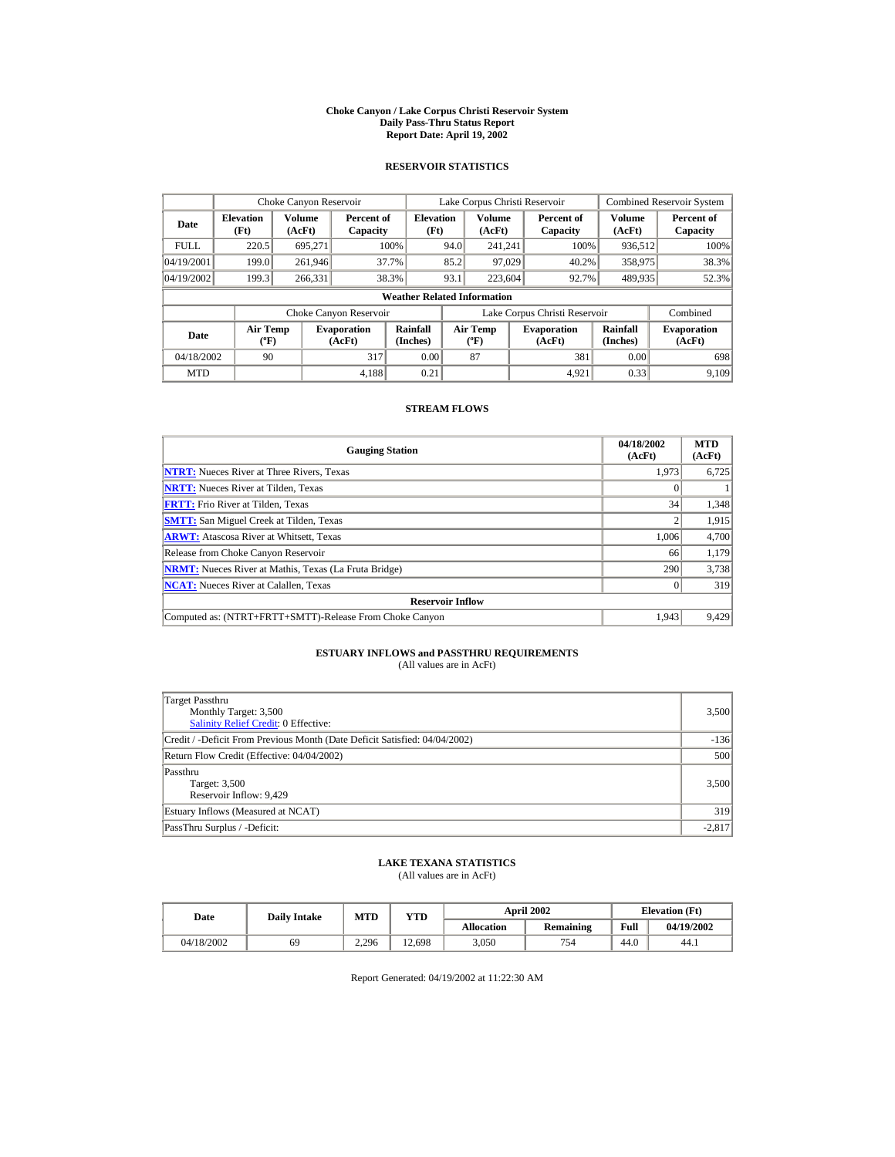#### **Choke Canyon / Lake Corpus Christi Reservoir System Daily Pass-Thru Status Report Report Date: April 19, 2002**

### **RESERVOIR STATISTICS**

|             | Choke Canyon Reservoir                      |                         |                              |                          | Lake Corpus Christi Reservoir |                                                  |  |                               |                         | <b>Combined Reservoir System</b> |  |  |
|-------------|---------------------------------------------|-------------------------|------------------------------|--------------------------|-------------------------------|--------------------------------------------------|--|-------------------------------|-------------------------|----------------------------------|--|--|
| Date        | <b>Elevation</b><br>(Ft)                    | <b>Volume</b><br>(AcFt) | Percent of<br>Capacity       | <b>Elevation</b><br>(Ft) |                               | <b>Volume</b><br>(AcFt)                          |  | Percent of<br>Capacity        | <b>Volume</b><br>(AcFt) | Percent of<br>Capacity           |  |  |
| <b>FULL</b> | 220.5                                       | 695.271                 |                              | 100%                     | 94.0                          | 241.241                                          |  | 100%                          | 936,512                 | 100%                             |  |  |
| 04/19/2001  | 199.0                                       | 261,946                 |                              | 37.7%                    | 85.2                          | 97,029                                           |  | 40.2%                         | 358,975                 | 38.3%                            |  |  |
| 04/19/2002  | 199.3                                       | 266.331                 |                              | 38.3%                    | 93.1                          | 223,604                                          |  | 92.7%                         | 489.935                 | 52.3%                            |  |  |
|             | <b>Weather Related Information</b>          |                         |                              |                          |                               |                                                  |  |                               |                         |                                  |  |  |
|             |                                             |                         | Choke Canyon Reservoir       |                          |                               |                                                  |  | Lake Corpus Christi Reservoir |                         | Combined                         |  |  |
| Date        | <b>Air Temp</b><br>$({}^{\circ}\mathrm{F})$ |                         | <b>Evaporation</b><br>(AcFt) | Rainfall<br>(Inches)     |                               | <b>Air Temp</b><br>$({}^{\mathrm{o}}\mathrm{F})$ |  | <b>Evaporation</b><br>(AcFt)  | Rainfall<br>(Inches)    | <b>Evaporation</b><br>(AcFt)     |  |  |
| 04/18/2002  | 90                                          |                         | 317                          | 0.00                     |                               | 87                                               |  | 381                           | 0.00                    | 698                              |  |  |
| <b>MTD</b>  |                                             |                         | 4,188                        | 0.21                     |                               |                                                  |  | 4.921                         | 0.33                    | 9.109                            |  |  |

### **STREAM FLOWS**

| <b>Gauging Station</b>                                       | 04/18/2002<br>(AcFt) | <b>MTD</b><br>(AcFt) |
|--------------------------------------------------------------|----------------------|----------------------|
| <b>NTRT:</b> Nueces River at Three Rivers, Texas             | 1.973                | 6,725                |
| <b>NRTT:</b> Nueces River at Tilden, Texas                   |                      |                      |
| <b>FRTT:</b> Frio River at Tilden, Texas                     | 34                   | 1,348                |
| <b>SMTT:</b> San Miguel Creek at Tilden, Texas               |                      | 1,915                |
| <b>ARWT:</b> Atascosa River at Whitsett, Texas               | 1.006                | 4,700                |
| Release from Choke Canyon Reservoir                          | 66                   | 1,179                |
| <b>NRMT:</b> Nueces River at Mathis, Texas (La Fruta Bridge) | 290                  | 3,738                |
| <b>NCAT:</b> Nueces River at Calallen, Texas                 |                      | 319                  |
| <b>Reservoir Inflow</b>                                      |                      |                      |
| Computed as: (NTRT+FRTT+SMTT)-Release From Choke Canyon      | 1.943                | 9,429                |

# **ESTUARY INFLOWS and PASSTHRU REQUIREMENTS**<br>(All values are in AcFt)

| Target Passthru<br>Monthly Target: 3,500<br>Salinity Relief Credit: 0 Effective: | 3,500    |
|----------------------------------------------------------------------------------|----------|
| Credit / -Deficit From Previous Month (Date Deficit Satisfied: 04/04/2002)       | $-136$   |
| Return Flow Credit (Effective: 04/04/2002)                                       | 500      |
| Passthru<br>Target: 3,500<br>Reservoir Inflow: 9,429                             | 3,500    |
| Estuary Inflows (Measured at NCAT)                                               | 319      |
| PassThru Surplus / -Deficit:                                                     | $-2,817$ |

## **LAKE TEXANA STATISTICS**

(All values are in AcFt)

| Date       | <b>Daily Intake</b> | <b>MTD</b> | YTD    |                   | <b>April 2002</b> | <b>Elevation</b> (Ft) |            |
|------------|---------------------|------------|--------|-------------------|-------------------|-----------------------|------------|
|            |                     |            |        | <b>Allocation</b> | Remaining         | Full                  | 04/19/2002 |
| 04/18/2002 | 69                  | 2.296      | 12,698 | 3.050             | 754               | 44.0                  | 44.1       |

Report Generated: 04/19/2002 at 11:22:30 AM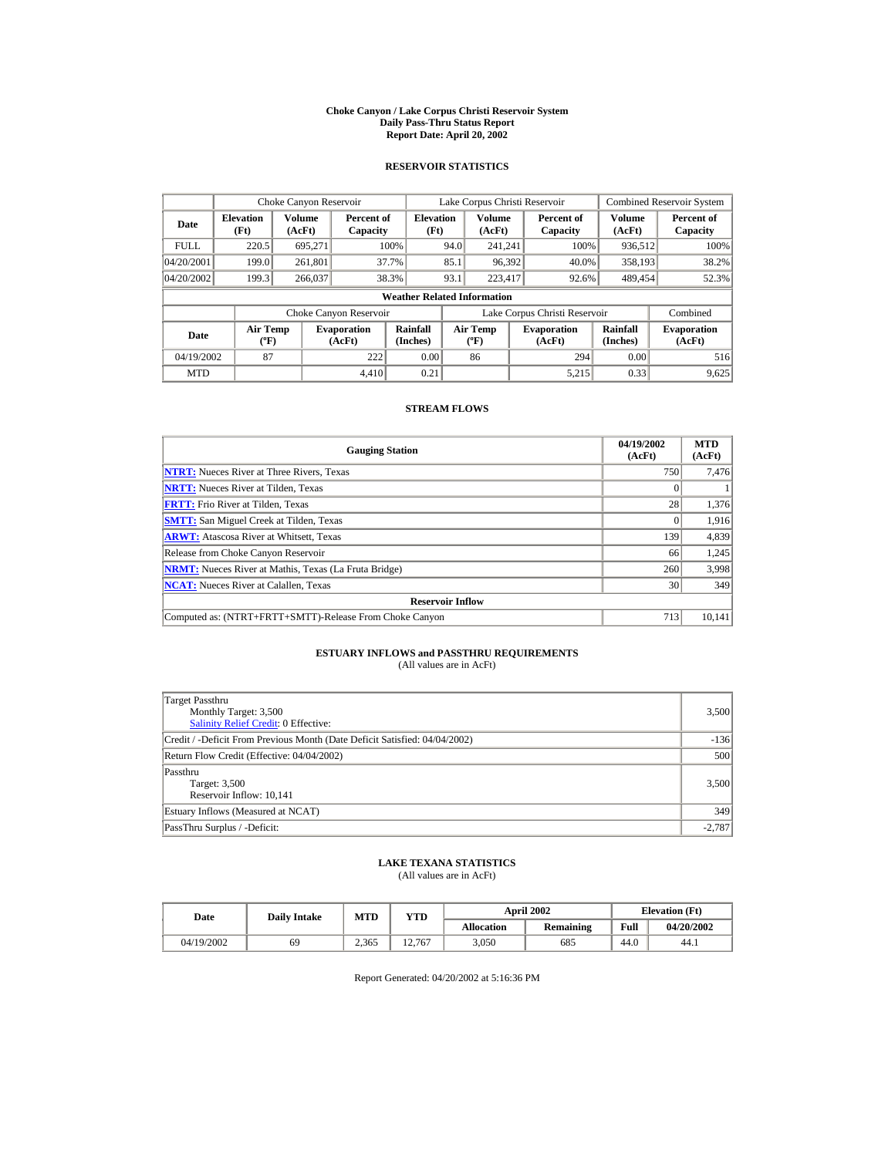#### **Choke Canyon / Lake Corpus Christi Reservoir System Daily Pass-Thru Status Report Report Date: April 20, 2002**

### **RESERVOIR STATISTICS**

|             | Choke Canyon Reservoir                      |                  |                              |                          | Lake Corpus Christi Reservoir |                                             |  |                               |                      | <b>Combined Reservoir System</b> |  |  |
|-------------|---------------------------------------------|------------------|------------------------------|--------------------------|-------------------------------|---------------------------------------------|--|-------------------------------|----------------------|----------------------------------|--|--|
| Date        | <b>Elevation</b><br>(Ft)                    | Volume<br>(AcFt) | Percent of<br>Capacity       | <b>Elevation</b><br>(Ft) |                               | Volume<br>(AcFt)                            |  | Percent of<br>Capacity        | Volume<br>(AcFt)     | Percent of<br>Capacity           |  |  |
| <b>FULL</b> | 220.5                                       | 695.271          |                              | 100%                     | 94.0                          | 241.241                                     |  | 100%                          | 936,512              | 100%                             |  |  |
| 04/20/2001  | 199.0                                       | 261,801          |                              | 37.7%                    | 85.1                          | 96,392                                      |  | 40.0%                         | 358,193              | 38.2%                            |  |  |
| 04/20/2002  | 199.3                                       | 266,037          |                              | 38.3%                    | 93.1                          | 223,417                                     |  | 92.6%                         | 489.454              | 52.3%                            |  |  |
|             | <b>Weather Related Information</b>          |                  |                              |                          |                               |                                             |  |                               |                      |                                  |  |  |
|             |                                             |                  | Choke Canyon Reservoir       |                          |                               |                                             |  | Lake Corpus Christi Reservoir |                      | Combined                         |  |  |
| Date        | <b>Air Temp</b><br>$({}^{\circ}\mathrm{F})$ |                  | <b>Evaporation</b><br>(AcFt) | Rainfall<br>(Inches)     |                               | <b>Air Temp</b><br>$({}^{\circ}\mathbf{F})$ |  | <b>Evaporation</b><br>(AcFt)  | Rainfall<br>(Inches) | <b>Evaporation</b><br>(AcFt)     |  |  |
| 04/19/2002  | 87                                          |                  | 222                          | 0.00                     |                               | 86                                          |  | 294                           | 0.00                 | 516                              |  |  |
| <b>MTD</b>  |                                             |                  | 4.410                        | 0.21                     |                               |                                             |  | 5.215                         | 0.33                 | 9,625                            |  |  |

### **STREAM FLOWS**

| <b>Gauging Station</b>                                       | 04/19/2002<br>(AcFt) | <b>MTD</b><br>(AcFt) |
|--------------------------------------------------------------|----------------------|----------------------|
| <b>NTRT:</b> Nueces River at Three Rivers. Texas             | 750                  | 7,476                |
| <b>NRTT:</b> Nueces River at Tilden, Texas                   |                      |                      |
| <b>FRTT:</b> Frio River at Tilden, Texas                     | 28                   | 1,376                |
| <b>SMTT:</b> San Miguel Creek at Tilden, Texas               |                      | 1,916                |
| <b>ARWT:</b> Atascosa River at Whitsett, Texas               | 139                  | 4,839                |
| Release from Choke Canyon Reservoir                          | 66                   | 1,245                |
| <b>NRMT:</b> Nueces River at Mathis, Texas (La Fruta Bridge) | 260                  | 3,998                |
| <b>NCAT:</b> Nueces River at Calallen, Texas                 | 30                   | 349                  |
| <b>Reservoir Inflow</b>                                      |                      |                      |
| Computed as: (NTRT+FRTT+SMTT)-Release From Choke Canyon      | 713                  | 10,141               |

# **ESTUARY INFLOWS and PASSTHRU REQUIREMENTS**<br>(All values are in AcFt)

| Target Passthru<br>Monthly Target: 3,500<br><b>Salinity Relief Credit: 0 Effective:</b> | 3,500    |
|-----------------------------------------------------------------------------------------|----------|
| Credit / -Deficit From Previous Month (Date Deficit Satisfied: 04/04/2002)              | $-136$   |
| Return Flow Credit (Effective: 04/04/2002)                                              | 500      |
| Passthru<br>Target: 3,500<br>Reservoir Inflow: 10,141                                   | 3,500    |
| Estuary Inflows (Measured at NCAT)                                                      | 349      |
| PassThru Surplus / -Deficit:                                                            | $-2,787$ |

## **LAKE TEXANA STATISTICS**

(All values are in AcFt)

| Date       | <b>Daily Intake</b> | <b>MTD</b> | YTD    |                   | <b>April 2002</b> | <b>Elevation</b> (Ft) |            |
|------------|---------------------|------------|--------|-------------------|-------------------|-----------------------|------------|
|            |                     |            |        | <b>Allocation</b> | Remaining         | Full                  | 04/20/2002 |
| 04/19/2002 | 69                  | 2.365      | 12.767 | 3.050             | 685               | 44.0                  | 44.1       |

Report Generated: 04/20/2002 at 5:16:36 PM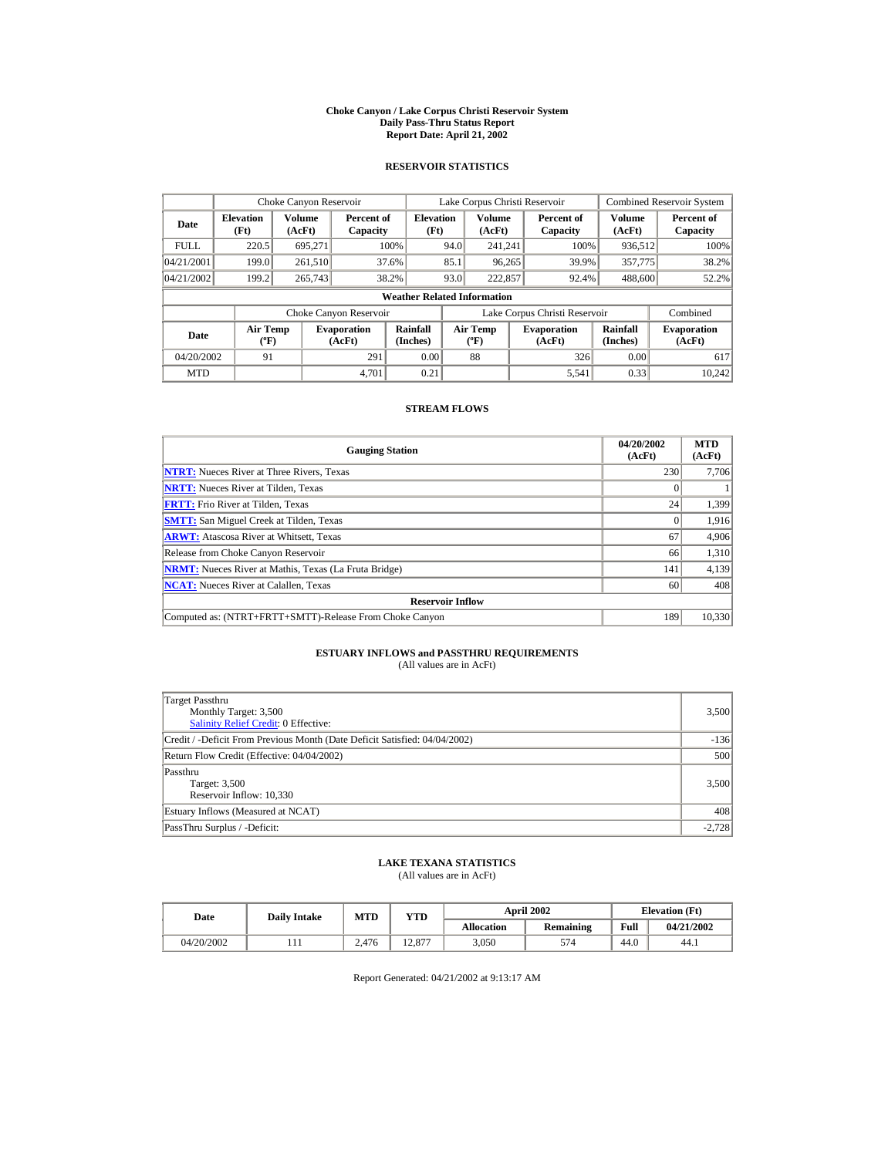#### **Choke Canyon / Lake Corpus Christi Reservoir System Daily Pass-Thru Status Report Report Date: April 21, 2002**

### **RESERVOIR STATISTICS**

|             | Choke Canyon Reservoir                      |                  |                              |                          | Lake Corpus Christi Reservoir |                                           |  |                               |                      | Combined Reservoir System    |  |  |
|-------------|---------------------------------------------|------------------|------------------------------|--------------------------|-------------------------------|-------------------------------------------|--|-------------------------------|----------------------|------------------------------|--|--|
| Date        | <b>Elevation</b><br>(Ft)                    | Volume<br>(AcFt) | Percent of<br>Capacity       | <b>Elevation</b><br>(Ft) |                               | Volume<br>(AcFt)                          |  | Percent of<br>Capacity        | Volume<br>(AcFt)     | Percent of<br>Capacity       |  |  |
| <b>FULL</b> | 220.5                                       | 695.271          |                              | 100%                     | 94.0                          | 241.241                                   |  | 100%                          | 936,512              | 100%                         |  |  |
| 04/21/2001  | 199.0                                       | 261,510          |                              | 37.6%                    | 85.1                          | 96,265                                    |  | 39.9%                         | 357,775              | 38.2%                        |  |  |
| 04/21/2002  | 199.2                                       | 265,743          |                              | 38.2%                    | 93.0                          | 222,857                                   |  | 92.4%                         | 488,600              | 52.2%                        |  |  |
|             | <b>Weather Related Information</b>          |                  |                              |                          |                               |                                           |  |                               |                      |                              |  |  |
|             |                                             |                  | Choke Canyon Reservoir       |                          |                               |                                           |  | Lake Corpus Christi Reservoir |                      | Combined                     |  |  |
| Date        | <b>Air Temp</b><br>$({}^{\circ}\mathrm{F})$ |                  | <b>Evaporation</b><br>(AcFt) | Rainfall<br>(Inches)     |                               | <b>Air Temp</b><br>$({}^{\circ}\text{F})$ |  | <b>Evaporation</b><br>(AcFt)  | Rainfall<br>(Inches) | <b>Evaporation</b><br>(AcFt) |  |  |
| 04/20/2002  | 91                                          |                  | 291                          | 0.00                     |                               | 88                                        |  | 326                           | 0.00                 | 617                          |  |  |
| <b>MTD</b>  |                                             |                  | 4.701                        | 0.21                     |                               |                                           |  | 5,541                         | 0.33                 | 10.242                       |  |  |

### **STREAM FLOWS**

| <b>Gauging Station</b>                                       | 04/20/2002<br>(AcFt) | <b>MTD</b><br>(AcFt) |
|--------------------------------------------------------------|----------------------|----------------------|
| <b>NTRT:</b> Nueces River at Three Rivers, Texas             | 230                  | 7,706                |
| <b>NRTT:</b> Nueces River at Tilden, Texas                   |                      |                      |
| <b>FRTT:</b> Frio River at Tilden, Texas                     | 24                   | 1.399                |
| <b>SMTT:</b> San Miguel Creek at Tilden, Texas               |                      | 1.916                |
| <b>ARWT:</b> Atascosa River at Whitsett, Texas               | 67                   | 4,906                |
| Release from Choke Canyon Reservoir                          | 66                   | 1,310                |
| <b>NRMT:</b> Nueces River at Mathis, Texas (La Fruta Bridge) | 141                  | 4,139                |
| <b>NCAT:</b> Nueces River at Calallen, Texas                 | 60                   | 408                  |
| <b>Reservoir Inflow</b>                                      |                      |                      |
| Computed as: (NTRT+FRTT+SMTT)-Release From Choke Canyon      | 189                  | 10,330               |

# **ESTUARY INFLOWS and PASSTHRU REQUIREMENTS**<br>(All values are in AcFt)

| Target Passthru<br>Monthly Target: 3,500<br><b>Salinity Relief Credit: 0 Effective:</b> | 3,500    |
|-----------------------------------------------------------------------------------------|----------|
| Credit / -Deficit From Previous Month (Date Deficit Satisfied: 04/04/2002)              | $-136$   |
| Return Flow Credit (Effective: 04/04/2002)                                              | 500      |
| Passthru<br>Target: 3,500<br>Reservoir Inflow: 10,330                                   | 3,500    |
| Estuary Inflows (Measured at NCAT)                                                      | 408      |
| PassThru Surplus / -Deficit:                                                            | $-2,728$ |

## **LAKE TEXANA STATISTICS**

(All values are in AcFt)

| Date       | <b>Daily Intake</b> | MTD   | <b>VTD</b>     |            | <b>April 2002</b> | <b>Elevation</b> (Ft) |            |
|------------|---------------------|-------|----------------|------------|-------------------|-----------------------|------------|
|            |                     |       |                | Allocation | Remaining         | Full                  | 04/21/2002 |
| 04/20/2002 |                     | 2.476 | 12077<br>12.87 | 3.050      | 574               | 44.0                  | 44.1       |

Report Generated: 04/21/2002 at 9:13:17 AM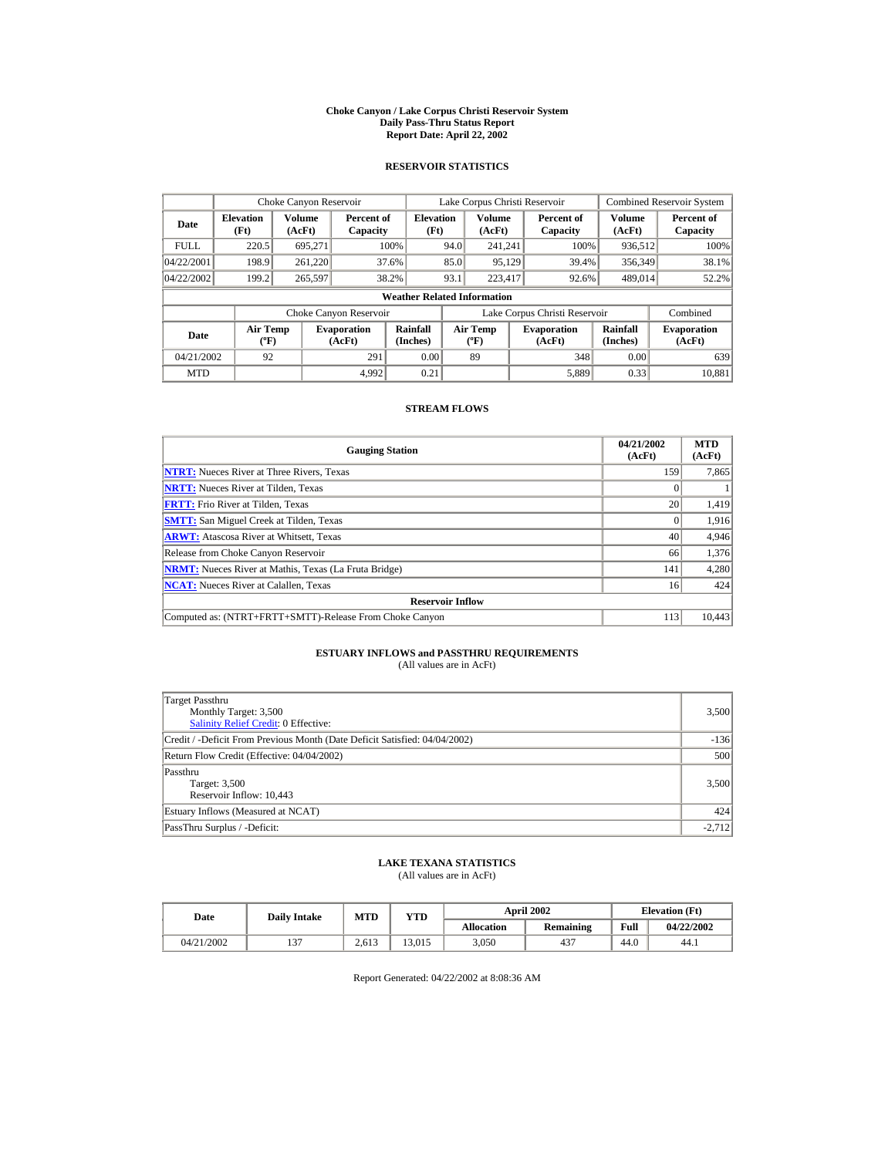#### **Choke Canyon / Lake Corpus Christi Reservoir System Daily Pass-Thru Status Report Report Date: April 22, 2002**

### **RESERVOIR STATISTICS**

|             | Choke Canyon Reservoir                      |                  |                              |                          | Lake Corpus Christi Reservoir |                                           |  |                               |                      | <b>Combined Reservoir System</b> |  |  |
|-------------|---------------------------------------------|------------------|------------------------------|--------------------------|-------------------------------|-------------------------------------------|--|-------------------------------|----------------------|----------------------------------|--|--|
| Date        | <b>Elevation</b><br>(Ft)                    | Volume<br>(AcFt) | Percent of<br>Capacity       | <b>Elevation</b><br>(Ft) |                               | Volume<br>(AcFt)                          |  | Percent of<br>Capacity        | Volume<br>(AcFt)     | Percent of<br>Capacity           |  |  |
| <b>FULL</b> | 220.5                                       | 695.271          |                              | 100%                     | 94.0                          | 241.241                                   |  | 100%                          | 936,512              | 100%                             |  |  |
| 04/22/2001  | 198.9                                       | 261,220          |                              | 37.6%                    | 85.0                          | 95,129                                    |  | 39.4%                         | 356,349              | 38.1%                            |  |  |
| 04/22/2002  | 199.2                                       | 265,597          |                              | 38.2%                    | 93.1                          | 223,417                                   |  | 92.6%                         | 489,014              | 52.2%                            |  |  |
|             | <b>Weather Related Information</b>          |                  |                              |                          |                               |                                           |  |                               |                      |                                  |  |  |
|             |                                             |                  | Choke Canyon Reservoir       |                          |                               |                                           |  | Lake Corpus Christi Reservoir |                      | Combined                         |  |  |
| Date        | <b>Air Temp</b><br>$({}^{\circ}\mathrm{F})$ |                  | <b>Evaporation</b><br>(AcFt) | Rainfall<br>(Inches)     |                               | <b>Air Temp</b><br>$({}^{\circ}\text{F})$ |  | <b>Evaporation</b><br>(AcFt)  | Rainfall<br>(Inches) | <b>Evaporation</b><br>(AcFt)     |  |  |
| 04/21/2002  | 92                                          |                  | 291                          | 0.00                     |                               | 89                                        |  | 348                           | 0.00                 | 639                              |  |  |
| <b>MTD</b>  |                                             |                  | 4.992                        | 0.21                     |                               |                                           |  | 5,889                         | 0.33                 | 10.881                           |  |  |

### **STREAM FLOWS**

| <b>Gauging Station</b>                                       | 04/21/2002<br>(AcFt) | <b>MTD</b><br>(AcFt) |
|--------------------------------------------------------------|----------------------|----------------------|
| <b>NTRT:</b> Nueces River at Three Rivers, Texas             | 159                  | 7,865                |
| <b>NRTT:</b> Nueces River at Tilden, Texas                   |                      |                      |
| <b>FRTT:</b> Frio River at Tilden, Texas                     | 20                   | 1,419                |
| <b>SMTT:</b> San Miguel Creek at Tilden, Texas               | $\Omega$             | 1,916                |
| <b>ARWT:</b> Atascosa River at Whitsett, Texas               | 40                   | 4,946                |
| Release from Choke Canyon Reservoir                          | 66                   | 1,376                |
| <b>NRMT:</b> Nueces River at Mathis, Texas (La Fruta Bridge) | 141                  | 4,280                |
| <b>NCAT:</b> Nueces River at Calallen, Texas                 | 16                   | 424                  |
| <b>Reservoir Inflow</b>                                      |                      |                      |
| Computed as: (NTRT+FRTT+SMTT)-Release From Choke Canyon      | 113                  | 10,443               |

# **ESTUARY INFLOWS and PASSTHRU REQUIREMENTS**<br>(All values are in AcFt)

| Target Passthru<br>Monthly Target: 3,500<br>Salinity Relief Credit: 0 Effective: | 3,500    |
|----------------------------------------------------------------------------------|----------|
| Credit / -Deficit From Previous Month (Date Deficit Satisfied: 04/04/2002)       | $-136$   |
| Return Flow Credit (Effective: 04/04/2002)                                       | 500      |
| Passthru<br>Target: 3,500<br>Reservoir Inflow: 10,443                            | 3,500    |
| Estuary Inflows (Measured at NCAT)                                               | 424      |
| PassThru Surplus / -Deficit:                                                     | $-2,712$ |

## **LAKE TEXANA STATISTICS**

(All values are in AcFt)

| Date       | <b>Daily Intake</b> | MTD   | $_{\rm VTD}$ |            | <b>April 2002</b> | <b>Elevation</b> (Ft) |            |
|------------|---------------------|-------|--------------|------------|-------------------|-----------------------|------------|
|            |                     |       |              | Allocation | Remaining         | Full                  | 04/22/2002 |
| 04/21/2002 | $\sim$              | 2.613 | 13.015       | 3.050      | 437               | 44.0                  | 44.1       |

Report Generated: 04/22/2002 at 8:08:36 AM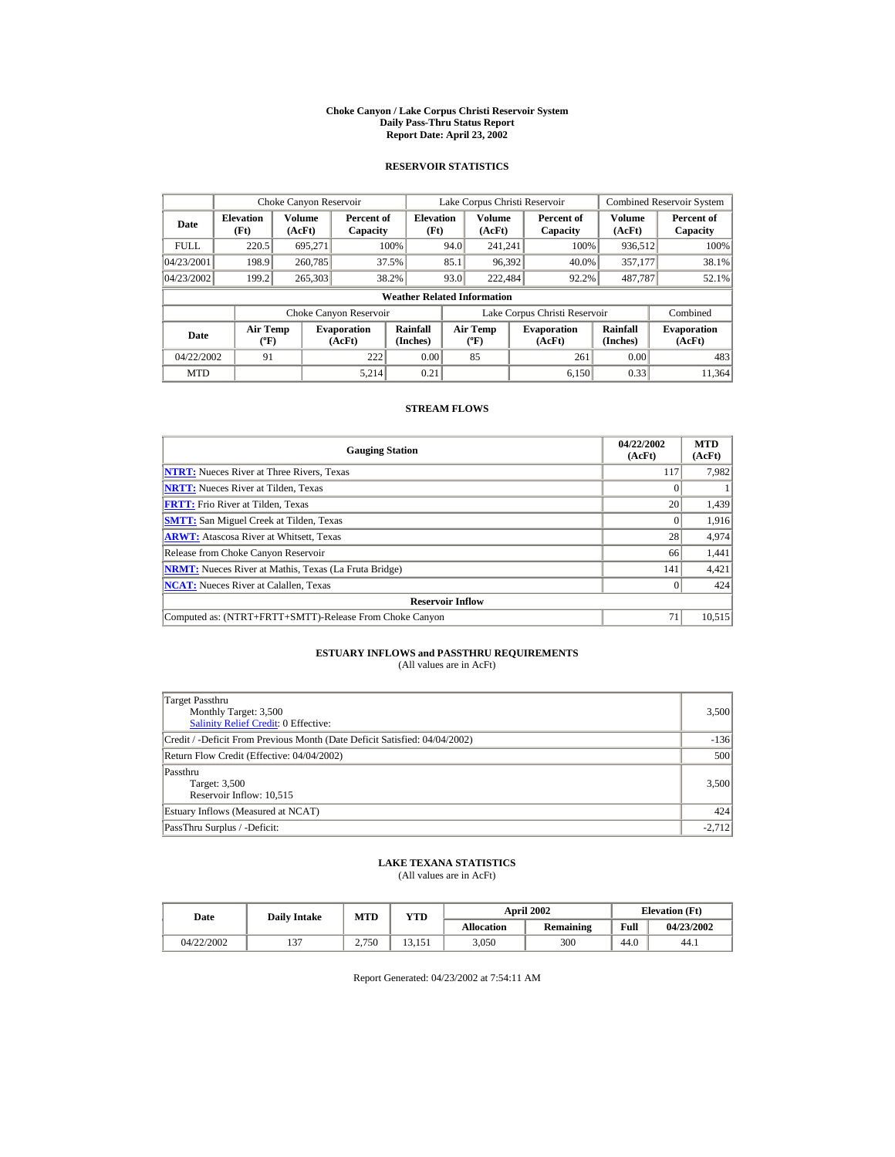#### **Choke Canyon / Lake Corpus Christi Reservoir System Daily Pass-Thru Status Report Report Date: April 23, 2002**

### **RESERVOIR STATISTICS**

|             | Choke Canyon Reservoir                      |                         |                              |                          | Lake Corpus Christi Reservoir |                                         |  |                               |                      | <b>Combined Reservoir System</b> |  |  |
|-------------|---------------------------------------------|-------------------------|------------------------------|--------------------------|-------------------------------|-----------------------------------------|--|-------------------------------|----------------------|----------------------------------|--|--|
| Date        | <b>Elevation</b><br>(Ft)                    | <b>Volume</b><br>(AcFt) | Percent of<br>Capacity       | <b>Elevation</b><br>(Ft) |                               | <b>Volume</b><br>(AcFt)                 |  | Percent of<br>Capacity        | Volume<br>(AcFt)     | Percent of<br>Capacity           |  |  |
| <b>FULL</b> | 220.5                                       | 695.271                 |                              | 100%                     | 94.0                          | 241.241                                 |  | 100%                          | 936,512              | 100%                             |  |  |
| 04/23/2001  | 198.9                                       | 260,785                 |                              | 37.5%                    | 85.1                          | 96,392                                  |  | 40.0%                         | 357,177              | 38.1%                            |  |  |
| 04/23/2002  | 199.2                                       | 265,303                 |                              | 38.2%                    | 93.0                          | 222,484                                 |  | 92.2%                         | 487,787              | 52.1%                            |  |  |
|             | <b>Weather Related Information</b>          |                         |                              |                          |                               |                                         |  |                               |                      |                                  |  |  |
|             |                                             |                         | Choke Canyon Reservoir       |                          |                               |                                         |  | Lake Corpus Christi Reservoir |                      | Combined                         |  |  |
| Date        | <b>Air Temp</b><br>$({}^{\circ}\mathrm{F})$ |                         | <b>Evaporation</b><br>(AcFt) | Rainfall<br>(Inches)     |                               | <b>Air Temp</b><br>$(^{\circ}\text{F})$ |  | <b>Evaporation</b><br>(AcFt)  | Rainfall<br>(Inches) | <b>Evaporation</b><br>(AcFt)     |  |  |
| 04/22/2002  | 91                                          |                         | 222                          | 0.00                     |                               | 85                                      |  | 261                           | 0.00                 | 483                              |  |  |
| <b>MTD</b>  |                                             |                         | 5.214                        | 0.21                     |                               |                                         |  | 6.150                         | 0.33                 | 11.364                           |  |  |

### **STREAM FLOWS**

| <b>Gauging Station</b>                                       | 04/22/2002<br>(AcFt) | <b>MTD</b><br>(AcFt) |  |  |  |  |
|--------------------------------------------------------------|----------------------|----------------------|--|--|--|--|
| <b>NTRT:</b> Nueces River at Three Rivers, Texas             | 117                  | 7,982                |  |  |  |  |
| <b>NRTT:</b> Nueces River at Tilden. Texas                   |                      |                      |  |  |  |  |
| <b>FRTT:</b> Frio River at Tilden, Texas                     |                      |                      |  |  |  |  |
| <b>SMTT:</b> San Miguel Creek at Tilden, Texas               |                      | 1,916                |  |  |  |  |
| <b>ARWT:</b> Atascosa River at Whitsett, Texas               | 28                   | 4,974                |  |  |  |  |
| Release from Choke Canyon Reservoir                          | 66                   | 1,441                |  |  |  |  |
| <b>NRMT:</b> Nueces River at Mathis, Texas (La Fruta Bridge) | 141                  | 4,421                |  |  |  |  |
| <b>NCAT:</b> Nueces River at Calallen, Texas                 |                      | 424                  |  |  |  |  |
| <b>Reservoir Inflow</b>                                      |                      |                      |  |  |  |  |
| Computed as: (NTRT+FRTT+SMTT)-Release From Choke Canyon      | 71                   | 10,515               |  |  |  |  |

# **ESTUARY INFLOWS and PASSTHRU REQUIREMENTS**<br>(All values are in AcFt)

| Target Passthru<br>Monthly Target: 3,500<br><b>Salinity Relief Credit: 0 Effective:</b> | 3,500    |
|-----------------------------------------------------------------------------------------|----------|
| Credit / -Deficit From Previous Month (Date Deficit Satisfied: 04/04/2002)              | $-136$   |
| Return Flow Credit (Effective: 04/04/2002)                                              | 500      |
| Passthru<br>Target: 3,500<br>Reservoir Inflow: 10,515                                   | 3,500    |
| Estuary Inflows (Measured at NCAT)                                                      | 424      |
| PassThru Surplus / -Deficit:                                                            | $-2,712$ |

## **LAKE TEXANA STATISTICS**

(All values are in AcFt)

| Date       | <b>Daily Intake</b> | MTD   | $_{\rm VTD}$           |            | <b>April 2002</b> | <b>Elevation</b> (Ft) |            |
|------------|---------------------|-------|------------------------|------------|-------------------|-----------------------|------------|
|            |                     |       |                        | Allocation | Remaining         | Full                  | 04/23/2002 |
| 04/22/2002 | $\sim$              | 2.750 | $\mathbf{1}$<br>13.151 | 3.050      | 300               | 44.0                  | 44.1       |

Report Generated: 04/23/2002 at 7:54:11 AM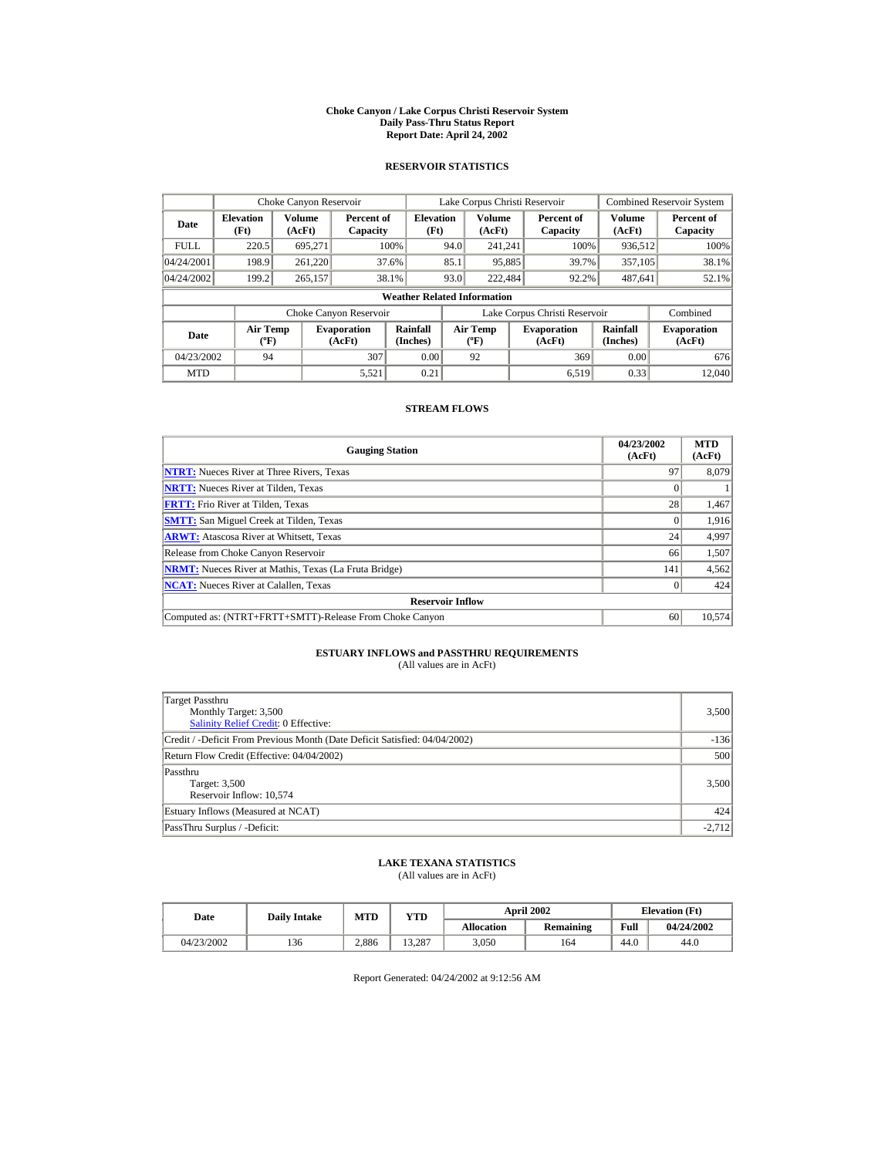#### **Choke Canyon / Lake Corpus Christi Reservoir System Daily Pass-Thru Status Report Report Date: April 24, 2002**

### **RESERVOIR STATISTICS**

|             | Choke Canyon Reservoir                      |                  |                              |                          | Lake Corpus Christi Reservoir |                                  |  |                               |                      | <b>Combined Reservoir System</b> |  |  |
|-------------|---------------------------------------------|------------------|------------------------------|--------------------------|-------------------------------|----------------------------------|--|-------------------------------|----------------------|----------------------------------|--|--|
| Date        | <b>Elevation</b><br>(Ft)                    | Volume<br>(AcFt) | Percent of<br>Capacity       | <b>Elevation</b><br>(Ft) |                               | Volume<br>(AcFt)                 |  | Percent of<br>Capacity        | Volume<br>(AcFt)     | Percent of<br>Capacity           |  |  |
| <b>FULL</b> | 220.5                                       | 695.271          |                              | 100%                     | 94.0                          | 241.241                          |  | 100%                          | 936,512              | 100%                             |  |  |
| 04/24/2001  | 198.9                                       | 261,220          |                              | 37.6%                    | 85.1                          | 95,885                           |  | 39.7%                         | 357,105              | 38.1%                            |  |  |
| 04/24/2002  | 199.2                                       | 265,157          |                              | 38.1%                    | 93.0                          | 222,484                          |  | 92.2%                         | 487.641              | 52.1%                            |  |  |
|             | <b>Weather Related Information</b>          |                  |                              |                          |                               |                                  |  |                               |                      |                                  |  |  |
|             |                                             |                  | Choke Canyon Reservoir       |                          |                               |                                  |  | Lake Corpus Christi Reservoir |                      | Combined                         |  |  |
| Date        | <b>Air Temp</b><br>$({}^{\circ}\mathrm{F})$ |                  | <b>Evaporation</b><br>(AcFt) | Rainfall<br>(Inches)     |                               | <b>Air Temp</b><br>$(^{\circ}F)$ |  | <b>Evaporation</b><br>(AcFt)  | Rainfall<br>(Inches) | <b>Evaporation</b><br>(AcFt)     |  |  |
| 04/23/2002  | 94                                          |                  | 307                          | 0.00                     |                               | 92                               |  | 369                           | 0.00                 | 676                              |  |  |
| <b>MTD</b>  |                                             |                  | 5,521                        | 0.21                     |                               |                                  |  | 6.519                         | 0.33                 | 12,040                           |  |  |

### **STREAM FLOWS**

| <b>Gauging Station</b>                                       | 04/23/2002<br>(AcFt) | <b>MTD</b><br>(AcFt) |
|--------------------------------------------------------------|----------------------|----------------------|
| <b>NTRT:</b> Nueces River at Three Rivers, Texas             | 97                   | 8,079                |
| <b>NRTT:</b> Nueces River at Tilden, Texas                   |                      |                      |
| <b>FRTT:</b> Frio River at Tilden, Texas                     | 28                   | 1,467                |
| <b>SMTT:</b> San Miguel Creek at Tilden, Texas               |                      | 1,916                |
| <b>ARWT:</b> Atascosa River at Whitsett, Texas               | 24                   | 4,997                |
| Release from Choke Canyon Reservoir                          | 66                   | 1,507                |
| <b>NRMT:</b> Nueces River at Mathis, Texas (La Fruta Bridge) | 141                  | 4,562                |
| <b>NCAT:</b> Nueces River at Calallen, Texas                 |                      | 424                  |
| <b>Reservoir Inflow</b>                                      |                      |                      |
| Computed as: (NTRT+FRTT+SMTT)-Release From Choke Canyon      | 60                   | 10,574               |

# **ESTUARY INFLOWS and PASSTHRU REQUIREMENTS**<br>(All values are in AcFt)

| Target Passthru<br>Monthly Target: 3,500<br><b>Salinity Relief Credit: 0 Effective:</b> | 3,500    |
|-----------------------------------------------------------------------------------------|----------|
| Credit / -Deficit From Previous Month (Date Deficit Satisfied: 04/04/2002)              | $-136$   |
| Return Flow Credit (Effective: 04/04/2002)                                              | 500      |
| Passthru<br>Target: 3,500<br>Reservoir Inflow: 10,574                                   | 3,500    |
| Estuary Inflows (Measured at NCAT)                                                      | 424      |
| PassThru Surplus / -Deficit:                                                            | $-2,712$ |

## **LAKE TEXANA STATISTICS**

(All values are in AcFt)

| Date       | <b>Daily Intake</b> | <b>MTD</b> | YTD    |                   | <b>April 2002</b> | <b>Elevation</b> (Ft) |            |
|------------|---------------------|------------|--------|-------------------|-------------------|-----------------------|------------|
|            |                     |            |        | <b>Allocation</b> | Remaining         | Full                  | 04/24/2002 |
| 04/23/2002 | 136                 | 2.886      | 13.287 | 3.050             | 164               | 44.0                  | 44.0       |

Report Generated: 04/24/2002 at 9:12:56 AM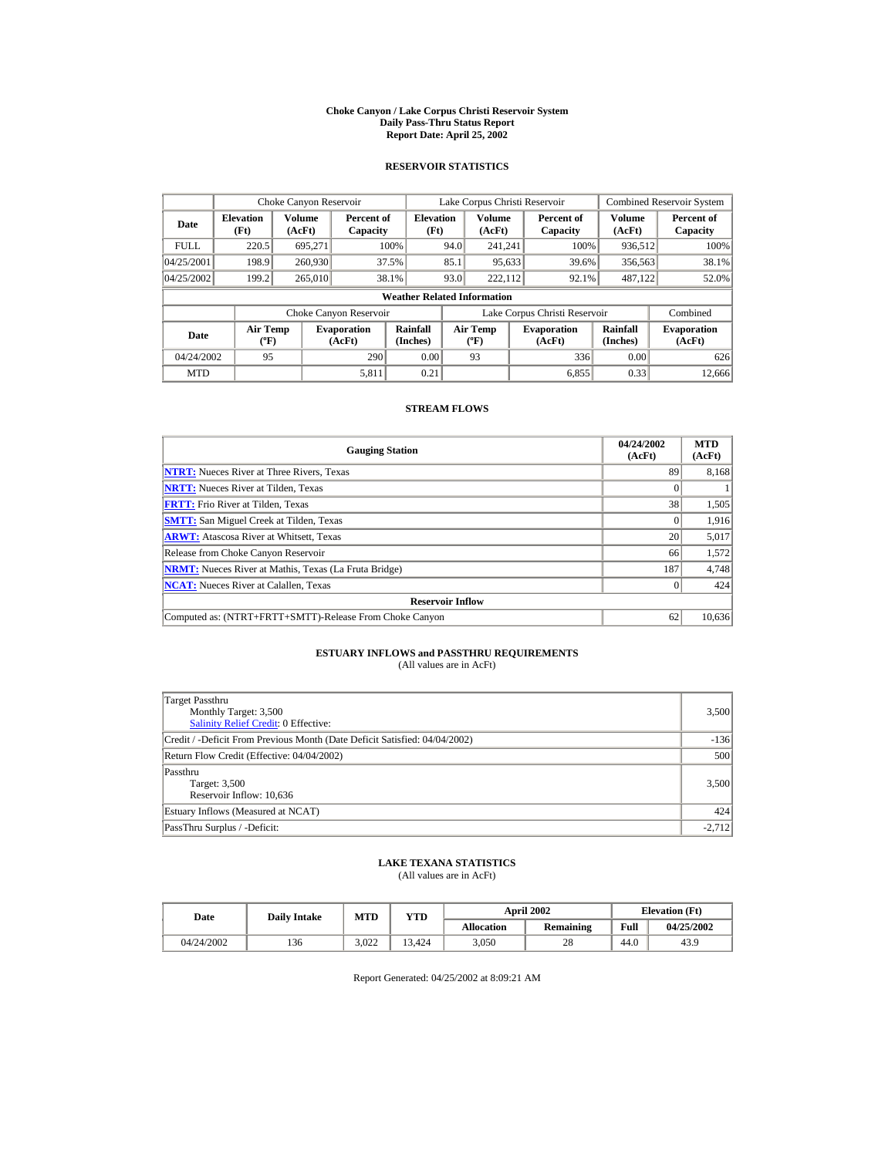#### **Choke Canyon / Lake Corpus Christi Reservoir System Daily Pass-Thru Status Report Report Date: April 25, 2002**

### **RESERVOIR STATISTICS**

|             | Choke Canyon Reservoir                      |                  |                              |                          | Lake Corpus Christi Reservoir |                                  |  |                               |                      | <b>Combined Reservoir System</b> |  |  |
|-------------|---------------------------------------------|------------------|------------------------------|--------------------------|-------------------------------|----------------------------------|--|-------------------------------|----------------------|----------------------------------|--|--|
| Date        | <b>Elevation</b><br>(Ft)                    | Volume<br>(AcFt) | Percent of<br>Capacity       | <b>Elevation</b><br>(Ft) |                               | Volume<br>(AcFt)                 |  | Percent of<br>Capacity        | Volume<br>(AcFt)     | Percent of<br>Capacity           |  |  |
| <b>FULL</b> | 220.5                                       | 695.271          |                              | 100%                     | 94.0                          | 241.241                          |  | 100%                          | 936,512              | 100%                             |  |  |
| 04/25/2001  | 198.9                                       | 260,930          |                              | 37.5%                    | 85.1                          | 95,633                           |  | 39.6%                         | 356,563              | 38.1%                            |  |  |
| 04/25/2002  | 199.2                                       | 265,010          |                              | 38.1%                    | 93.0                          | 222.112                          |  | 92.1%                         | 487.122              | 52.0%                            |  |  |
|             | <b>Weather Related Information</b>          |                  |                              |                          |                               |                                  |  |                               |                      |                                  |  |  |
|             |                                             |                  | Choke Canyon Reservoir       |                          |                               |                                  |  | Lake Corpus Christi Reservoir |                      | Combined                         |  |  |
| Date        | <b>Air Temp</b><br>$({}^{\circ}\mathrm{F})$ |                  | <b>Evaporation</b><br>(AcFt) | Rainfall<br>(Inches)     |                               | <b>Air Temp</b><br>$(^{\circ}F)$ |  | <b>Evaporation</b><br>(AcFt)  | Rainfall<br>(Inches) | <b>Evaporation</b><br>(AcFt)     |  |  |
| 04/24/2002  | 95                                          |                  | 290                          | 0.00                     |                               | 93                               |  | 336                           | 0.00                 | 626                              |  |  |
| <b>MTD</b>  |                                             |                  | 5,811                        | 0.21                     |                               |                                  |  | 6.855                         | 0.33                 | 12.666                           |  |  |

### **STREAM FLOWS**

| <b>Gauging Station</b>                                       | 04/24/2002<br>(AcFt) | <b>MTD</b><br>(AcFt) |
|--------------------------------------------------------------|----------------------|----------------------|
| <b>NTRT:</b> Nueces River at Three Rivers, Texas             | 89                   | 8,168                |
| <b>NRTT:</b> Nueces River at Tilden, Texas                   |                      |                      |
| <b>FRTT:</b> Frio River at Tilden, Texas                     | 38                   | 1,505                |
| <b>SMTT:</b> San Miguel Creek at Tilden, Texas               | $\theta$             | 1,916                |
| <b>ARWT:</b> Atascosa River at Whitsett, Texas               | 20                   | 5,017                |
| Release from Choke Canyon Reservoir                          | 66                   | 1,572                |
| <b>NRMT:</b> Nueces River at Mathis, Texas (La Fruta Bridge) | 187                  | 4,748                |
| <b>NCAT:</b> Nueces River at Calallen, Texas                 |                      | 424                  |
| <b>Reservoir Inflow</b>                                      |                      |                      |
| Computed as: (NTRT+FRTT+SMTT)-Release From Choke Canyon      | 62                   | 10,636               |

# **ESTUARY INFLOWS and PASSTHRU REQUIREMENTS**<br>(All values are in AcFt)

| Target Passthru<br>Monthly Target: 3,500<br><b>Salinity Relief Credit: 0 Effective:</b> | 3,500    |
|-----------------------------------------------------------------------------------------|----------|
| Credit / -Deficit From Previous Month (Date Deficit Satisfied: 04/04/2002)              | $-136$   |
| Return Flow Credit (Effective: 04/04/2002)                                              | 500      |
| Passthru<br>Target: 3,500<br>Reservoir Inflow: 10,636                                   | 3,500    |
| Estuary Inflows (Measured at NCAT)                                                      | 424      |
| PassThru Surplus / -Deficit:                                                            | $-2,712$ |

## **LAKE TEXANA STATISTICS**

(All values are in AcFt)

| Date       | <b>Daily Intake</b> | MTD   | VTD    |            | <b>April 2002</b> | <b>Elevation</b> (Ft) |            |
|------------|---------------------|-------|--------|------------|-------------------|-----------------------|------------|
|            |                     |       |        | Allocation | Remaining         | Full                  | 04/25/2002 |
| 04/24/2002 | 136                 | 3.022 | 13.424 | 3.050      | 28                | 44.0                  | 43.9       |

Report Generated: 04/25/2002 at 8:09:21 AM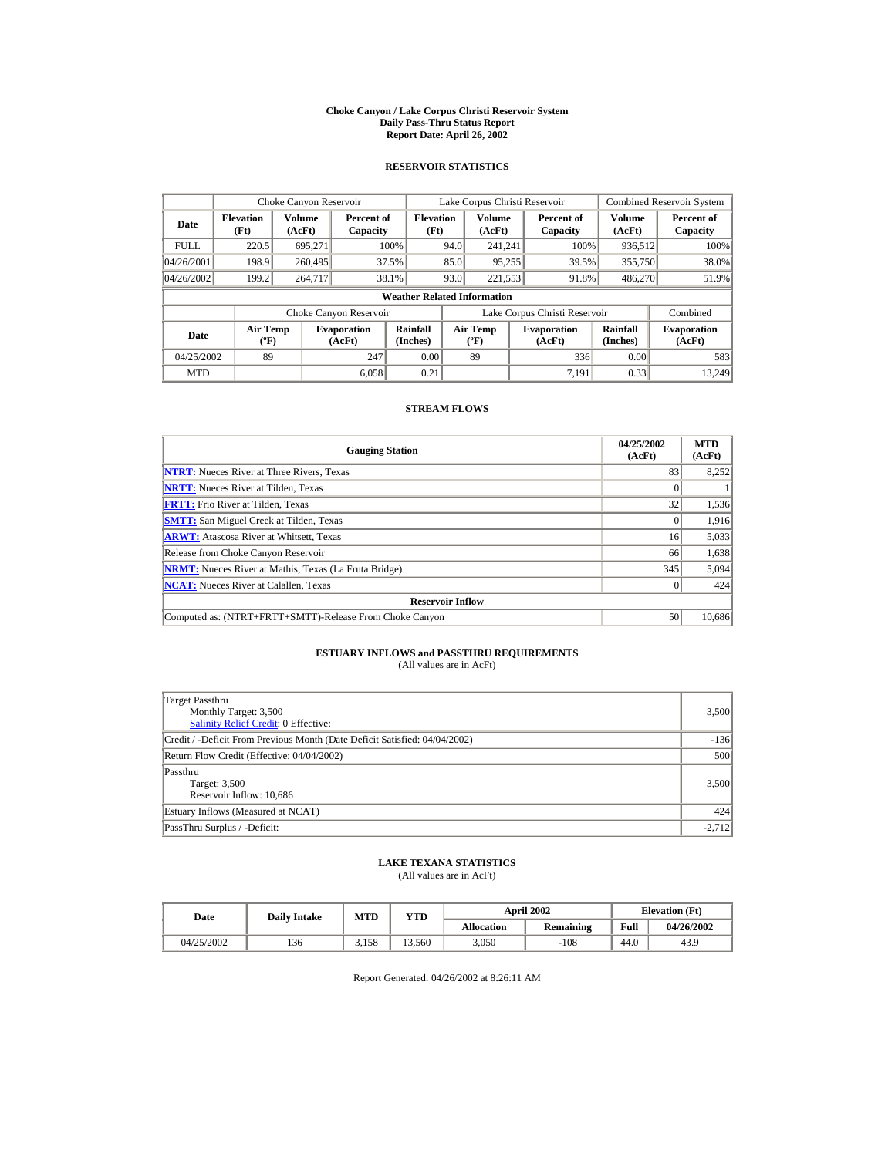#### **Choke Canyon / Lake Corpus Christi Reservoir System Daily Pass-Thru Status Report Report Date: April 26, 2002**

### **RESERVOIR STATISTICS**

|             | Choke Canyon Reservoir                      |                         |                              |                          | Lake Corpus Christi Reservoir |                                                  |  |                               |                         | <b>Combined Reservoir System</b> |  |  |
|-------------|---------------------------------------------|-------------------------|------------------------------|--------------------------|-------------------------------|--------------------------------------------------|--|-------------------------------|-------------------------|----------------------------------|--|--|
| Date        | <b>Elevation</b><br>(Ft)                    | <b>Volume</b><br>(AcFt) | Percent of<br>Capacity       | <b>Elevation</b><br>(Ft) |                               | <b>Volume</b><br>(AcFt)                          |  | Percent of<br>Capacity        | <b>Volume</b><br>(AcFt) | Percent of<br>Capacity           |  |  |
| <b>FULL</b> | 220.5                                       | 695.271                 |                              | 100%                     | 94.0                          | 241.241                                          |  | 100%                          | 936,512                 | 100%                             |  |  |
| 04/26/2001  | 198.9                                       | 260,495                 |                              | 37.5%                    | 85.0                          | 95,255                                           |  | 39.5%                         | 355,750                 | 38.0%                            |  |  |
| 04/26/2002  | 199.2                                       | 264,717                 |                              | 38.1%                    | 93.0                          | 221,553                                          |  | 91.8%                         | 486,270                 | 51.9%                            |  |  |
|             | <b>Weather Related Information</b>          |                         |                              |                          |                               |                                                  |  |                               |                         |                                  |  |  |
|             |                                             |                         | Choke Canyon Reservoir       |                          |                               |                                                  |  | Lake Corpus Christi Reservoir |                         | Combined                         |  |  |
| Date        | <b>Air Temp</b><br>$({}^{\circ}\mathrm{F})$ |                         | <b>Evaporation</b><br>(AcFt) | Rainfall<br>(Inches)     |                               | <b>Air Temp</b><br>$({}^{\mathrm{o}}\mathrm{F})$ |  | <b>Evaporation</b><br>(AcFt)  | Rainfall<br>(Inches)    | <b>Evaporation</b><br>(AcFt)     |  |  |
| 04/25/2002  | 89                                          |                         | 247                          | 0.00                     |                               | 89                                               |  | 336                           | 0.00                    | 583                              |  |  |
| <b>MTD</b>  |                                             |                         | 6.058                        | 0.21                     |                               |                                                  |  | 7.191                         | 0.33                    | 13.249                           |  |  |

### **STREAM FLOWS**

| <b>Gauging Station</b>                                       | 04/25/2002<br>(AcFt) | <b>MTD</b><br>(AcFt) |
|--------------------------------------------------------------|----------------------|----------------------|
| <b>NTRT:</b> Nueces River at Three Rivers, Texas             | 83                   | 8,252                |
| <b>NRTT:</b> Nueces River at Tilden, Texas                   |                      |                      |
| <b>FRTT:</b> Frio River at Tilden, Texas                     | 32                   | 1,536                |
| <b>SMTT:</b> San Miguel Creek at Tilden, Texas               |                      | 1,916                |
| <b>ARWT:</b> Atascosa River at Whitsett, Texas               | 16                   | 5,033                |
| Release from Choke Canyon Reservoir                          | 66                   | 1,638                |
| <b>NRMT:</b> Nueces River at Mathis, Texas (La Fruta Bridge) | 345                  | 5,094                |
| <b>NCAT:</b> Nueces River at Calallen, Texas                 |                      | 424                  |
| <b>Reservoir Inflow</b>                                      |                      |                      |
| Computed as: (NTRT+FRTT+SMTT)-Release From Choke Canyon      | 50                   | 10,686               |

# **ESTUARY INFLOWS and PASSTHRU REQUIREMENTS**<br>(All values are in AcFt)

| Target Passthru<br>Monthly Target: 3,500<br>Salinity Relief Credit: 0 Effective: | 3,500    |
|----------------------------------------------------------------------------------|----------|
| Credit / -Deficit From Previous Month (Date Deficit Satisfied: 04/04/2002)       | $-136$   |
| Return Flow Credit (Effective: 04/04/2002)                                       | 500      |
| Passthru<br>Target: 3,500<br>Reservoir Inflow: 10,686                            | 3,500    |
| Estuary Inflows (Measured at NCAT)                                               | 424      |
| PassThru Surplus / -Deficit:                                                     | $-2.712$ |

### **LAKE TEXANA STATISTICS**

(All values are in AcFt)

| Date       | <b>Daily Intake</b> | <b>MTD</b> | YTD    |                   | <b>April 2002</b> | <b>Elevation</b> (Ft) |            |
|------------|---------------------|------------|--------|-------------------|-------------------|-----------------------|------------|
|            |                     |            |        | <b>Allocation</b> | Remaining         | Full                  | 04/26/2002 |
| 04/25/2002 | 136                 | 3.158      | 13.560 | 3.050             | $-108$            | 44.0                  | 43.9       |

Report Generated: 04/26/2002 at 8:26:11 AM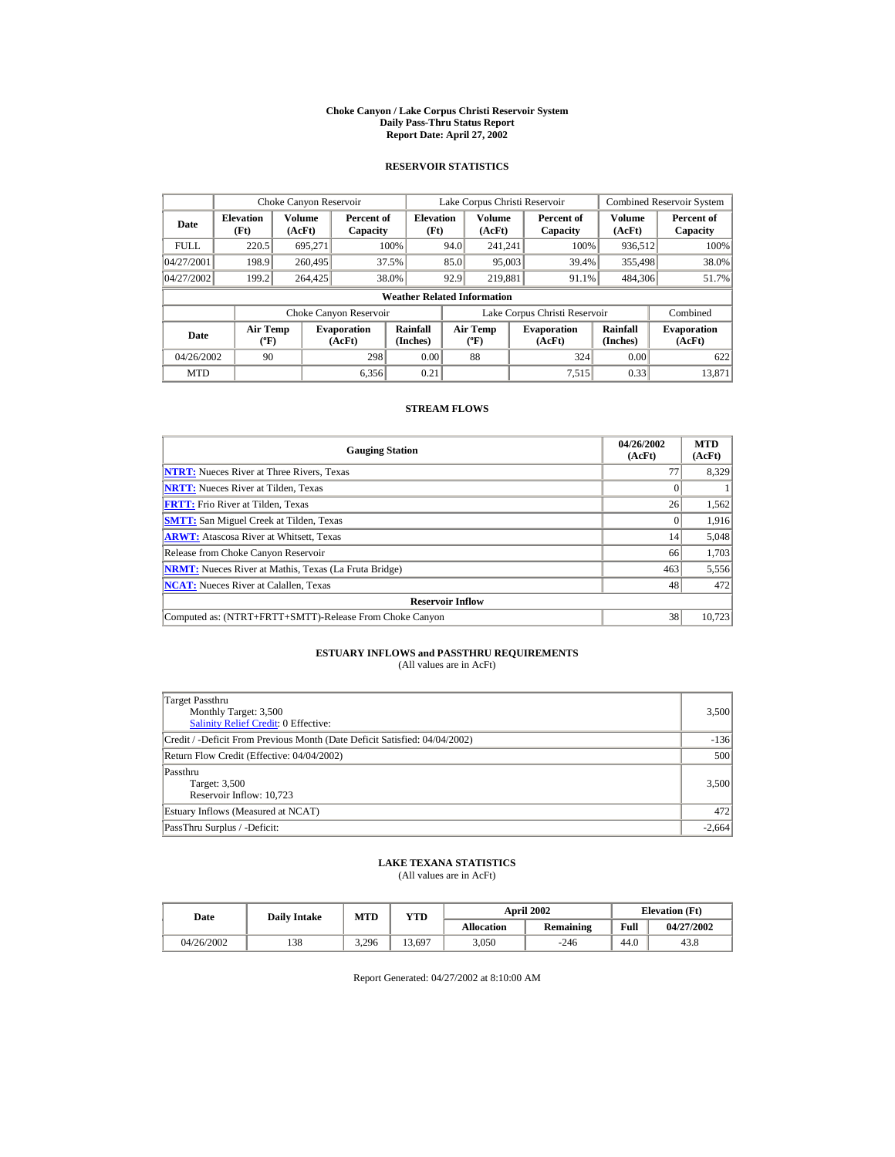#### **Choke Canyon / Lake Corpus Christi Reservoir System Daily Pass-Thru Status Report Report Date: April 27, 2002**

### **RESERVOIR STATISTICS**

|             | Choke Canyon Reservoir                      |                  |                              |                          | Lake Corpus Christi Reservoir                    |                         |  |                               |                         | <b>Combined Reservoir System</b> |  |  |
|-------------|---------------------------------------------|------------------|------------------------------|--------------------------|--------------------------------------------------|-------------------------|--|-------------------------------|-------------------------|----------------------------------|--|--|
| Date        | <b>Elevation</b><br>(Ft)                    | Volume<br>(AcFt) | Percent of<br>Capacity       | <b>Elevation</b><br>(Ft) |                                                  | <b>Volume</b><br>(AcFt) |  | Percent of<br>Capacity        | <b>Volume</b><br>(AcFt) | Percent of<br>Capacity           |  |  |
| <b>FULL</b> | 220.5                                       | 695.271          |                              | 100%                     | 94.0                                             | 241.241                 |  | 100%                          | 936,512                 | 100%                             |  |  |
| 04/27/2001  | 198.9                                       | 260,495          |                              | 37.5%                    | 85.0                                             | 95,003                  |  | 39.4%                         | 355,498                 | 38.0%                            |  |  |
| 04/27/2002  | 199.2                                       | 264,425          |                              | 38.0%                    | 92.9                                             | 219.881                 |  | 91.1%                         | 484,306                 | 51.7%                            |  |  |
|             | <b>Weather Related Information</b>          |                  |                              |                          |                                                  |                         |  |                               |                         |                                  |  |  |
|             |                                             |                  | Choke Canyon Reservoir       |                          |                                                  |                         |  | Lake Corpus Christi Reservoir |                         | Combined                         |  |  |
| Date        | <b>Air Temp</b><br>$({}^{\circ}\mathrm{F})$ |                  | <b>Evaporation</b><br>(AcFt) | Rainfall<br>(Inches)     | <b>Air Temp</b><br>$({}^{\mathrm{o}}\mathrm{F})$ |                         |  | <b>Evaporation</b><br>(AcFt)  | Rainfall<br>(Inches)    | <b>Evaporation</b><br>(AcFt)     |  |  |
| 04/26/2002  | 90                                          |                  | 298                          | 0.00                     |                                                  | 88                      |  | 324                           | 0.00                    | 622                              |  |  |
| <b>MTD</b>  |                                             |                  | 6.356                        | 0.21                     |                                                  |                         |  | 7.515                         | 0.33                    | 13,871                           |  |  |

### **STREAM FLOWS**

| <b>Gauging Station</b>                                       | 04/26/2002<br>(AcFt) | <b>MTD</b><br>(AcFt) |
|--------------------------------------------------------------|----------------------|----------------------|
| <b>NTRT:</b> Nueces River at Three Rivers, Texas             | 77                   | 8,329                |
| <b>NRTT:</b> Nueces River at Tilden, Texas                   |                      |                      |
| <b>FRTT:</b> Frio River at Tilden, Texas                     | 26                   | 1,562                |
| <b>SMTT:</b> San Miguel Creek at Tilden, Texas               | $\Omega$             | 1,916                |
| <b>ARWT:</b> Atascosa River at Whitsett, Texas               | 14                   | 5,048                |
| Release from Choke Canyon Reservoir                          | 66                   | 1,703                |
| <b>NRMT:</b> Nueces River at Mathis, Texas (La Fruta Bridge) | 463                  | 5,556                |
| <b>NCAT:</b> Nueces River at Calallen, Texas                 | 48                   | 472                  |
| <b>Reservoir Inflow</b>                                      |                      |                      |
| Computed as: (NTRT+FRTT+SMTT)-Release From Choke Canyon      | 38                   | 10,723               |

# **ESTUARY INFLOWS and PASSTHRU REQUIREMENTS**<br>(All values are in AcFt)

| Target Passthru<br>Monthly Target: 3,500<br>Salinity Relief Credit: 0 Effective: | 3,500    |
|----------------------------------------------------------------------------------|----------|
| Credit / -Deficit From Previous Month (Date Deficit Satisfied: 04/04/2002)       | $-136$   |
| Return Flow Credit (Effective: 04/04/2002)                                       | 500      |
| Passthru<br>Target: 3,500<br>Reservoir Inflow: 10,723                            | 3,500    |
| Estuary Inflows (Measured at NCAT)                                               | 472      |
| PassThru Surplus / -Deficit:                                                     | $-2,664$ |

## **LAKE TEXANA STATISTICS**

(All values are in AcFt)

| Date       | <b>Daily Intake</b> | <b>MTD</b> | YTD    |                   | <b>April 2002</b> | <b>Elevation</b> (Ft) |            |
|------------|---------------------|------------|--------|-------------------|-------------------|-----------------------|------------|
|            |                     |            |        | <b>Allocation</b> | Remaining         | Full                  | 04/27/2002 |
| 04/26/2002 | 138                 | 3.296      | 13,697 | 3.050             | $-246$            | 44.0                  | 43.8       |

Report Generated: 04/27/2002 at 8:10:00 AM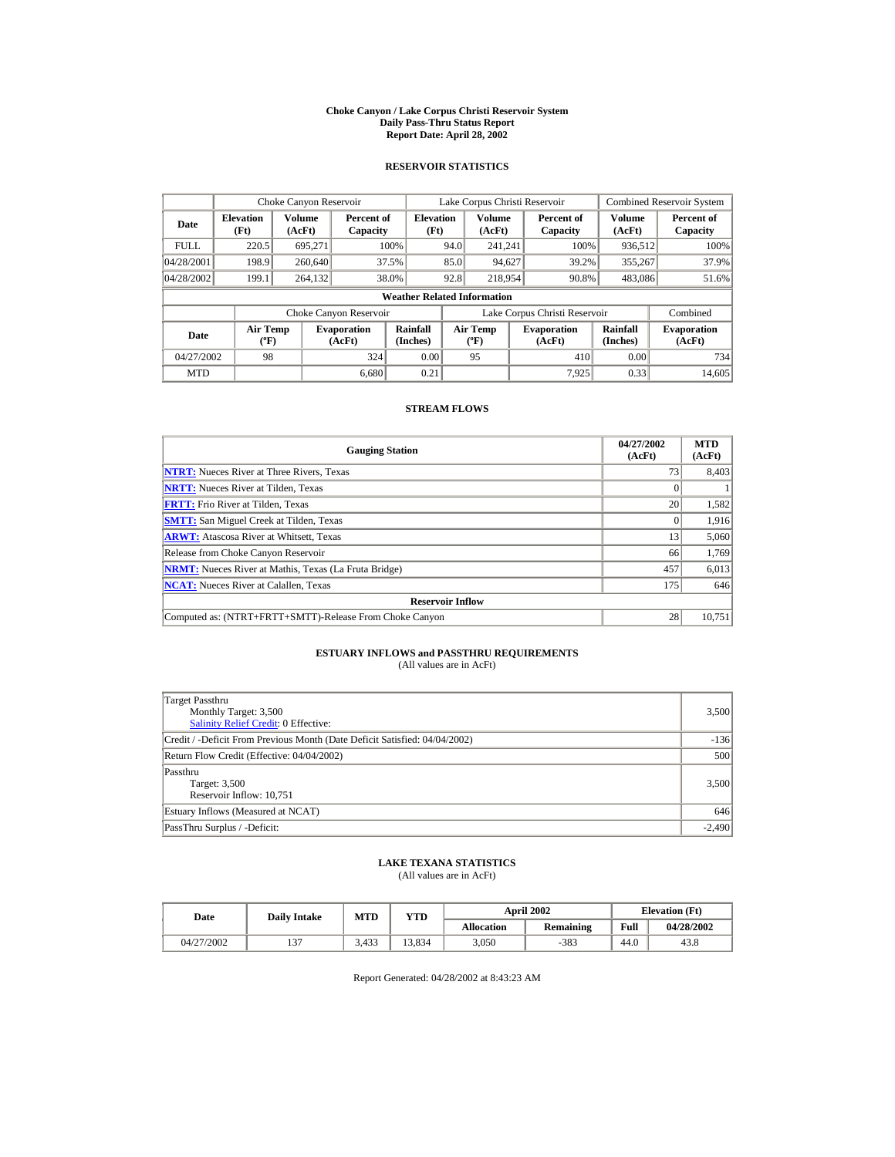#### **Choke Canyon / Lake Corpus Christi Reservoir System Daily Pass-Thru Status Report Report Date: April 28, 2002**

### **RESERVOIR STATISTICS**

|             | Choke Canyon Reservoir                      |                  |                              |                          | Lake Corpus Christi Reservoir |                                  |  |                               |                      | <b>Combined Reservoir System</b> |  |  |
|-------------|---------------------------------------------|------------------|------------------------------|--------------------------|-------------------------------|----------------------------------|--|-------------------------------|----------------------|----------------------------------|--|--|
| Date        | <b>Elevation</b><br>(Ft)                    | Volume<br>(AcFt) | Percent of<br>Capacity       | <b>Elevation</b><br>(Ft) |                               | Volume<br>(AcFt)                 |  | Percent of<br>Capacity        | Volume<br>(AcFt)     | Percent of<br>Capacity           |  |  |
| <b>FULL</b> | 220.5                                       | 695.271          |                              | 100%                     | 94.0                          | 241.241                          |  | 100%                          | 936,512              | 100%                             |  |  |
| 04/28/2001  | 198.9                                       | 260,640          |                              | 37.5%                    | 85.0                          | 94,627                           |  | 39.2%                         | 355,267              | 37.9%                            |  |  |
| 04/28/2002  | 199.1                                       | 264.132          |                              | 38.0%                    | 92.8                          | 218,954                          |  | 90.8%                         | 483,086              | 51.6%                            |  |  |
|             | <b>Weather Related Information</b>          |                  |                              |                          |                               |                                  |  |                               |                      |                                  |  |  |
|             |                                             |                  | Choke Canyon Reservoir       |                          |                               |                                  |  | Lake Corpus Christi Reservoir |                      | Combined                         |  |  |
| Date        | <b>Air Temp</b><br>$({}^{\circ}\mathrm{F})$ |                  | <b>Evaporation</b><br>(AcFt) | Rainfall<br>(Inches)     |                               | <b>Air Temp</b><br>$(^{\circ}F)$ |  | <b>Evaporation</b><br>(AcFt)  | Rainfall<br>(Inches) | <b>Evaporation</b><br>(AcFt)     |  |  |
| 04/27/2002  | 98                                          |                  | 324                          | 0.00                     |                               | 95                               |  | 410                           | 0.00                 | 734                              |  |  |
| <b>MTD</b>  |                                             |                  | 6.680                        | 0.21                     |                               |                                  |  | 7.925                         | 0.33                 | 14.605                           |  |  |

### **STREAM FLOWS**

| <b>Gauging Station</b>                                       | 04/27/2002<br>(AcFt) | <b>MTD</b><br>(AcFt) |
|--------------------------------------------------------------|----------------------|----------------------|
| <b>NTRT:</b> Nueces River at Three Rivers, Texas             | 73                   | 8,403                |
| <b>NRTT:</b> Nueces River at Tilden, Texas                   |                      |                      |
| <b>FRTT:</b> Frio River at Tilden. Texas                     | 20                   | 1,582                |
| <b>SMTT:</b> San Miguel Creek at Tilden, Texas               |                      | 1,916                |
| <b>ARWT:</b> Atascosa River at Whitsett, Texas               | 13                   | 5,060                |
| Release from Choke Canyon Reservoir                          | 66                   | 1,769                |
| <b>NRMT:</b> Nueces River at Mathis, Texas (La Fruta Bridge) | 457                  | 6,013                |
| <b>NCAT:</b> Nueces River at Calallen, Texas                 | 175                  | 646                  |
| <b>Reservoir Inflow</b>                                      |                      |                      |
| Computed as: (NTRT+FRTT+SMTT)-Release From Choke Canyon      | 28                   | 10,751               |

# **ESTUARY INFLOWS and PASSTHRU REQUIREMENTS**<br>(All values are in AcFt)

| Target Passthru<br>Monthly Target: 3,500                                   | 3,500    |
|----------------------------------------------------------------------------|----------|
| <b>Salinity Relief Credit: 0 Effective:</b>                                |          |
| Credit / -Deficit From Previous Month (Date Deficit Satisfied: 04/04/2002) | $-136$   |
| Return Flow Credit (Effective: 04/04/2002)                                 | 500      |
| Passthru<br>Target: 3,500<br>Reservoir Inflow: 10,751                      | 3,500    |
| Estuary Inflows (Measured at NCAT)                                         | 646      |
| PassThru Surplus / -Deficit:                                               | $-2.490$ |

### **LAKE TEXANA STATISTICS**

(All values are in AcFt)

| Date       | <b>Daily Intake</b> | <b>MTD</b> | YTD    |                   | <b>April 2002</b> |      | <b>Elevation</b> (Ft) |
|------------|---------------------|------------|--------|-------------------|-------------------|------|-----------------------|
|            |                     |            |        | <b>Allocation</b> | Remaining         | Full | 04/28/2002            |
| 04/27/2002 | $\sim$              | 3.433      | 13.834 | 3.050             | $-383$            | 44.0 | 43.8                  |

Report Generated: 04/28/2002 at 8:43:23 AM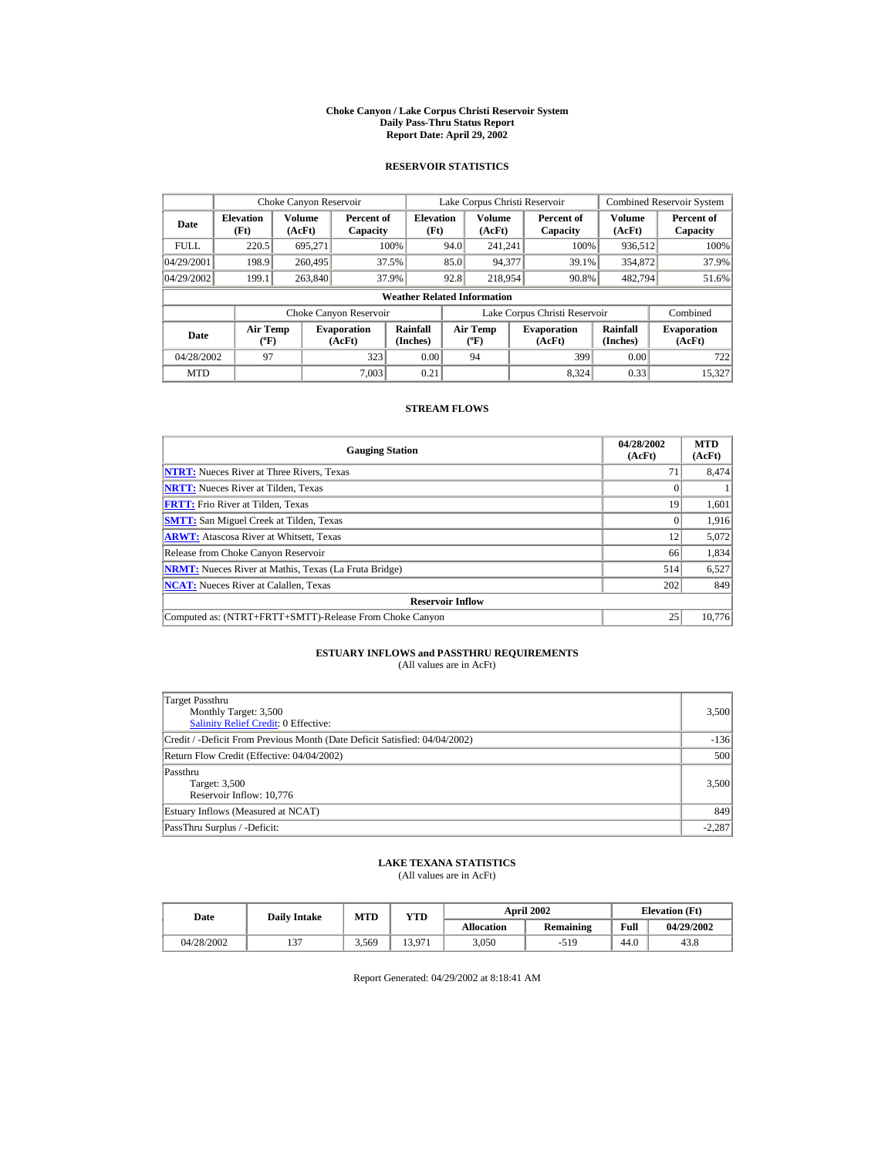#### **Choke Canyon / Lake Corpus Christi Reservoir System Daily Pass-Thru Status Report Report Date: April 29, 2002**

### **RESERVOIR STATISTICS**

|             | Choke Canyon Reservoir                      |                  |                              |                          | Lake Corpus Christi Reservoir |                                                  |  |                               |                         | <b>Combined Reservoir System</b> |  |  |
|-------------|---------------------------------------------|------------------|------------------------------|--------------------------|-------------------------------|--------------------------------------------------|--|-------------------------------|-------------------------|----------------------------------|--|--|
| Date        | <b>Elevation</b><br>(Ft)                    | Volume<br>(AcFt) | Percent of<br>Capacity       | <b>Elevation</b><br>(Ft) |                               | <b>Volume</b><br>(AcFt)                          |  | Percent of<br>Capacity        | <b>Volume</b><br>(AcFt) | Percent of<br>Capacity           |  |  |
| <b>FULL</b> | 220.5                                       | 695.271          |                              | 100%                     | 94.0                          | 241.241                                          |  | 100%                          | 936,512                 | 100%                             |  |  |
| 04/29/2001  | 198.9                                       | 260,495          |                              | 37.5%                    | 85.0                          | 94,377                                           |  | 39.1%                         | 354,872                 | 37.9%                            |  |  |
| 04/29/2002  | 199.1                                       | 263,840          |                              | 37.9%                    | 92.8                          | 218,954                                          |  | 90.8%                         | 482,794                 | 51.6%                            |  |  |
|             | <b>Weather Related Information</b>          |                  |                              |                          |                               |                                                  |  |                               |                         |                                  |  |  |
|             |                                             |                  | Choke Canyon Reservoir       |                          |                               |                                                  |  | Lake Corpus Christi Reservoir |                         | Combined                         |  |  |
| Date        | <b>Air Temp</b><br>$({}^{\circ}\mathrm{F})$ |                  | <b>Evaporation</b><br>(AcFt) | Rainfall<br>(Inches)     |                               | <b>Air Temp</b><br>$({}^{\mathrm{o}}\mathrm{F})$ |  | <b>Evaporation</b><br>(AcFt)  | Rainfall<br>(Inches)    | <b>Evaporation</b><br>(AcFt)     |  |  |
| 04/28/2002  | 97                                          |                  | 323                          | 0.00                     |                               | 94                                               |  | 399                           | 0.00                    | 722                              |  |  |
| <b>MTD</b>  |                                             |                  | 7.003                        | 0.21                     |                               |                                                  |  | 8.324                         | 0.33                    | 15.327                           |  |  |

### **STREAM FLOWS**

| <b>Gauging Station</b>                                       | 04/28/2002<br>(AcFt) | <b>MTD</b><br>(AcFt) |
|--------------------------------------------------------------|----------------------|----------------------|
| <b>NTRT:</b> Nueces River at Three Rivers, Texas             | 7 <sup>1</sup>       | 8,474                |
| <b>NRTT:</b> Nueces River at Tilden. Texas                   |                      |                      |
| <b>FRTT:</b> Frio River at Tilden, Texas                     | 19                   | 1,601                |
| <b>SMTT:</b> San Miguel Creek at Tilden, Texas               |                      | 1,916                |
| <b>ARWT:</b> Atascosa River at Whitsett, Texas               | 12                   | 5,072                |
| Release from Choke Canyon Reservoir                          | 66                   | 1,834                |
| <b>NRMT:</b> Nueces River at Mathis, Texas (La Fruta Bridge) | 514                  | 6,527                |
| <b>NCAT:</b> Nueces River at Calallen, Texas                 | 202                  | 849                  |
| <b>Reservoir Inflow</b>                                      |                      |                      |
| Computed as: (NTRT+FRTT+SMTT)-Release From Choke Canyon      | 25                   | 10,776               |

# **ESTUARY INFLOWS and PASSTHRU REQUIREMENTS**<br>(All values are in AcFt)

| Target Passthru<br>Monthly Target: 3,500<br><b>Salinity Relief Credit: 0 Effective:</b> | 3,500    |
|-----------------------------------------------------------------------------------------|----------|
| Credit / -Deficit From Previous Month (Date Deficit Satisfied: 04/04/2002)              | $-136$   |
| Return Flow Credit (Effective: 04/04/2002)                                              | 500      |
| Passthru<br>Target: 3,500<br>Reservoir Inflow: 10,776                                   | 3,500    |
| Estuary Inflows (Measured at NCAT)                                                      | 849      |
| PassThru Surplus / -Deficit:                                                            | $-2,287$ |

## **LAKE TEXANA STATISTICS**

(All values are in AcFt)

| Date       | <b>Daily Intake</b> | MTD   | YTD    |                   | <b>April 2002</b> | <b>Elevation</b> (Ft) |            |
|------------|---------------------|-------|--------|-------------------|-------------------|-----------------------|------------|
|            |                     |       |        | <b>Allocation</b> | <b>Remaining</b>  | Full                  | 04/29/2002 |
| 04/28/2002 | $\sim$              | 3.569 | 13.971 | 3.050             | $-519$            | 44.0                  | 43.8       |

Report Generated: 04/29/2002 at 8:18:41 AM